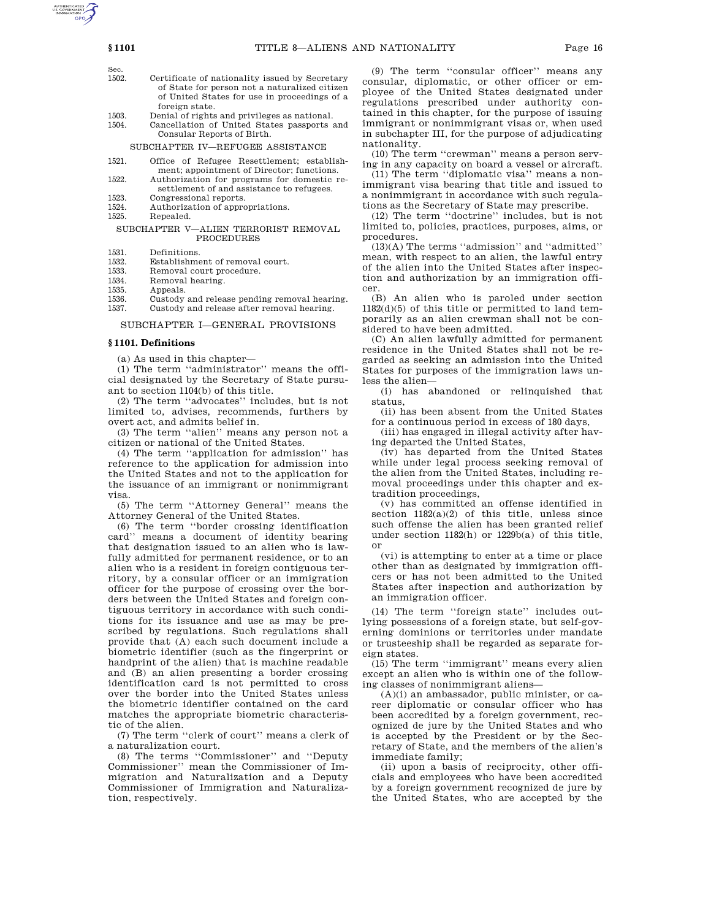Sec.

- 1502. Certificate of nationality issued by Secretary of State for person not a naturalized citizen of United States for use in proceedings of a foreign state.
- 1503. Denial of rights and privileges as national. 1504. Cancellation of United States passports and
- Consular Reports of Birth.

SUBCHAPTER IV—REFUGEE ASSISTANCE

- 1521. Office of Refugee Resettlement; establishment; appointment of Director; functions.
- 1522. Authorization for programs for domestic resettlement of and assistance to refugees.
- 1523. Congressional reports.
- 1524. Authorization of appropriations.<br>1525. Repealed.
- Repealed.

### SUBCHAPTER V—ALIEN TERRORIST REMOVAL PROCEDURES

- 1531. Definitions.<br>1532. Establishme
- Establishment of removal court.
- 1533. Removal court procedure.
- 1534. Removal hearing.
- 1535. Appeals.
- 1536. Custody and release pending removal hearing. 1537. Custody and release after removal hearing.

SUBCHAPTER I—GENERAL PROVISIONS

# **§ 1101. Definitions**

(a) As used in this chapter—

(1) The term ''administrator'' means the official designated by the Secretary of State pursuant to section 1104(b) of this title.

(2) The term ''advocates'' includes, but is not limited to, advises, recommends, furthers by overt act, and admits belief in.

(3) The term ''alien'' means any person not a citizen or national of the United States.

(4) The term ''application for admission'' has reference to the application for admission into the United States and not to the application for the issuance of an immigrant or nonimmigrant visa.

(5) The term ''Attorney General'' means the Attorney General of the United States.

(6) The term ''border crossing identification card'' means a document of identity bearing that designation issued to an alien who is lawfully admitted for permanent residence, or to an alien who is a resident in foreign contiguous territory, by a consular officer or an immigration officer for the purpose of crossing over the borders between the United States and foreign contiguous territory in accordance with such conditions for its issuance and use as may be prescribed by regulations. Such regulations shall provide that (A) each such document include a biometric identifier (such as the fingerprint or handprint of the alien) that is machine readable and (B) an alien presenting a border crossing identification card is not permitted to cross over the border into the United States unless the biometric identifier contained on the card matches the appropriate biometric characteristic of the alien.

(7) The term ''clerk of court'' means a clerk of a naturalization court.

(8) The terms ''Commissioner'' and ''Deputy Commissioner'' mean the Commissioner of Immigration and Naturalization and a Deputy Commissioner of Immigration and Naturalization, respectively.

(9) The term ''consular officer'' means any consular, diplomatic, or other officer or employee of the United States designated under regulations prescribed under authority contained in this chapter, for the purpose of issuing immigrant or nonimmigrant visas or, when used in subchapter III, for the purpose of adjudicating nationality.

(10) The term ''crewman'' means a person serving in any capacity on board a vessel or aircraft.

(11) The term ''diplomatic visa'' means a nonimmigrant visa bearing that title and issued to a nonimmigrant in accordance with such regulations as the Secretary of State may prescribe.

(12) The term ''doctrine'' includes, but is not limited to, policies, practices, purposes, aims, or procedures.

(13)(A) The terms ''admission'' and ''admitted'' mean, with respect to an alien, the lawful entry of the alien into the United States after inspection and authorization by an immigration officer.

(B) An alien who is paroled under section  $1182(d)(5)$  of this title or permitted to land temporarily as an alien crewman shall not be considered to have been admitted.

(C) An alien lawfully admitted for permanent residence in the United States shall not be regarded as seeking an admission into the United States for purposes of the immigration laws unless the alien—

(i) has abandoned or relinquished that status,

(ii) has been absent from the United States for a continuous period in excess of 180 days,

(iii) has engaged in illegal activity after having departed the United States,

(iv) has departed from the United States while under legal process seeking removal of the alien from the United States, including removal proceedings under this chapter and extradition proceedings,

(v) has committed an offense identified in section  $1182(a)(2)$  of this title, unless since such offense the alien has been granted relief under section 1182(h) or 1229b(a) of this title, or

(vi) is attempting to enter at a time or place other than as designated by immigration officers or has not been admitted to the United States after inspection and authorization by an immigration officer.

(14) The term ''foreign state'' includes outlying possessions of a foreign state, but self-governing dominions or territories under mandate or trusteeship shall be regarded as separate foreign states.

(15) The term ''immigrant'' means every alien except an alien who is within one of the following classes of nonimmigrant aliens—

(A)(i) an ambassador, public minister, or career diplomatic or consular officer who has been accredited by a foreign government, recognized de jure by the United States and who is accepted by the President or by the Secretary of State, and the members of the alien's immediate family;

(ii) upon a basis of reciprocity, other officials and employees who have been accredited by a foreign government recognized de jure by the United States, who are accepted by the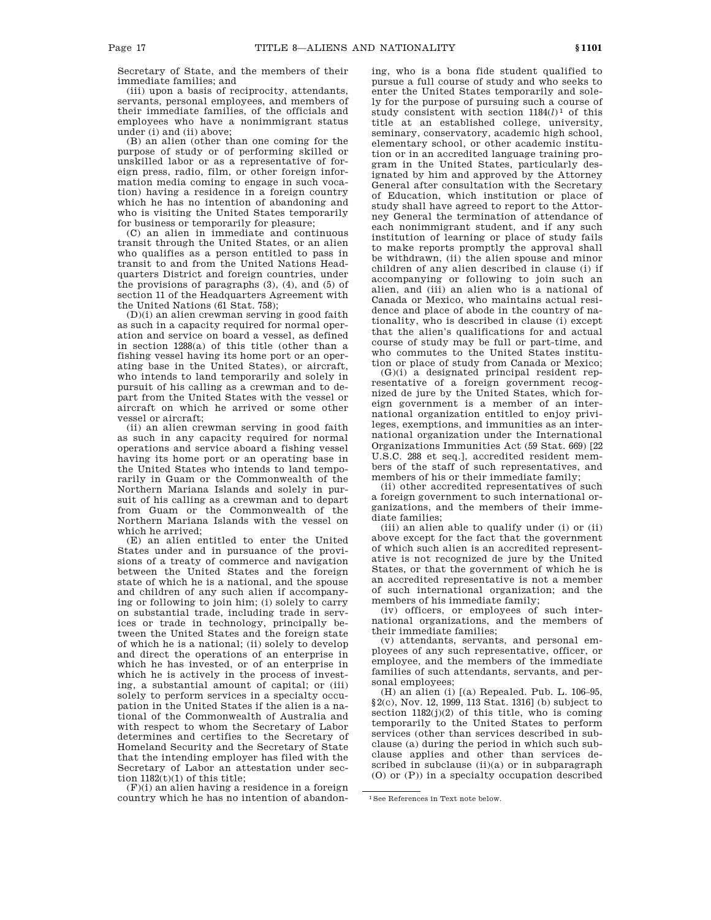Secretary of State, and the members of their immediate families; and

(iii) upon a basis of reciprocity, attendants, servants, personal employees, and members of their immediate families, of the officials and employees who have a nonimmigrant status under (i) and (ii) above;

(B) an alien (other than one coming for the purpose of study or of performing skilled or unskilled labor or as a representative of foreign press, radio, film, or other foreign information media coming to engage in such vocation) having a residence in a foreign country which he has no intention of abandoning and who is visiting the United States temporarily for business or temporarily for pleasure;

(C) an alien in immediate and continuous transit through the United States, or an alien who qualifies as a person entitled to pass in transit to and from the United Nations Headquarters District and foreign countries, under the provisions of paragraphs (3), (4), and (5) of section 11 of the Headquarters Agreement with the United Nations (61 Stat. 758);

(D)(i) an alien crewman serving in good faith as such in a capacity required for normal operation and service on board a vessel, as defined in section 1288(a) of this title (other than a fishing vessel having its home port or an operating base in the United States), or aircraft, who intends to land temporarily and solely in pursuit of his calling as a crewman and to depart from the United States with the vessel or aircraft on which he arrived or some other vessel or aircraft;

(ii) an alien crewman serving in good faith as such in any capacity required for normal operations and service aboard a fishing vessel having its home port or an operating base in the United States who intends to land temporarily in Guam or the Commonwealth of the Northern Mariana Islands and solely in pursuit of his calling as a crewman and to depart from Guam or the Commonwealth of the Northern Mariana Islands with the vessel on which he arrived;

(E) an alien entitled to enter the United States under and in pursuance of the provisions of a treaty of commerce and navigation between the United States and the foreign state of which he is a national, and the spouse and children of any such alien if accompanying or following to join him; (i) solely to carry on substantial trade, including trade in services or trade in technology, principally between the United States and the foreign state of which he is a national; (ii) solely to develop and direct the operations of an enterprise in which he has invested, or of an enterprise in which he is actively in the process of investing, a substantial amount of capital; or (iii) solely to perform services in a specialty occupation in the United States if the alien is a national of the Commonwealth of Australia and with respect to whom the Secretary of Labor determines and certifies to the Secretary of Homeland Security and the Secretary of State that the intending employer has filed with the Secretary of Labor an attestation under section  $1182(t)(1)$  of this title;

 $(F)(i)$  an alien having a residence in a foreign country which he has no intention of abandon-

ing, who is a bona fide student qualified to pursue a full course of study and who seeks to enter the United States temporarily and solely for the purpose of pursuing such a course of study consistent with section 1184(*l*) 1 of this title at an established college, university, seminary, conservatory, academic high school, elementary school, or other academic institution or in an accredited language training program in the United States, particularly designated by him and approved by the Attorney General after consultation with the Secretary of Education, which institution or place of study shall have agreed to report to the Attorney General the termination of attendance of each nonimmigrant student, and if any such institution of learning or place of study fails to make reports promptly the approval shall be withdrawn, (ii) the alien spouse and minor children of any alien described in clause (i) if accompanying or following to join such an alien, and (iii) an alien who is a national of Canada or Mexico, who maintains actual residence and place of abode in the country of nationality, who is described in clause (i) except that the alien's qualifications for and actual course of study may be full or part-time, and who commutes to the United States institution or place of study from Canada or Mexico;

(G)(i) a designated principal resident representative of a foreign government recognized de jure by the United States, which foreign government is a member of an international organization entitled to enjoy privileges, exemptions, and immunities as an international organization under the International Organizations Immunities Act (59 Stat. 669) [22 U.S.C. 288 et seq.], accredited resident members of the staff of such representatives, and members of his or their immediate family;

(ii) other accredited representatives of such a foreign government to such international organizations, and the members of their immediate families;

(iii) an alien able to qualify under (i) or (ii) above except for the fact that the government of which such alien is an accredited representative is not recognized de jure by the United States, or that the government of which he is an accredited representative is not a member of such international organization; and the members of his immediate family;

(iv) officers, or employees of such international organizations, and the members of their immediate families;

(v) attendants, servants, and personal employees of any such representative, officer, or employee, and the members of the immediate families of such attendants, servants, and personal employees;

(H) an alien (i) [(a) Repealed. Pub. L. 106–95, §2(c), Nov. 12, 1999, 113 Stat. 1316] (b) subject to section  $1182(j)(2)$  of this title, who is coming temporarily to the United States to perform services (other than services described in subclause (a) during the period in which such subclause applies and other than services described in subclause (ii)(a) or in subparagraph (O) or (P)) in a specialty occupation described

<sup>1</sup>See References in Text note below.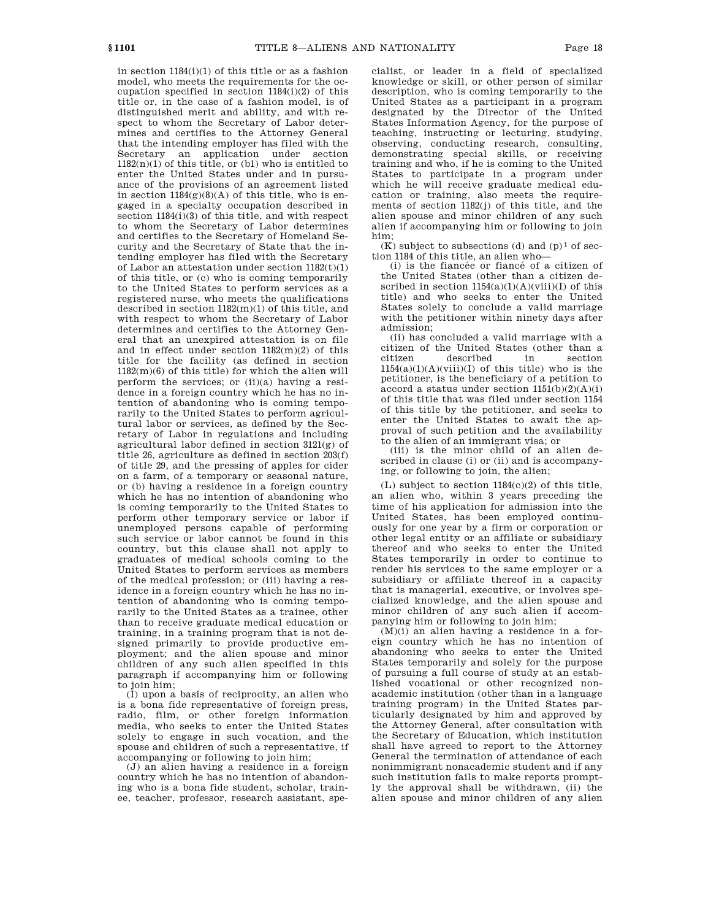in section 1184(i)(1) of this title or as a fashion model, who meets the requirements for the occupation specified in section  $1184(i)(2)$  of this title or, in the case of a fashion model, is of distinguished merit and ability, and with respect to whom the Secretary of Labor determines and certifies to the Attorney General that the intending employer has filed with the Secretary an application under section  $1182(n)(1)$  of this title, or (b1) who is entitled to enter the United States under and in pursuance of the provisions of an agreement listed in section  $1184(g)(8)(A)$  of this title, who is engaged in a specialty occupation described in section  $1184(i)(3)$  of this title, and with respect to whom the Secretary of Labor determines and certifies to the Secretary of Homeland Security and the Secretary of State that the intending employer has filed with the Secretary of Labor an attestation under section  $1182(t)(1)$ of this title, or (c) who is coming temporarily to the United States to perform services as a registered nurse, who meets the qualifications described in section 1182(m)(1) of this title, and with respect to whom the Secretary of Labor determines and certifies to the Attorney General that an unexpired attestation is on file and in effect under section 1182(m)(2) of this title for the facility (as defined in section 1182(m)(6) of this title) for which the alien will perform the services; or (ii)(a) having a residence in a foreign country which he has no intention of abandoning who is coming temporarily to the United States to perform agricultural labor or services, as defined by the Secretary of Labor in regulations and including agricultural labor defined in section 3121(g) of title 26, agriculture as defined in section 203(f) of title 29, and the pressing of apples for cider on a farm, of a temporary or seasonal nature, or (b) having a residence in a foreign country which he has no intention of abandoning who is coming temporarily to the United States to perform other temporary service or labor if unemployed persons capable of performing such service or labor cannot be found in this country, but this clause shall not apply to graduates of medical schools coming to the United States to perform services as members of the medical profession; or (iii) having a residence in a foreign country which he has no intention of abandoning who is coming temporarily to the United States as a trainee, other than to receive graduate medical education or training, in a training program that is not designed primarily to provide productive employment; and the alien spouse and minor children of any such alien specified in this paragraph if accompanying him or following to join him;

(I) upon a basis of reciprocity, an alien who is a bona fide representative of foreign press, radio, film, or other foreign information media, who seeks to enter the United States solely to engage in such vocation, and the spouse and children of such a representative, if accompanying or following to join him;

(J) an alien having a residence in a foreign country which he has no intention of abandoning who is a bona fide student, scholar, trainee, teacher, professor, research assistant, specialist, or leader in a field of specialized knowledge or skill, or other person of similar description, who is coming temporarily to the United States as a participant in a program designated by the Director of the United States Information Agency, for the purpose of teaching, instructing or lecturing, studying, observing, conducting research, consulting, demonstrating special skills, or receiving training and who, if he is coming to the United States to participate in a program under which he will receive graduate medical education or training, also meets the requirements of section 1182(j) of this title, and the alien spouse and minor children of any such alien if accompanying him or following to join him;

 $(K)$  subject to subsections (d) and  $(p)^1$  of section 1184 of this title, an alien who—

(i) is the fiancee or fiance of a citizen of the United States (other than a citizen described in section  $1154(a)(1)(A)(viii)(I)$  of this title) and who seeks to enter the United States solely to conclude a valid marriage with the petitioner within ninety days after admission;

(ii) has concluded a valid marriage with a citizen of the United States (other than a citizen described in section  $1154(a)(1)(A)(viii)(I)$  of this title) who is the petitioner, is the beneficiary of a petition to accord a status under section  $1151(b)(2)(A)(i)$ of this title that was filed under section 1154 of this title by the petitioner, and seeks to enter the United States to await the approval of such petition and the availability to the alien of an immigrant visa; or

(iii) is the minor child of an alien described in clause (i) or (ii) and is accompanying, or following to join, the alien;

(L) subject to section 1184(c)(2) of this title, an alien who, within 3 years preceding the time of his application for admission into the United States, has been employed continuously for one year by a firm or corporation or other legal entity or an affiliate or subsidiary thereof and who seeks to enter the United States temporarily in order to continue to render his services to the same employer or a subsidiary or affiliate thereof in a capacity that is managerial, executive, or involves specialized knowledge, and the alien spouse and minor children of any such alien if accompanying him or following to join him;

(M)(i) an alien having a residence in a foreign country which he has no intention of abandoning who seeks to enter the United States temporarily and solely for the purpose of pursuing a full course of study at an established vocational or other recognized nonacademic institution (other than in a language training program) in the United States particularly designated by him and approved by the Attorney General, after consultation with the Secretary of Education, which institution shall have agreed to report to the Attorney General the termination of attendance of each nonimmigrant nonacademic student and if any such institution fails to make reports promptly the approval shall be withdrawn, (ii) the alien spouse and minor children of any alien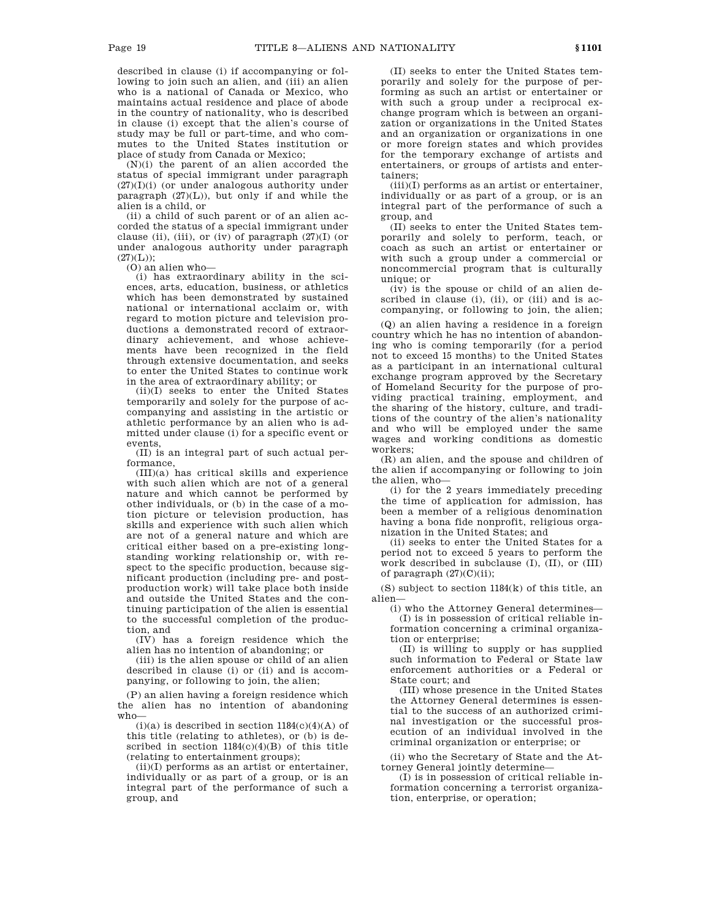described in clause (i) if accompanying or following to join such an alien, and (iii) an alien who is a national of Canada or Mexico, who maintains actual residence and place of abode in the country of nationality, who is described in clause (i) except that the alien's course of study may be full or part-time, and who commutes to the United States institution or place of study from Canada or Mexico;

(N)(i) the parent of an alien accorded the status of special immigrant under paragraph  $(27)(I)(i)$  (or under analogous authority under paragraph  $(27)(L)$ , but only if and while the alien is a child, or

(ii) a child of such parent or of an alien accorded the status of a special immigrant under clause (ii), (iii), or (iv) of paragraph  $(27)(I)$  (or under analogous authority under paragraph  $(27)(L))$ ;

(O) an alien who—

(i) has extraordinary ability in the sciences, arts, education, business, or athletics which has been demonstrated by sustained national or international acclaim or, with regard to motion picture and television productions a demonstrated record of extraordinary achievement, and whose achievements have been recognized in the field through extensive documentation, and seeks to enter the United States to continue work in the area of extraordinary ability; or

(ii)(I) seeks to enter the United States temporarily and solely for the purpose of accompanying and assisting in the artistic or athletic performance by an alien who is admitted under clause (i) for a specific event or events,

(II) is an integral part of such actual performance,

(III)(a) has critical skills and experience with such alien which are not of a general nature and which cannot be performed by other individuals, or (b) in the case of a motion picture or television production, has skills and experience with such alien which are not of a general nature and which are critical either based on a pre-existing longstanding working relationship or, with respect to the specific production, because significant production (including pre- and postproduction work) will take place both inside and outside the United States and the continuing participation of the alien is essential to the successful completion of the production, and

(IV) has a foreign residence which the alien has no intention of abandoning; or

(iii) is the alien spouse or child of an alien described in clause (i) or (ii) and is accompanying, or following to join, the alien;

(P) an alien having a foreign residence which the alien has no intention of abandoning who—

 $(i)(a)$  is described in section  $1184(c)(4)(A)$  of this title (relating to athletes), or (b) is described in section 1184(c)(4)(B) of this title (relating to entertainment groups);

(ii)(I) performs as an artist or entertainer, individually or as part of a group, or is an integral part of the performance of such a group, and

(II) seeks to enter the United States temporarily and solely for the purpose of performing as such an artist or entertainer or with such a group under a reciprocal exchange program which is between an organization or organizations in the United States and an organization or organizations in one or more foreign states and which provides for the temporary exchange of artists and entertainers, or groups of artists and entertainers;

(iii)(I) performs as an artist or entertainer, individually or as part of a group, or is an integral part of the performance of such a group, and

(II) seeks to enter the United States temporarily and solely to perform, teach, or coach as such an artist or entertainer or with such a group under a commercial or noncommercial program that is culturally unique; or

(iv) is the spouse or child of an alien described in clause (i), (ii), or (iii) and is accompanying, or following to join, the alien;

(Q) an alien having a residence in a foreign country which he has no intention of abandoning who is coming temporarily (for a period not to exceed 15 months) to the United States as a participant in an international cultural exchange program approved by the Secretary of Homeland Security for the purpose of providing practical training, employment, and the sharing of the history, culture, and traditions of the country of the alien's nationality and who will be employed under the same wages and working conditions as domestic workers;

(R) an alien, and the spouse and children of the alien if accompanying or following to join the alien, who—

(i) for the 2 years immediately preceding the time of application for admission, has been a member of a religious denomination having a bona fide nonprofit, religious organization in the United States; and

(ii) seeks to enter the United States for a period not to exceed 5 years to perform the work described in subclause (I), (II), or (III) of paragraph  $(27)(C)(ii)$ ;

(S) subject to section 1184(k) of this title, an alien—

(i) who the Attorney General determines—

(I) is in possession of critical reliable information concerning a criminal organization or enterprise;

(II) is willing to supply or has supplied such information to Federal or State law enforcement authorities or a Federal or State court; and

(III) whose presence in the United States the Attorney General determines is essential to the success of an authorized criminal investigation or the successful prosecution of an individual involved in the criminal organization or enterprise; or

(ii) who the Secretary of State and the Attorney General jointly determine—

(I) is in possession of critical reliable information concerning a terrorist organization, enterprise, or operation;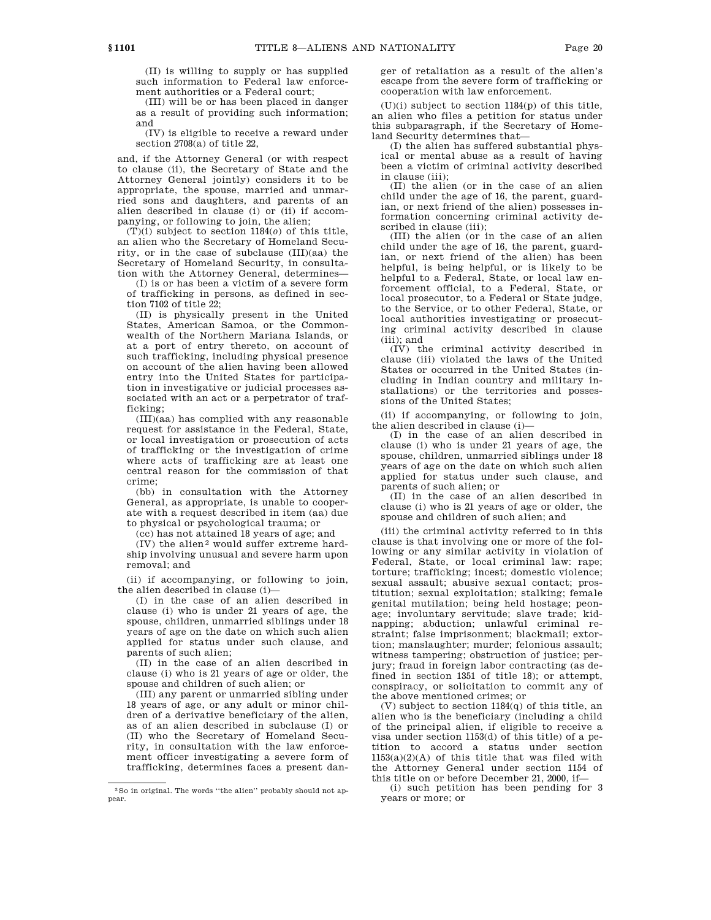(II) is willing to supply or has supplied such information to Federal law enforcement authorities or a Federal court;

(III) will be or has been placed in danger as a result of providing such information; and

(IV) is eligible to receive a reward under section 2708(a) of title 22,

and, if the Attorney General (or with respect to clause (ii), the Secretary of State and the Attorney General jointly) considers it to be appropriate, the spouse, married and unmarried sons and daughters, and parents of an alien described in clause (i) or (ii) if accompanying, or following to join, the alien;

(T)(i) subject to section 1184(*o*) of this title, an alien who the Secretary of Homeland Security, or in the case of subclause (III)(aa) the Secretary of Homeland Security, in consultation with the Attorney General, determines—

(I) is or has been a victim of a severe form of trafficking in persons, as defined in section 7102 of title  $22$ ;

(II) is physically present in the United States, American Samoa, or the Commonwealth of the Northern Mariana Islands, or at a port of entry thereto, on account of such trafficking, including physical presence on account of the alien having been allowed entry into the United States for participation in investigative or judicial processes associated with an act or a perpetrator of trafficking;

(III)(aa) has complied with any reasonable request for assistance in the Federal, State, or local investigation or prosecution of acts of trafficking or the investigation of crime where acts of trafficking are at least one central reason for the commission of that crime;

(bb) in consultation with the Attorney General, as appropriate, is unable to cooperate with a request described in item (aa) due to physical or psychological trauma; or

(cc) has not attained 18 years of age; and

 $(IV)$  the alien<sup>2</sup> would suffer extreme hardship involving unusual and severe harm upon removal; and

(ii) if accompanying, or following to join, the alien described in clause (i)—

(I) in the case of an alien described in clause (i) who is under 21 years of age, the spouse, children, unmarried siblings under 18 years of age on the date on which such alien applied for status under such clause, and parents of such alien;

(II) in the case of an alien described in clause (i) who is 21 years of age or older, the spouse and children of such alien; or

(III) any parent or unmarried sibling under 18 years of age, or any adult or minor children of a derivative beneficiary of the alien, as of an alien described in subclause (I) or (II) who the Secretary of Homeland Security, in consultation with the law enforcement officer investigating a severe form of trafficking, determines faces a present danger of retaliation as a result of the alien's escape from the severe form of trafficking or cooperation with law enforcement.

(U)(i) subject to section 1184(p) of this title, an alien who files a petition for status under this subparagraph, if the Secretary of Homeland Security determines that—

(I) the alien has suffered substantial physical or mental abuse as a result of having been a victim of criminal activity described in clause (iii);

(II) the alien (or in the case of an alien child under the age of 16, the parent, guardian, or next friend of the alien) possesses information concerning criminal activity described in clause (iii);

(III) the alien (or in the case of an alien child under the age of 16, the parent, guardian, or next friend of the alien) has been helpful, is being helpful, or is likely to be helpful to a Federal, State, or local law enforcement official, to a Federal, State, or local prosecutor, to a Federal or State judge, to the Service, or to other Federal, State, or local authorities investigating or prosecuting criminal activity described in clause (iii); and

(IV) the criminal activity described in clause (iii) violated the laws of the United States or occurred in the United States (including in Indian country and military installations) or the territories and possessions of the United States;

(ii) if accompanying, or following to join, the alien described in clause (i)—

(I) in the case of an alien described in clause (i) who is under 21 years of age, the spouse, children, unmarried siblings under 18 years of age on the date on which such alien applied for status under such clause, and parents of such alien; or

(II) in the case of an alien described in clause (i) who is 21 years of age or older, the spouse and children of such alien; and

(iii) the criminal activity referred to in this clause is that involving one or more of the following or any similar activity in violation of Federal, State, or local criminal law: rape; torture; trafficking; incest; domestic violence; sexual assault; abusive sexual contact; prostitution; sexual exploitation; stalking; female genital mutilation; being held hostage; peonage; involuntary servitude; slave trade; kidnapping; abduction; unlawful criminal restraint; false imprisonment; blackmail; extortion; manslaughter; murder; felonious assault; witness tampering; obstruction of justice; perjury; fraud in foreign labor contracting (as defined in section 1351 of title 18); or attempt, conspiracy, or solicitation to commit any of the above mentioned crimes; or

(V) subject to section 1184(q) of this title, an alien who is the beneficiary (including a child of the principal alien, if eligible to receive a visa under section 1153(d) of this title) of a petition to accord a status under section  $1153(a)(2)(A)$  of this title that was filed with the Attorney General under section 1154 of this title on or before December 21, 2000, if—

(i) such petition has been pending for 3 years or more; or

<sup>2</sup>So in original. The words ''the alien'' probably should not appear.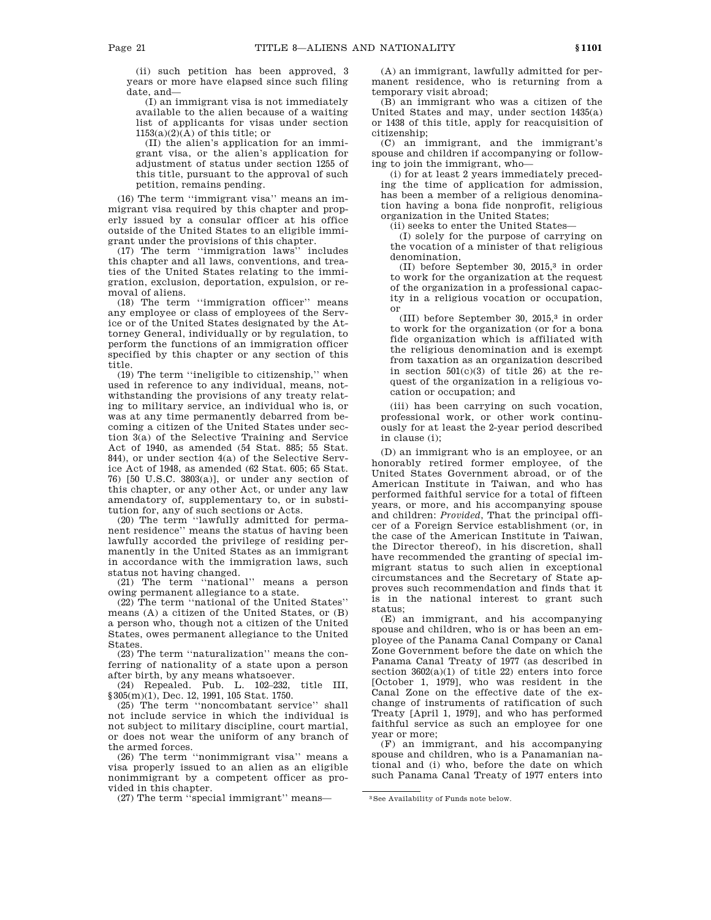(ii) such petition has been approved, 3 years or more have elapsed since such filing date, and—

(I) an immigrant visa is not immediately available to the alien because of a waiting list of applicants for visas under section  $1153(a)(2)(A)$  of this title; or

(II) the alien's application for an immigrant visa, or the alien's application for adjustment of status under section 1255 of this title, pursuant to the approval of such petition, remains pending.

(16) The term ''immigrant visa'' means an immigrant visa required by this chapter and properly issued by a consular officer at his office outside of the United States to an eligible immigrant under the provisions of this chapter.

(17) The term ''immigration laws'' includes this chapter and all laws, conventions, and treaties of the United States relating to the immigration, exclusion, deportation, expulsion, or removal of aliens.

(18) The term ''immigration officer'' means any employee or class of employees of the Service or of the United States designated by the Attorney General, individually or by regulation, to perform the functions of an immigration officer specified by this chapter or any section of this title.

(19) The term ''ineligible to citizenship,'' when used in reference to any individual, means, notwithstanding the provisions of any treaty relating to military service, an individual who is, or was at any time permanently debarred from becoming a citizen of the United States under section 3(a) of the Selective Training and Service Act of 1940, as amended (54 Stat. 885; 55 Stat. 844), or under section 4(a) of the Selective Service Act of 1948, as amended (62 Stat. 605; 65 Stat. 76) [50 U.S.C. 3803(a)], or under any section of this chapter, or any other Act, or under any law amendatory of, supplementary to, or in substitution for, any of such sections or Acts.

(20) The term ''lawfully admitted for permanent residence'' means the status of having been lawfully accorded the privilege of residing permanently in the United States as an immigrant in accordance with the immigration laws, such status not having changed.

(21) The term ''national'' means a person owing permanent allegiance to a state.

(22) The term ''national of the United States'' means (A) a citizen of the United States, or (B) a person who, though not a citizen of the United States, owes permanent allegiance to the United **States** 

(23) The term ''naturalization'' means the conferring of nationality of a state upon a person after birth, by any means whatsoever.

(24) Repealed. Pub. L. 102–232, title III, §305(m)(1), Dec. 12, 1991, 105 Stat. 1750.

(25) The term ''noncombatant service'' shall not include service in which the individual is not subject to military discipline, court martial, or does not wear the uniform of any branch of the armed forces.

(26) The term ''nonimmigrant visa'' means a visa properly issued to an alien as an eligible nonimmigrant by a competent officer as provided in this chapter.

(27) The term ''special immigrant'' means—

(A) an immigrant, lawfully admitted for permanent residence, who is returning from a temporary visit abroad;

(B) an immigrant who was a citizen of the United States and may, under section 1435(a) or 1438 of this title, apply for reacquisition of citizenship;

(C) an immigrant, and the immigrant's spouse and children if accompanying or following to join the immigrant, who—

(i) for at least 2 years immediately preceding the time of application for admission, has been a member of a religious denomination having a bona fide nonprofit, religious organization in the United States;

(ii) seeks to enter the United States—

(I) solely for the purpose of carrying on the vocation of a minister of that religious denomination,

(II) before September 30, 2015,3 in order to work for the organization at the request of the organization in a professional capacity in a religious vocation or occupation, or

(III) before September 30, 2015,3 in order to work for the organization (or for a bona fide organization which is affiliated with the religious denomination and is exempt from taxation as an organization described in section  $501(c)(3)$  of title 26) at the request of the organization in a religious vocation or occupation; and

(iii) has been carrying on such vocation, professional work, or other work continuously for at least the 2-year period described in clause (i);

(D) an immigrant who is an employee, or an honorably retired former employee, of the United States Government abroad, or of the American Institute in Taiwan, and who has performed faithful service for a total of fifteen years, or more, and his accompanying spouse and children: *Provided*, That the principal officer of a Foreign Service establishment (or, in the case of the American Institute in Taiwan, the Director thereof), in his discretion, shall have recommended the granting of special immigrant status to such alien in exceptional circumstances and the Secretary of State approves such recommendation and finds that it is in the national interest to grant such status;

(E) an immigrant, and his accompanying spouse and children, who is or has been an employee of the Panama Canal Company or Canal Zone Government before the date on which the Panama Canal Treaty of 1977 (as described in section  $3602(a)(1)$  of title 22) enters into force [October 1, 1979], who was resident in the Canal Zone on the effective date of the exchange of instruments of ratification of such Treaty [April 1, 1979], and who has performed faithful service as such an employee for one year or more;

(F) an immigrant, and his accompanying spouse and children, who is a Panamanian national and (i) who, before the date on which such Panama Canal Treaty of 1977 enters into

<sup>3</sup>See Availability of Funds note below.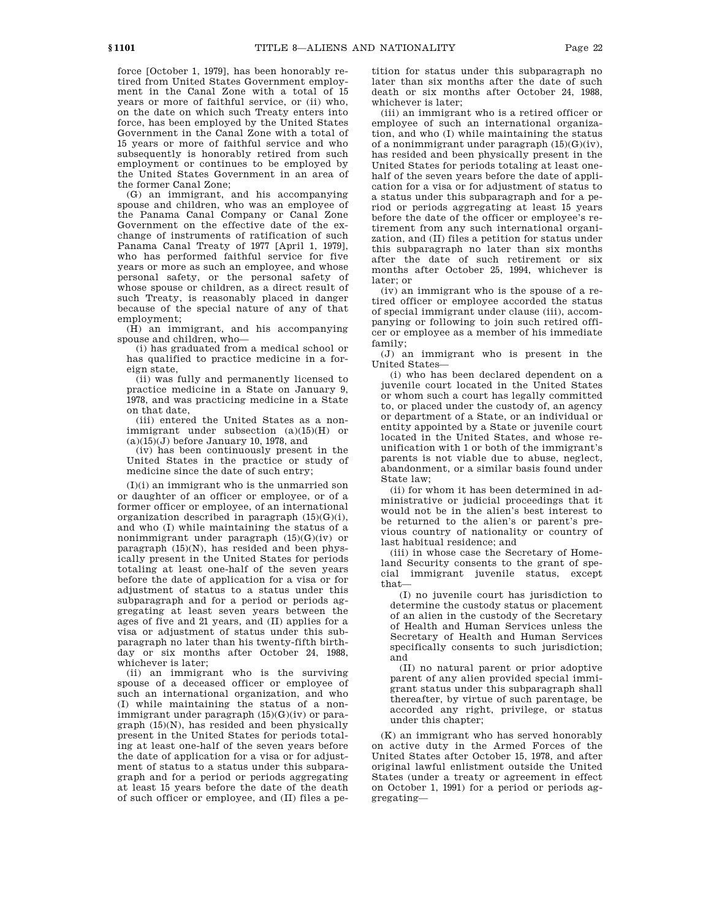force [October 1, 1979], has been honorably retired from United States Government employment in the Canal Zone with a total of 15 years or more of faithful service, or (ii) who, on the date on which such Treaty enters into force, has been employed by the United States Government in the Canal Zone with a total of 15 years or more of faithful service and who subsequently is honorably retired from such employment or continues to be employed by the United States Government in an area of the former Canal Zone;

(G) an immigrant, and his accompanying spouse and children, who was an employee of the Panama Canal Company or Canal Zone Government on the effective date of the exchange of instruments of ratification of such Panama Canal Treaty of 1977 [April 1, 1979], who has performed faithful service for five years or more as such an employee, and whose personal safety, or the personal safety of whose spouse or children, as a direct result of such Treaty, is reasonably placed in danger because of the special nature of any of that employment;

(H) an immigrant, and his accompanying spouse and children, who—

(i) has graduated from a medical school or has qualified to practice medicine in a foreign state,

(ii) was fully and permanently licensed to practice medicine in a State on January 9, 1978, and was practicing medicine in a State on that date,

(iii) entered the United States as a nonimmigrant under subsection (a)(15)(H) or  $(a)(15)(J)$  before January 10, 1978, and

(iv) has been continuously present in the United States in the practice or study of medicine since the date of such entry;

(I)(i) an immigrant who is the unmarried son or daughter of an officer or employee, or of a former officer or employee, of an international organization described in paragraph  $(15)(G)(i)$ , and who (I) while maintaining the status of a nonimmigrant under paragraph  $(15)(G)(iv)$  or paragraph (15)(N), has resided and been physically present in the United States for periods totaling at least one-half of the seven years before the date of application for a visa or for adjustment of status to a status under this subparagraph and for a period or periods aggregating at least seven years between the ages of five and 21 years, and (II) applies for a visa or adjustment of status under this subparagraph no later than his twenty-fifth birthday or six months after October 24, 1988, whichever is later;

(ii) an immigrant who is the surviving spouse of a deceased officer or employee of such an international organization, and who (I) while maintaining the status of a nonimmigrant under paragraph (15)(G)(iv) or paragraph (15)(N), has resided and been physically present in the United States for periods totaling at least one-half of the seven years before the date of application for a visa or for adjustment of status to a status under this subparagraph and for a period or periods aggregating at least 15 years before the date of the death of such officer or employee, and (II) files a petition for status under this subparagraph no later than six months after the date of such death or six months after October 24, 1988, whichever is later;

(iii) an immigrant who is a retired officer or employee of such an international organization, and who (I) while maintaining the status of a nonimmigrant under paragraph  $(15)(G)(iv)$ , has resided and been physically present in the United States for periods totaling at least onehalf of the seven years before the date of application for a visa or for adjustment of status to a status under this subparagraph and for a period or periods aggregating at least 15 years before the date of the officer or employee's retirement from any such international organization, and (II) files a petition for status under this subparagraph no later than six months after the date of such retirement or six months after October 25, 1994, whichever is later; or

(iv) an immigrant who is the spouse of a retired officer or employee accorded the status of special immigrant under clause (iii), accompanying or following to join such retired officer or employee as a member of his immediate family;

(J) an immigrant who is present in the United States—

(i) who has been declared dependent on a juvenile court located in the United States or whom such a court has legally committed to, or placed under the custody of, an agency or department of a State, or an individual or entity appointed by a State or juvenile court located in the United States, and whose reunification with 1 or both of the immigrant's parents is not viable due to abuse, neglect, abandonment, or a similar basis found under State law;

(ii) for whom it has been determined in administrative or judicial proceedings that it would not be in the alien's best interest to be returned to the alien's or parent's previous country of nationality or country of last habitual residence; and

(iii) in whose case the Secretary of Homeland Security consents to the grant of special immigrant juvenile status, except that—

(I) no juvenile court has jurisdiction to determine the custody status or placement of an alien in the custody of the Secretary of Health and Human Services unless the Secretary of Health and Human Services specifically consents to such jurisdiction; and

(II) no natural parent or prior adoptive parent of any alien provided special immigrant status under this subparagraph shall thereafter, by virtue of such parentage, be accorded any right, privilege, or status under this chapter;

(K) an immigrant who has served honorably on active duty in the Armed Forces of the United States after October 15, 1978, and after original lawful enlistment outside the United States (under a treaty or agreement in effect on October 1, 1991) for a period or periods aggregating—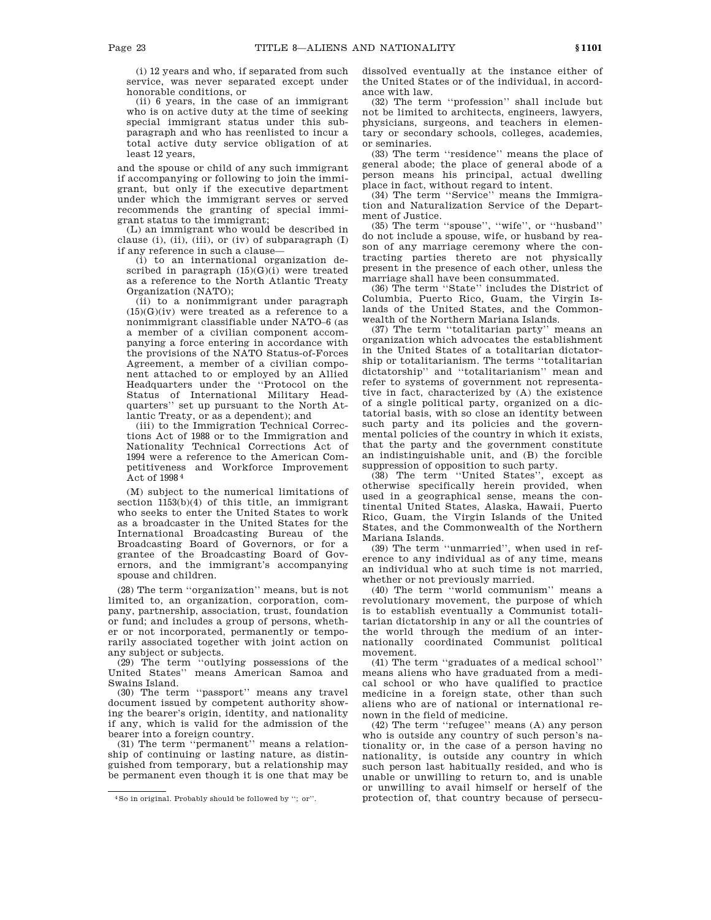(i) 12 years and who, if separated from such service, was never separated except under honorable conditions, or

(ii) 6 years, in the case of an immigrant who is on active duty at the time of seeking special immigrant status under this subparagraph and who has reenlisted to incur a total active duty service obligation of at least 12 years,

and the spouse or child of any such immigrant if accompanying or following to join the immigrant, but only if the executive department under which the immigrant serves or served recommends the granting of special immigrant status to the immigrant;

(L) an immigrant who would be described in clause (i), (ii), (iii), or (iv) of subparagraph  $(I)$ if any reference in such a clause—

(i) to an international organization described in paragraph  $(15)(G)(i)$  were treated as a reference to the North Atlantic Treaty Organization (NATO);

(ii) to a nonimmigrant under paragraph  $(15)(G)(iv)$  were treated as a reference to a nonimmigrant classifiable under NATO–6 (as a member of a civilian component accompanying a force entering in accordance with the provisions of the NATO Status-of-Forces Agreement, a member of a civilian component attached to or employed by an Allied Headquarters under the ''Protocol on the Status of International Military Headquarters'' set up pursuant to the North Atlantic Treaty, or as a dependent); and

(iii) to the Immigration Technical Corrections Act of 1988 or to the Immigration and Nationality Technical Corrections Act of 1994 were a reference to the American Competitiveness and Workforce Improvement Act of 1998 4

(M) subject to the numerical limitations of section 1153(b)(4) of this title, an immigrant who seeks to enter the United States to work as a broadcaster in the United States for the International Broadcasting Bureau of the Broadcasting Board of Governors, or for a grantee of the Broadcasting Board of Governors, and the immigrant's accompanying spouse and children.

(28) The term ''organization'' means, but is not limited to, an organization, corporation, company, partnership, association, trust, foundation or fund; and includes a group of persons, whether or not incorporated, permanently or temporarily associated together with joint action on any subject or subjects.

(29) The term ''outlying possessions of the United States'' means American Samoa and Swains Island.

(30) The term ''passport'' means any travel document issued by competent authority showing the bearer's origin, identity, and nationality if any, which is valid for the admission of the bearer into a foreign country.

(31) The term ''permanent'' means a relationship of continuing or lasting nature, as distinguished from temporary, but a relationship may be permanent even though it is one that may be dissolved eventually at the instance either of the United States or of the individual, in accordance with law.

(32) The term ''profession'' shall include but not be limited to architects, engineers, lawyers, physicians, surgeons, and teachers in elementary or secondary schools, colleges, academies, or seminaries.

(33) The term ''residence'' means the place of general abode; the place of general abode of a person means his principal, actual dwelling place in fact, without regard to intent.

(34) The term ''Service'' means the Immigration and Naturalization Service of the Department of Justice.

(35) The term ''spouse'', ''wife'', or ''husband'' do not include a spouse, wife, or husband by reason of any marriage ceremony where the contracting parties thereto are not physically present in the presence of each other, unless the marriage shall have been consummated.

(36) The term ''State'' includes the District of Columbia, Puerto Rico, Guam, the Virgin Islands of the United States, and the Commonwealth of the Northern Mariana Islands.

(37) The term ''totalitarian party'' means an organization which advocates the establishment in the United States of a totalitarian dictatorship or totalitarianism. The terms ''totalitarian dictatorship'' and ''totalitarianism'' mean and refer to systems of government not representative in fact, characterized by (A) the existence of a single political party, organized on a dictatorial basis, with so close an identity between such party and its policies and the governmental policies of the country in which it exists, that the party and the government constitute an indistinguishable unit, and (B) the forcible suppression of opposition to such party.

(38) The term ''United States'', except as otherwise specifically herein provided, when used in a geographical sense, means the continental United States, Alaska, Hawaii, Puerto Rico, Guam, the Virgin Islands of the United States, and the Commonwealth of the Northern Mariana Islands.

(39) The term ''unmarried'', when used in reference to any individual as of any time, means an individual who at such time is not married, whether or not previously married.

(40) The term ''world communism'' means a revolutionary movement, the purpose of which is to establish eventually a Communist totalitarian dictatorship in any or all the countries of the world through the medium of an internationally coordinated Communist political movement.

(41) The term ''graduates of a medical school'' means aliens who have graduated from a medical school or who have qualified to practice medicine in a foreign state, other than such aliens who are of national or international renown in the field of medicine.

(42) The term ''refugee'' means (A) any person who is outside any country of such person's nationality or, in the case of a person having no nationality, is outside any country in which such person last habitually resided, and who is unable or unwilling to return to, and is unable or unwilling to avail himself or herself of the protection of, that country because of persecu-

<sup>4</sup>So in original. Probably should be followed by ''; or''.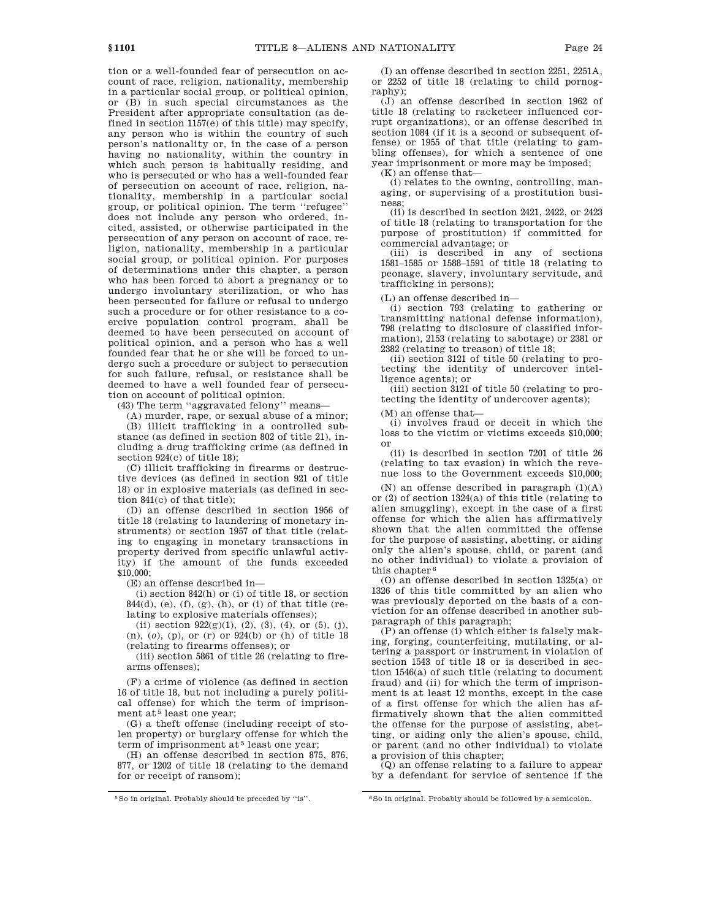tion or a well-founded fear of persecution on account of race, religion, nationality, membership in a particular social group, or political opinion, or (B) in such special circumstances as the President after appropriate consultation (as defined in section 1157(e) of this title) may specify, any person who is within the country of such person's nationality or, in the case of a person having no nationality, within the country in which such person is habitually residing, and who is persecuted or who has a well-founded fear of persecution on account of race, religion, nationality, membership in a particular social group, or political opinion. The term ''refugee'' does not include any person who ordered, incited, assisted, or otherwise participated in the persecution of any person on account of race, religion, nationality, membership in a particular social group, or political opinion. For purposes of determinations under this chapter, a person who has been forced to abort a pregnancy or to undergo involuntary sterilization, or who has been persecuted for failure or refusal to undergo such a procedure or for other resistance to a coercive population control program, shall be deemed to have been persecuted on account of political opinion, and a person who has a well founded fear that he or she will be forced to undergo such a procedure or subject to persecution for such failure, refusal, or resistance shall be deemed to have a well founded fear of persecution on account of political opinion.

(43) The term ''aggravated felony'' means—

(A) murder, rape, or sexual abuse of a minor; (B) illicit trafficking in a controlled substance (as defined in section 802 of title 21), including a drug trafficking crime (as defined in section  $924(c)$  of title  $18$ );

(C) illicit trafficking in firearms or destructive devices (as defined in section 921 of title 18) or in explosive materials (as defined in section 841(c) of that title);

(D) an offense described in section 1956 of title 18 (relating to laundering of monetary instruments) or section 1957 of that title (relating to engaging in monetary transactions in property derived from specific unlawful activity) if the amount of the funds exceeded \$10,000;

(E) an offense described in—

(i) section  $842(h)$  or (i) of title 18, or section 844(d), (e), (f), (g), (h), or (i) of that title (relating to explosive materials offenses);

(ii) section  $922(g)(1)$ ,  $(2)$ ,  $(3)$ ,  $(4)$ , or  $(5)$ ,  $(j)$ , (n), (*o*), (p), or (r) or 924(b) or (h) of title 18 (relating to firearms offenses); or

(iii) section 5861 of title 26 (relating to firearms offenses);

(F) a crime of violence (as defined in section 16 of title 18, but not including a purely political offense) for which the term of imprisonment at<sup>5</sup> least one year;

(G) a theft offense (including receipt of stolen property) or burglary offense for which the term of imprisonment at<sup>5</sup> least one year;

(H) an offense described in section 875, 876, 877, or 1202 of title 18 (relating to the demand for or receipt of ransom);

(I) an offense described in section 2251, 2251A, or 2252 of title 18 (relating to child pornography);

(J) an offense described in section 1962 of title 18 (relating to racketeer influenced corrupt organizations), or an offense described in section 1084 (if it is a second or subsequent offense) or 1955 of that title (relating to gambling offenses), for which a sentence of one year imprisonment or more may be imposed;

(K) an offense that—

(i) relates to the owning, controlling, managing, or supervising of a prostitution business;

(ii) is described in section 2421, 2422, or 2423 of title 18 (relating to transportation for the purpose of prostitution) if committed for commercial advantage; or

(iii) is described in any of sections 1581–1585 or 1588–1591 of title 18 (relating to peonage, slavery, involuntary servitude, and trafficking in persons);

(L) an offense described in—

(i) section 793 (relating to gathering or transmitting national defense information), 798 (relating to disclosure of classified information), 2153 (relating to sabotage) or 2381 or 2382 (relating to treason) of title 18;

(ii) section 3121 of title 50 (relating to protecting the identity of undercover intelligence agents); or

(iii) section 3121 of title 50 (relating to protecting the identity of undercover agents);

(M) an offense that—

(i) involves fraud or deceit in which the loss to the victim or victims exceeds \$10,000; or

(ii) is described in section 7201 of title 26 (relating to tax evasion) in which the revenue loss to the Government exceeds \$10,000;

 $(N)$  an offense described in paragraph  $(1)(A)$ or (2) of section 1324(a) of this title (relating to alien smuggling), except in the case of a first offense for which the alien has affirmatively shown that the alien committed the offense for the purpose of assisting, abetting, or aiding only the alien's spouse, child, or parent (and no other individual) to violate a provision of this chapter 6

(O) an offense described in section 1325(a) or 1326 of this title committed by an alien who was previously deported on the basis of a conviction for an offense described in another subparagraph of this paragraph;

(P) an offense (i) which either is falsely making, forging, counterfeiting, mutilating, or altering a passport or instrument in violation of section 1543 of title 18 or is described in section 1546(a) of such title (relating to document fraud) and (ii) for which the term of imprisonment is at least 12 months, except in the case of a first offense for which the alien has affirmatively shown that the alien committed the offense for the purpose of assisting, abetting, or aiding only the alien's spouse, child, or parent (and no other individual) to violate a provision of this chapter;

(Q) an offense relating to a failure to appear by a defendant for service of sentence if the

<sup>5</sup>So in original. Probably should be preceded by ''is''. 6So in original. Probably should be followed by a semicolon.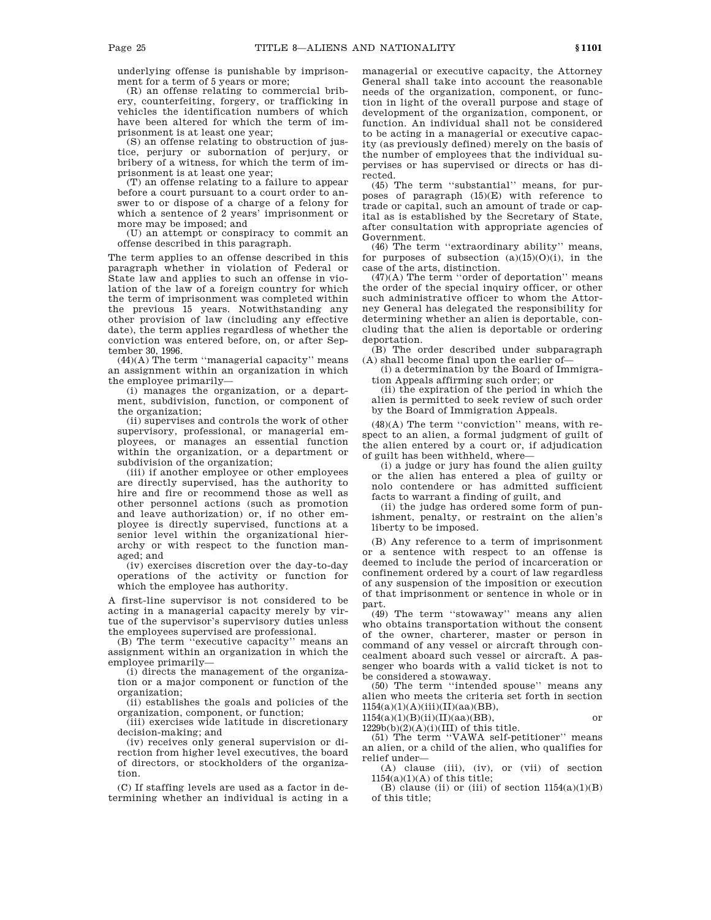underlying offense is punishable by imprisonment for a term of 5 years or more;

(R) an offense relating to commercial bribery, counterfeiting, forgery, or trafficking in vehicles the identification numbers of which have been altered for which the term of imprisonment is at least one year;

(S) an offense relating to obstruction of justice, perjury or subornation of perjury, or bribery of a witness, for which the term of imprisonment is at least one year;

(T) an offense relating to a failure to appear before a court pursuant to a court order to answer to or dispose of a charge of a felony for which a sentence of 2 years' imprisonment or more may be imposed; and

(U) an attempt or conspiracy to commit an offense described in this paragraph.

The term applies to an offense described in this paragraph whether in violation of Federal or State law and applies to such an offense in violation of the law of a foreign country for which the term of imprisonment was completed within the previous 15 years. Notwithstanding any other provision of law (including any effective date), the term applies regardless of whether the conviction was entered before, on, or after September 30, 1996.

(44)(A) The term ''managerial capacity'' means an assignment within an organization in which the employee primarily—

(i) manages the organization, or a department, subdivision, function, or component of the organization;

(ii) supervises and controls the work of other supervisory, professional, or managerial employees, or manages an essential function within the organization, or a department or subdivision of the organization;

(iii) if another employee or other employees are directly supervised, has the authority to hire and fire or recommend those as well as other personnel actions (such as promotion and leave authorization) or, if no other employee is directly supervised, functions at a senior level within the organizational hierarchy or with respect to the function managed; and

(iv) exercises discretion over the day-to-day operations of the activity or function for which the employee has authority.

A first-line supervisor is not considered to be acting in a managerial capacity merely by virtue of the supervisor's supervisory duties unless the employees supervised are professional.

(B) The term ''executive capacity'' means an assignment within an organization in which the employee primarily—

(i) directs the management of the organization or a major component or function of the organization;

(ii) establishes the goals and policies of the organization, component, or function;

(iii) exercises wide latitude in discretionary decision-making; and

(iv) receives only general supervision or direction from higher level executives, the board of directors, or stockholders of the organization.

(C) If staffing levels are used as a factor in determining whether an individual is acting in a managerial or executive capacity, the Attorney General shall take into account the reasonable needs of the organization, component, or function in light of the overall purpose and stage of development of the organization, component, or function. An individual shall not be considered to be acting in a managerial or executive capacity (as previously defined) merely on the basis of the number of employees that the individual supervises or has supervised or directs or has directed.

(45) The term ''substantial'' means, for purposes of paragraph (15)(E) with reference to trade or capital, such an amount of trade or capital as is established by the Secretary of State, after consultation with appropriate agencies of Government.

(46) The term ''extraordinary ability'' means, for purposes of subsection  $(a)(15)(0)(i)$ , in the case of the arts, distinction.

(47)(A) The term ''order of deportation'' means the order of the special inquiry officer, or other such administrative officer to whom the Attorney General has delegated the responsibility for determining whether an alien is deportable, concluding that the alien is deportable or ordering deportation.

(B) The order described under subparagraph (A) shall become final upon the earlier of—

(i) a determination by the Board of Immigration Appeals affirming such order; or

(ii) the expiration of the period in which the alien is permitted to seek review of such order by the Board of Immigration Appeals.

(48)(A) The term ''conviction'' means, with respect to an alien, a formal judgment of guilt of the alien entered by a court or, if adjudication of guilt has been withheld, where—

(i) a judge or jury has found the alien guilty or the alien has entered a plea of guilty or nolo contendere or has admitted sufficient facts to warrant a finding of guilt, and

(ii) the judge has ordered some form of punishment, penalty, or restraint on the alien's liberty to be imposed.

(B) Any reference to a term of imprisonment or a sentence with respect to an offense is deemed to include the period of incarceration or confinement ordered by a court of law regardless of any suspension of the imposition or execution of that imprisonment or sentence in whole or in part.

(49) The term ''stowaway'' means any alien who obtains transportation without the consent of the owner, charterer, master or person in command of any vessel or aircraft through concealment aboard such vessel or aircraft. A passenger who boards with a valid ticket is not to be considered a stowaway.

(50) The term ''intended spouse'' means any alien who meets the criteria set forth in section  $1154(a)(1)(A)(iii)(II)(aa)(BB),$ 

 $1154(a)(1)(B)(ii)(II)(aa)(BB)$ , or

 $1229b(b)(2)(A)(i)(III)$  of this title.

(51) The term ''VAWA self-petitioner'' means an alien, or a child of the alien, who qualifies for relief under—

(A) clause (iii), (iv), or (vii) of section  $1154(a)(1)(A)$  of this title;

(B) clause (ii) or (iii) of section  $1154(a)(1)(B)$ of this title;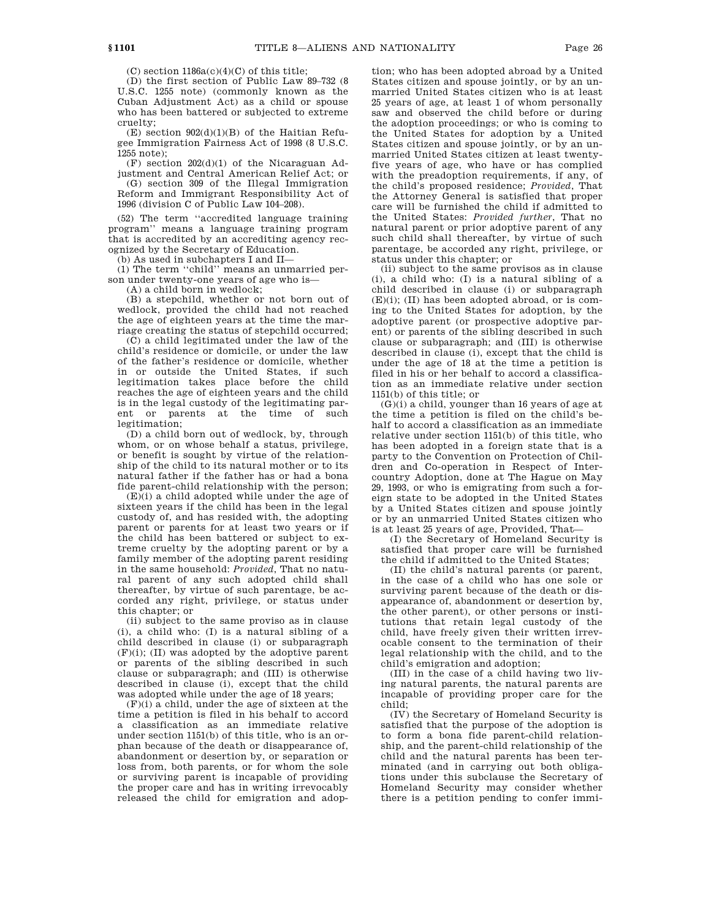$(C)$  section 1186a $(c)(4)(C)$  of this title; (D) the first section of Public Law 89–732 (8 U.S.C. 1255 note) (commonly known as the Cuban Adjustment Act) as a child or spouse who has been battered or subjected to extreme

cruelty;  $(E)$  section 902 $(d)(1)(B)$  of the Haitian Refugee Immigration Fairness Act of 1998 (8 U.S.C. 1255 note);

(F) section 202(d)(1) of the Nicaraguan Ad-

justment and Central American Relief Act; or (G) section 309 of the Illegal Immigration Reform and Immigrant Responsibility Act of 1996 (division C of Public Law 104–208).

(52) The term ''accredited language training program'' means a language training program that is accredited by an accrediting agency recognized by the Secretary of Education.

(b) As used in subchapters I and II—

(1) The term ''child'' means an unmarried person under twenty-one years of age who is—

(A) a child born in wedlock;

(B) a stepchild, whether or not born out of wedlock, provided the child had not reached the age of eighteen years at the time the marriage creating the status of stepchild occurred;

(C) a child legitimated under the law of the child's residence or domicile, or under the law of the father's residence or domicile, whether in or outside the United States, if such legitimation takes place before the child reaches the age of eighteen years and the child is in the legal custody of the legitimating parent or parents at the time of such legitimation;

(D) a child born out of wedlock, by, through whom, or on whose behalf a status, privilege, or benefit is sought by virtue of the relationship of the child to its natural mother or to its natural father if the father has or had a bona fide parent-child relationship with the person;

 $(E)(i)$  a child adopted while under the age of sixteen years if the child has been in the legal custody of, and has resided with, the adopting parent or parents for at least two years or if the child has been battered or subject to extreme cruelty by the adopting parent or by a family member of the adopting parent residing in the same household: *Provided*, That no natural parent of any such adopted child shall thereafter, by virtue of such parentage, be accorded any right, privilege, or status under this chapter; or

(ii) subject to the same proviso as in clause (i), a child who: (I) is a natural sibling of a child described in clause (i) or subparagraph (F)(i); (II) was adopted by the adoptive parent or parents of the sibling described in such clause or subparagraph; and (III) is otherwise described in clause (i), except that the child was adopted while under the age of 18 years;

(F)(i) a child, under the age of sixteen at the time a petition is filed in his behalf to accord a classification as an immediate relative under section 1151(b) of this title, who is an orphan because of the death or disappearance of, abandonment or desertion by, or separation or loss from, both parents, or for whom the sole or surviving parent is incapable of providing the proper care and has in writing irrevocably released the child for emigration and adoption; who has been adopted abroad by a United States citizen and spouse jointly, or by an unmarried United States citizen who is at least 25 years of age, at least 1 of whom personally saw and observed the child before or during the adoption proceedings; or who is coming to the United States for adoption by a United States citizen and spouse jointly, or by an unmarried United States citizen at least twentyfive years of age, who have or has complied with the preadoption requirements, if any, of the child's proposed residence; *Provided*, That the Attorney General is satisfied that proper care will be furnished the child if admitted to the United States: *Provided further*, That no natural parent or prior adoptive parent of any such child shall thereafter, by virtue of such parentage, be accorded any right, privilege, or status under this chapter; or

(ii) subject to the same provisos as in clause (i), a child who: (I) is a natural sibling of a child described in clause (i) or subparagraph (E)(i); (II) has been adopted abroad, or is coming to the United States for adoption, by the adoptive parent (or prospective adoptive parent) or parents of the sibling described in such clause or subparagraph; and (III) is otherwise described in clause (i), except that the child is under the age of 18 at the time a petition is filed in his or her behalf to accord a classification as an immediate relative under section 1151(b) of this title; or

(G)(i) a child, younger than 16 years of age at the time a petition is filed on the child's behalf to accord a classification as an immediate relative under section 1151(b) of this title, who has been adopted in a foreign state that is a party to the Convention on Protection of Children and Co-operation in Respect of Intercountry Adoption, done at The Hague on May 29, 1993, or who is emigrating from such a foreign state to be adopted in the United States by a United States citizen and spouse jointly or by an unmarried United States citizen who is at least 25 years of age, Provided, That—

(I) the Secretary of Homeland Security is satisfied that proper care will be furnished the child if admitted to the United States;

(II) the child's natural parents (or parent, in the case of a child who has one sole or surviving parent because of the death or disappearance of, abandonment or desertion by, the other parent), or other persons or institutions that retain legal custody of the child, have freely given their written irrevocable consent to the termination of their legal relationship with the child, and to the child's emigration and adoption;

(III) in the case of a child having two living natural parents, the natural parents are incapable of providing proper care for the child;

(IV) the Secretary of Homeland Security is satisfied that the purpose of the adoption is to form a bona fide parent-child relationship, and the parent-child relationship of the child and the natural parents has been terminated (and in carrying out both obligations under this subclause the Secretary of Homeland Security may consider whether there is a petition pending to confer immi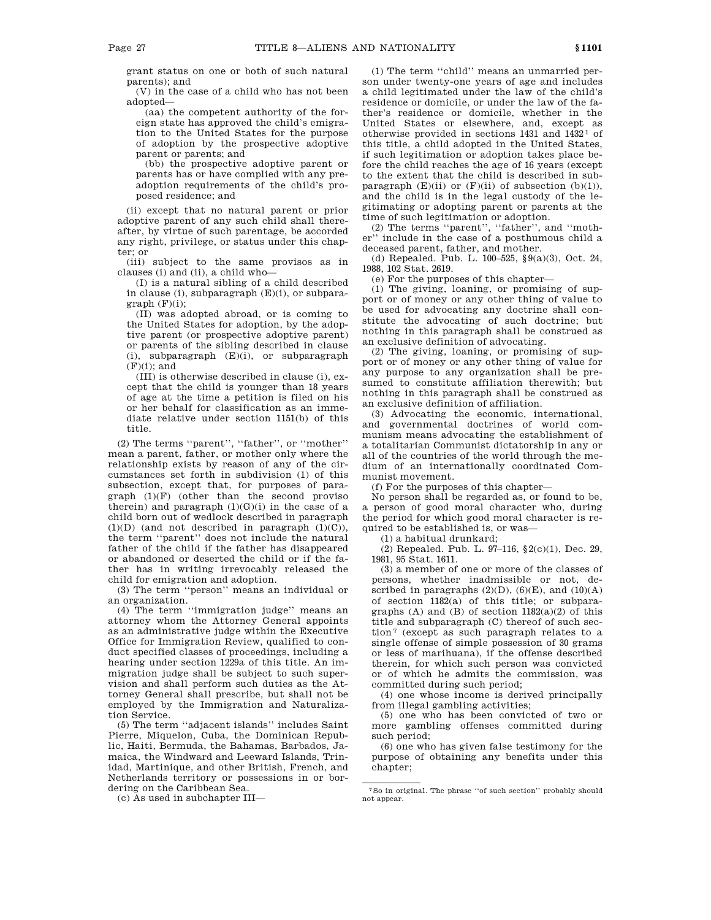grant status on one or both of such natural parents); and

(V) in the case of a child who has not been adopted—

(aa) the competent authority of the foreign state has approved the child's emigration to the United States for the purpose of adoption by the prospective adoptive parent or parents; and

(bb) the prospective adoptive parent or parents has or have complied with any preadoption requirements of the child's proposed residence; and

(ii) except that no natural parent or prior adoptive parent of any such child shall thereafter, by virtue of such parentage, be accorded any right, privilege, or status under this chapter; or

(iii) subject to the same provisos as in clauses (i) and (ii), a child who—

(I) is a natural sibling of a child described in clause (i), subparagraph (E)(i), or subparagraph (F)(i);

(II) was adopted abroad, or is coming to the United States for adoption, by the adoptive parent (or prospective adoptive parent) or parents of the sibling described in clause  $(i)$ , subparagraph  $(E)(i)$ , or subparagraph  $(F)(i)$ ; and

(III) is otherwise described in clause (i), except that the child is younger than 18 years of age at the time a petition is filed on his or her behalf for classification as an immediate relative under section 1151(b) of this title.

(2) The terms ''parent'', ''father'', or ''mother'' mean a parent, father, or mother only where the relationship exists by reason of any of the circumstances set forth in subdivision (1) of this subsection, except that, for purposes of para $graph (1)(F)$  (other than the second proviso therein) and paragraph  $(1)(G)(i)$  in the case of a child born out of wedlock described in paragraph  $(1)(D)$  (and not described in paragraph  $(1)(C)$ ), the term ''parent'' does not include the natural father of the child if the father has disappeared or abandoned or deserted the child or if the father has in writing irrevocably released the child for emigration and adoption.

(3) The term ''person'' means an individual or an organization.

(4) The term ''immigration judge'' means an attorney whom the Attorney General appoints as an administrative judge within the Executive Office for Immigration Review, qualified to conduct specified classes of proceedings, including a hearing under section 1229a of this title. An immigration judge shall be subject to such supervision and shall perform such duties as the Attorney General shall prescribe, but shall not be employed by the Immigration and Naturalization Service.

(5) The term ''adjacent islands'' includes Saint Pierre, Miquelon, Cuba, the Dominican Republic, Haiti, Bermuda, the Bahamas, Barbados, Jamaica, the Windward and Leeward Islands, Trinidad, Martinique, and other British, French, and Netherlands territory or possessions in or bordering on the Caribbean Sea.

(c) As used in subchapter III—

(1) The term ''child'' means an unmarried person under twenty-one years of age and includes a child legitimated under the law of the child's residence or domicile, or under the law of the father's residence or domicile, whether in the United States or elsewhere, and, except as otherwise provided in sections 1431 and 1432<sup>1</sup> of this title, a child adopted in the United States, if such legitimation or adoption takes place before the child reaches the age of 16 years (except to the extent that the child is described in subparagraph  $(E)(ii)$  or  $(F)(ii)$  of subsection  $(b)(1)$ ), and the child is in the legal custody of the legitimating or adopting parent or parents at the time of such legitimation or adoption.

(2) The terms ''parent'', ''father'', and ''mother'' include in the case of a posthumous child a deceased parent, father, and mother.

(d) Repealed. Pub. L. 100–525, §9(a)(3), Oct. 24, 1988, 102 Stat. 2619.

(e) For the purposes of this chapter—

(1) The giving, loaning, or promising of support or of money or any other thing of value to be used for advocating any doctrine shall constitute the advocating of such doctrine; but nothing in this paragraph shall be construed as an exclusive definition of advocating.

(2) The giving, loaning, or promising of support or of money or any other thing of value for any purpose to any organization shall be presumed to constitute affiliation therewith; but nothing in this paragraph shall be construed as an exclusive definition of affiliation.

(3) Advocating the economic, international, and governmental doctrines of world communism means advocating the establishment of a totalitarian Communist dictatorship in any or all of the countries of the world through the medium of an internationally coordinated Communist movement.

(f) For the purposes of this chapter—

No person shall be regarded as, or found to be, a person of good moral character who, during the period for which good moral character is required to be established is, or was—

(1) a habitual drunkard;

(2) Repealed. Pub. L. 97–116, §2(c)(1), Dec. 29, 1981, 95 Stat. 1611.

(3) a member of one or more of the classes of persons, whether inadmissible or not, described in paragraphs  $(2)(D)$ ,  $(6)(E)$ , and  $(10)(A)$ of section 1182(a) of this title; or subparagraphs  $(A)$  and  $(B)$  of section  $1182(a)(2)$  of this title and subparagraph (C) thereof of such section7 (except as such paragraph relates to a single offense of simple possession of 30 grams or less of marihuana), if the offense described therein, for which such person was convicted or of which he admits the commission, was committed during such period;

(4) one whose income is derived principally from illegal gambling activities;

(5) one who has been convicted of two or more gambling offenses committed during such period;

(6) one who has given false testimony for the purpose of obtaining any benefits under this chapter;

<sup>7</sup>So in original. The phrase ''of such section'' probably should not appear.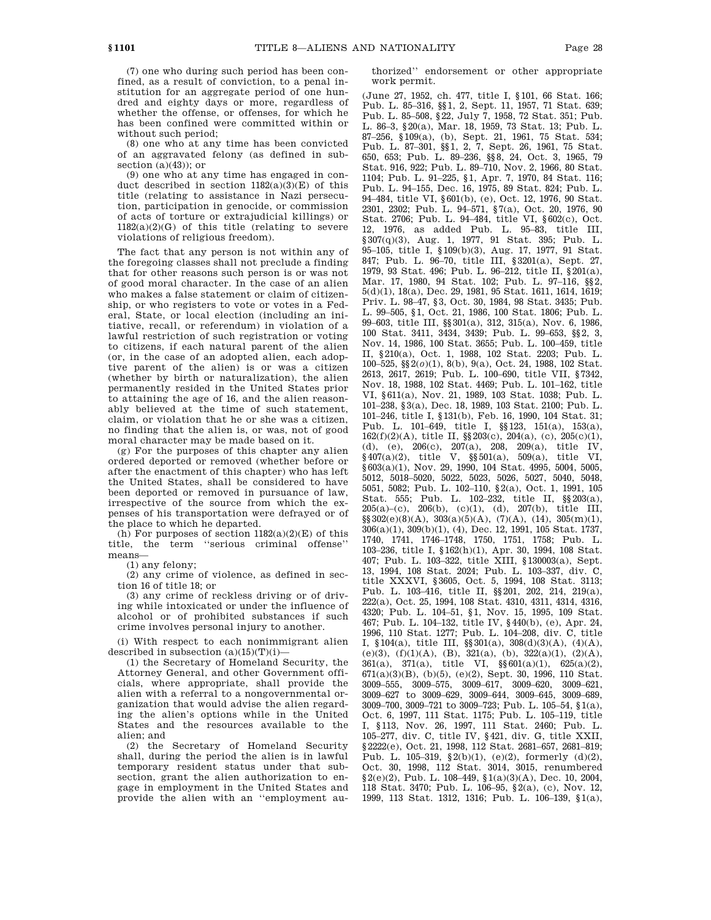(7) one who during such period has been confined, as a result of conviction, to a penal institution for an aggregate period of one hundred and eighty days or more, regardless of whether the offense, or offenses, for which he has been confined were committed within or without such period;

(8) one who at any time has been convicted of an aggravated felony (as defined in subsection  $(a)(43)$ ; or

(9) one who at any time has engaged in conduct described in section  $1182(a)(3)(E)$  of this title (relating to assistance in Nazi persecution, participation in genocide, or commission of acts of torture or extrajudicial killings) or  $1182(a)(2)(G)$  of this title (relating to severe violations of religious freedom).

The fact that any person is not within any of the foregoing classes shall not preclude a finding that for other reasons such person is or was not of good moral character. In the case of an alien who makes a false statement or claim of citizenship, or who registers to vote or votes in a Federal, State, or local election (including an initiative, recall, or referendum) in violation of a lawful restriction of such registration or voting to citizens, if each natural parent of the alien (or, in the case of an adopted alien, each adoptive parent of the alien) is or was a citizen (whether by birth or naturalization), the alien permanently resided in the United States prior to attaining the age of 16, and the alien reasonably believed at the time of such statement, claim, or violation that he or she was a citizen, no finding that the alien is, or was, not of good moral character may be made based on it.

(g) For the purposes of this chapter any alien ordered deported or removed (whether before or after the enactment of this chapter) who has left the United States, shall be considered to have been deported or removed in pursuance of law, irrespective of the source from which the expenses of his transportation were defrayed or of the place to which he departed.

(h) For purposes of section  $1182(a)(2)(E)$  of this title, the term ''serious criminal offense'' means—

(1) any felony;

(2) any crime of violence, as defined in section 16 of title 18; or

(3) any crime of reckless driving or of driving while intoxicated or under the influence of alcohol or of prohibited substances if such crime involves personal injury to another.

(i) With respect to each nonimmigrant alien described in subsection  $(a)(15)(T)(i)$ –

(1) the Secretary of Homeland Security, the Attorney General, and other Government officials, where appropriate, shall provide the alien with a referral to a nongovernmental organization that would advise the alien regarding the alien's options while in the United States and the resources available to the alien; and

(2) the Secretary of Homeland Security shall, during the period the alien is in lawful temporary resident status under that subsection, grant the alien authorization to engage in employment in the United States and provide the alien with an ''employment authorized'' endorsement or other appropriate work permit.

(June 27, 1952, ch. 477, title I, §101, 66 Stat. 166; Pub. L. 85–316, §§1, 2, Sept. 11, 1957, 71 Stat. 639; Pub. L. 85–508, §22, July 7, 1958, 72 Stat. 351; Pub. L. 86–3, §20(a), Mar. 18, 1959, 73 Stat. 13; Pub. L. 87–256, §109(a), (b), Sept. 21, 1961, 75 Stat. 534; Pub. L. 87–301, §§1, 2, 7, Sept. 26, 1961, 75 Stat. 650, 653; Pub. L. 89–236, §§8, 24, Oct. 3, 1965, 79 Stat. 916, 922; Pub. L. 89–710, Nov. 2, 1966, 80 Stat. 1104; Pub. L. 91–225, §1, Apr. 7, 1970, 84 Stat. 116; Pub. L. 94–155, Dec. 16, 1975, 89 Stat. 824; Pub. L. 94–484, title VI, §601(b), (e), Oct. 12, 1976, 90 Stat. 2301, 2302; Pub. L. 94–571, §7(a), Oct. 20, 1976, 90 Stat. 2706; Pub. L. 94–484, title VI, §602(c), Oct. 12, 1976, as added Pub. L. 95–83, title III, §307(q)(3), Aug. 1, 1977, 91 Stat. 395; Pub. L. 95–105, title I, §109(b)(3), Aug. 17, 1977, 91 Stat. 847; Pub. L. 96–70, title III, §3201(a), Sept. 27, 1979, 93 Stat. 496; Pub. L. 96–212, title II, §201(a), Mar. 17, 1980, 94 Stat. 102; Pub. L. 97–116, §§2, 5(d)(1), 18(a), Dec. 29, 1981, 95 Stat. 1611, 1614, 1619; Priv. L. 98–47, §3, Oct. 30, 1984, 98 Stat. 3435; Pub. L. 99–505, §1, Oct. 21, 1986, 100 Stat. 1806; Pub. L. 99–603, title III, §§301(a), 312, 315(a), Nov. 6, 1986, 100 Stat. 3411, 3434, 3439; Pub. L. 99–653, §§2, 3, Nov. 14, 1986, 100 Stat. 3655; Pub. L. 100–459, title II, §210(a), Oct. 1, 1988, 102 Stat. 2203; Pub. L. 100–525, §§2(*o*)(1), 8(b), 9(a), Oct. 24, 1988, 102 Stat. 2613, 2617, 2619; Pub. L. 100–690, title VII, §7342, Nov. 18, 1988, 102 Stat. 4469; Pub. L. 101–162, title VI, §611(a), Nov. 21, 1989, 103 Stat. 1038; Pub. L. 101–238, §3(a), Dec. 18, 1989, 103 Stat. 2100; Pub. L. 101–246, title I, §131(b), Feb. 16, 1990, 104 Stat. 31; Pub. L. 101–649, title I, §§123, 151(a), 153(a), 162(f)(2)(A), title II, §§203(c), 204(a), (c), 205(c)(1), (d), (e), 206(c), 207(a), 208, 209(a), title IV,  $§407(a)(2)$ , title V,  $§§501(a)$ , 509(a), title VI, §603(a)(1), Nov. 29, 1990, 104 Stat. 4995, 5004, 5005, 5012, 5018–5020, 5022, 5023, 5026, 5027, 5040, 5048, 5051, 5082; Pub. L. 102–110, §2(a), Oct. 1, 1991, 105 Stat. 555; Pub. L. 102–232, title II, §§203(a),  $205(a)-(c)$ ,  $206(b)$ ,  $(c)(1)$ ,  $(d)$ ,  $207(b)$ , title III,  $\S\$ 302(e)(8)(A), 303(a)(5)(A), (7)(A), (14), 305(m)(1), 306(a)(1), 309(b)(1), (4), Dec. 12, 1991, 105 Stat. 1737, 1740, 1741, 1746–1748, 1750, 1751, 1758; Pub. L. 103–236, title I, §162(h)(1), Apr. 30, 1994, 108 Stat. 407; Pub. L. 103–322, title XIII, §130003(a), Sept. 13, 1994, 108 Stat. 2024; Pub. L. 103–337, div. C, title XXXVI, §3605, Oct. 5, 1994, 108 Stat. 3113; Pub. L. 103–416, title II, §§201, 202, 214, 219(a), 222(a), Oct. 25, 1994, 108 Stat. 4310, 4311, 4314, 4316, 4320; Pub. L. 104–51, §1, Nov. 15, 1995, 109 Stat. 467; Pub. L. 104–132, title IV, §440(b), (e), Apr. 24, 1996, 110 Stat. 1277; Pub. L. 104–208, div. C, title I, §104(a), title III, §§301(a), 308(d)(3)(A), (4)(A), (e)(3), (f)(1)(A), (B), 321(a), (b), 322(a)(1), (2)(A), 361(a),  $371(a)$ , title VI,  $\$ §601(a)(1), 625(a)(2), 671(a)(3)(B), (b)(5), (e)(2), Sept. 30, 1996, 110 Stat. 3009–555, 3009–575, 3009–617, 3009–620, 3009–621, 3009–627 to 3009–629, 3009–644, 3009–645, 3009–689, 3009–700, 3009–721 to 3009–723; Pub. L. 105–54, §1(a), Oct. 6, 1997, 111 Stat. 1175; Pub. L. 105–119, title I, §113, Nov. 26, 1997, 111 Stat. 2460; Pub. L. 105–277, div. C, title IV, §421, div. G, title XXII, §2222(e), Oct. 21, 1998, 112 Stat. 2681–657, 2681–819; Pub. L. 105-319,  $\S2(b)(1)$ ,  $(e)(2)$ , formerly  $(d)(2)$ , Oct. 30, 1998, 112 Stat. 3014, 3015, renumbered §2(e)(2), Pub. L. 108–449, §1(a)(3)(A), Dec. 10, 2004, 118 Stat. 3470; Pub. L. 106–95, §2(a), (c), Nov. 12, 1999, 113 Stat. 1312, 1316; Pub. L. 106–139, §1(a),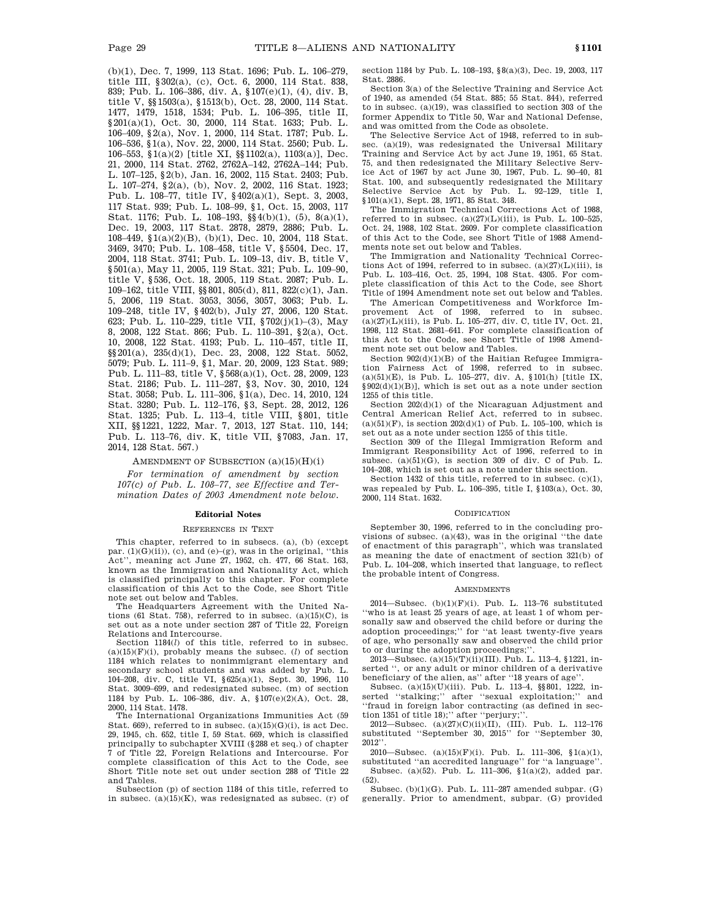(b)(1), Dec. 7, 1999, 113 Stat. 1696; Pub. L. 106–279, title III, §302(a), (c), Oct. 6, 2000, 114 Stat. 838, 839; Pub. L. 106–386, div. A, §107(e)(1), (4), div. B, title V, §§1503(a), §1513(b), Oct. 28, 2000, 114 Stat. 1477, 1479, 1518, 1534; Pub. L. 106–395, title II, §201(a)(1), Oct. 30, 2000, 114 Stat. 1633; Pub. L. 106–409, §2(a), Nov. 1, 2000, 114 Stat. 1787; Pub. L. 106–536, §1(a), Nov. 22, 2000, 114 Stat. 2560; Pub. L. 106–553, §1(a)(2) [title XI, §§1102(a), 1103(a)], Dec. 21, 2000, 114 Stat. 2762, 2762A–142, 2762A–144; Pub. L. 107–125, §2(b), Jan. 16, 2002, 115 Stat. 2403; Pub. L. 107–274, §2(a), (b), Nov. 2, 2002, 116 Stat. 1923; Pub. L. 108–77, title IV, §402(a)(1), Sept. 3, 2003, 117 Stat. 939; Pub. L. 108–99, §1, Oct. 15, 2003, 117 Stat. 1176; Pub. L. 108–193, §§4(b)(1), (5), 8(a)(1), Dec. 19, 2003, 117 Stat. 2878, 2879, 2886; Pub. L. 108–449, §1(a)(2)(B), (b)(1), Dec. 10, 2004, 118 Stat. 3469, 3470; Pub. L. 108–458, title V, §5504, Dec. 17, 2004, 118 Stat. 3741; Pub. L. 109–13, div. B, title V, §501(a), May 11, 2005, 119 Stat. 321; Pub. L. 109–90, title V, §536, Oct. 18, 2005, 119 Stat. 2087; Pub. L. 109–162, title VIII, §§801, 805(d), 811, 822(c)(1), Jan. 5, 2006, 119 Stat. 3053, 3056, 3057, 3063; Pub. L. 109–248, title IV, §402(b), July 27, 2006, 120 Stat. 623; Pub. L. 110–229, title VII, §702(j)(1)–(3), May 8, 2008, 122 Stat. 866; Pub. L. 110–391, §2(a), Oct. 10, 2008, 122 Stat. 4193; Pub. L. 110–457, title II, §§201(a), 235(d)(1), Dec. 23, 2008, 122 Stat. 5052, 5079; Pub. L. 111–9, §1, Mar. 20, 2009, 123 Stat. 989; Pub. L. 111–83, title V, §568(a)(1), Oct. 28, 2009, 123 Stat. 2186; Pub. L. 111–287, §3, Nov. 30, 2010, 124 Stat. 3058; Pub. L. 111–306, §1(a), Dec. 14, 2010, 124 Stat. 3280; Pub. L. 112–176, §3, Sept. 28, 2012, 126 Stat. 1325; Pub. L. 113–4, title VIII, §801, title XII, §§1221, 1222, Mar. 7, 2013, 127 Stat. 110, 144; Pub. L. 113–76, div. K, title VII, §7083, Jan. 17, 2014, 128 Stat. 567.)

### AMENDMENT OF SUBSECTION  $(a)(15)(H)(i)$

*For termination of amendment by section 107(c) of Pub. L. 108–77, see Effective and Termination Dates of 2003 Amendment note below.*

#### **Editorial Notes**

### REFERENCES IN TEXT

This chapter, referred to in subsecs. (a), (b) (except par.  $(1)(G)(ii)$ ,  $(c)$ , and  $(e)-(g)$ , was in the original, "this Act'', meaning act June 27, 1952, ch. 477, 66 Stat. 163, known as the Immigration and Nationality Act, which is classified principally to this chapter. For complete classification of this Act to the Code, see Short Title note set out below and Tables.

The Headquarters Agreement with the United Nations (61 Stat. 758), referred to in subsec.  $(a)(15)(C)$ , is set out as a note under section 287 of Title 22, Foreign Relations and Intercourse.

Section 1184(*l*) of this title, referred to in subsec. (a)(15)(F)(i), probably means the subsec. (*l*) of section 1184 which relates to nonimmigrant elementary and secondary school students and was added by Pub. L. 104–208, div. C, title VI, §625(a)(1), Sept. 30, 1996, 110 Stat. 3009–699, and redesignated subsec. (m) of section 1184 by Pub. L. 106–386, div. A, §107(e)(2)(A), Oct. 28, 2000, 114 Stat. 1478.

The International Organizations Immunities Act (59 Stat. 669), referred to in subsec.  $(a)(15)(G)(i)$ , is act Dec. 29, 1945, ch. 652, title I, 59 Stat. 669, which is classified principally to subchapter XVIII (§288 et seq.) of chapter 7 of Title 22, Foreign Relations and Intercourse. For complete classification of this Act to the Code, see Short Title note set out under section 288 of Title 22 and Tables.

Subsection (p) of section 1184 of this title, referred to in subsec.  $(a)(15)(K)$ , was redesignated as subsec. (r) of section 1184 by Pub. L. 108–193, §8(a)(3), Dec. 19, 2003, 117 Stat. 2886.

Section 3(a) of the Selective Training and Service Act of 1940, as amended (54 Stat. 885; 55 Stat. 844), referred to in subsec. (a)(19), was classified to section 303 of the former Appendix to Title 50, War and National Defense, and was omitted from the Code as obsolete.

The Selective Service Act of 1948, referred to in subsec. (a)(19), was redesignated the Universal Military Training and Service Act by act June 19, 1951, 65 Stat. 75, and then redesignated the Military Selective Service Act of 1967 by act June 30, 1967, Pub. L. 90–40, 81 Stat. 100, and subsequently redesignated the Military Selective Service Act by Pub. L. 92–129, title I, §101(a)(1), Sept. 28, 1971, 85 Stat. 348.

The Immigration Technical Corrections Act of 1988, referred to in subsec.  $(a)(27)(L)(iii)$ , is Pub. L. 100-525, Oct. 24, 1988, 102 Stat. 2609. For complete classification of this Act to the Code, see Short Title of 1988 Amendments note set out below and Tables.

The Immigration and Nationality Technical Corrections Act of 1994, referred to in subsec.  $(a)(27)(L)(iii)$ , is Pub. L. 103–416, Oct. 25, 1994, 108 Stat. 4305. For complete classification of this Act to the Code, see Short Title of 1994 Amendment note set out below and Tables.

The American Competitiveness and Workforce Improvement Act of 1998, referred to in subsec. (a)(27)(L)(iii), is Pub. L. 105–277, div. C, title IV, Oct. 21, 1998, 112 Stat. 2681–641. For complete classification of this Act to the Code, see Short Title of 1998 Amendment note set out below and Tables.

Section 902(d)(1)(B) of the Haitian Refugee Immigration Fairness Act of 1998, referred to in subsec.  $(a)(51)(E)$ , is Pub. L. 105-277, div. A, §101(h) [title IX, §902(d)(1)(B)], which is set out as a note under section 1255 of this title.

Section 202(d)(1) of the Nicaraguan Adjustment and Central American Relief Act, referred to in subsec.  $(a)(51)(F)$ , is section  $202(d)(1)$  of Pub. L. 105–100, which is set out as a note under section 1255 of this title.

Section 309 of the Illegal Immigration Reform and Immigrant Responsibility Act of 1996, referred to in subsec.  $(a)(51)(\tilde{G})$ , is section 309 of div. C of Pub. L. 104–208, which is set out as a note under this section.

Section 1432 of this title, referred to in subsec. (c)(1), was repealed by Pub. L. 106–395, title I, §103(a), Oct. 30, 2000, 114 Stat. 1632.

#### CODIFICATION

September 30, 1996, referred to in the concluding provisions of subsec. (a)(43), was in the original ''the date of enactment of this paragraph'', which was translated as meaning the date of enactment of section 321(b) of Pub. L. 104–208, which inserted that language, to reflect the probable intent of Congress.

#### **AMENDMENTS**

2014—Subsec. (b)(1)(F)(i). Pub. L. 113–76 substituted ''who is at least 25 years of age, at least 1 of whom personally saw and observed the child before or during the adoption proceedings;'' for ''at least twenty-five years of age, who personally saw and observed the child prior to or during the adoption proceedings;'

2013—Subsec. (a)(15)(T)(ii)(III). Pub. L. 113–4, §1221, inserted '', or any adult or minor children of a derivative beneficiary of the alien, as" after "18 years of age"

Subsec. (a)(15)(U)(iii). Pub. L. 113–4, §§801, 1222, inserted "stalking;" after "sexual exploitation;" and ''fraud in foreign labor contracting (as defined in section 1351 of title 18);" after "perjury;"

2012—Subsec. (a)(27)(C)(ii)(II), (III). Pub. L. 112–176 substituted ''September 30, 2015'' for ''September 30, 2012''.

2010—Subsec. (a)(15)(F)(i). Pub. L. 111–306, §1(a)(1), substituted ''an accredited language'' for ''a language''. Subsec. (a)(52). Pub. L. 111–306, §1(a)(2), added par. (52).

Subsec. (b) $(1)(G)$ . Pub. L. 111–287 amended subpar.  $(G)$ generally. Prior to amendment, subpar. (G) provided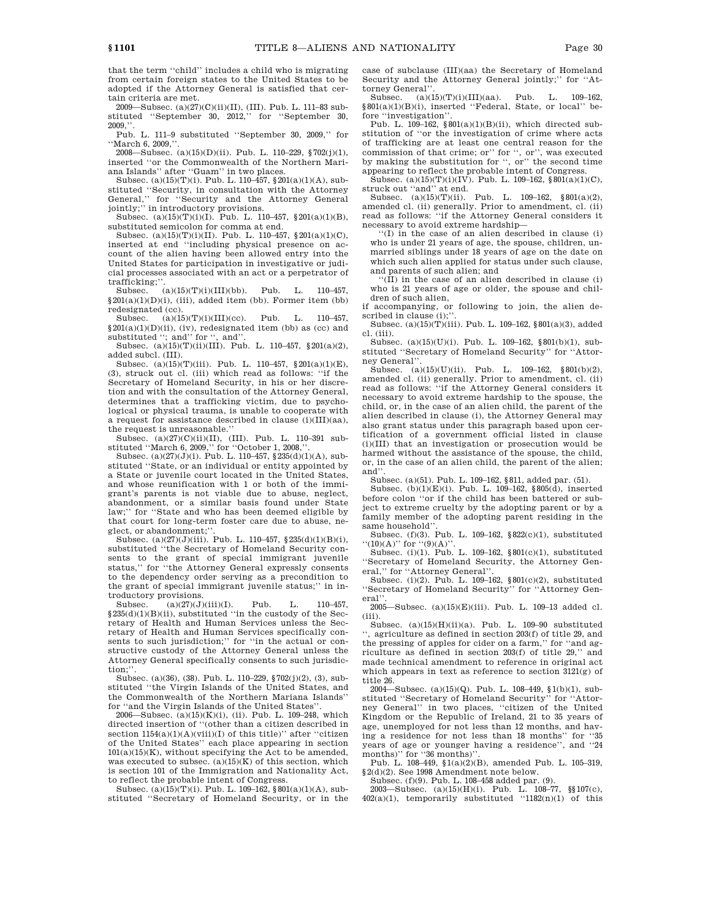that the term ''child'' includes a child who is migrating from certain foreign states to the United States to be adopted if the Attorney General is satisfied that certain criteria are met.

2009—Subsec. (a)(27)(C)(ii)(II), (III). Pub. L. 111–83 substituted ''September 30, 2012,'' for ''September 30,  $2009.$ 

Pub. L. 111–9 substituted ''September 30, 2009,'' for "March 6, 2009,"

2008—Subsec. (a)(15)(D)(ii). Pub. L. 110–229, §702(j)(1), inserted ''or the Commonwealth of the Northern Mariana Islands'' after ''Guam'' in two places.

Subsec. (a)(15)(T)(i). Pub. L. 110–457, §201(a)(1)(A), substituted ''Security, in consultation with the Attorney General,'' for ''Security and the Attorney General jointly;'' in introductory provisions.

Subsec. (a)(15)(T)(i)(I). Pub. L. 110–457, §201(a)(1)(B), substituted semicolon for comma at end.

Subsec. (a)(15)(T)(i)(II). Pub. L. 110–457, §201(a)(1)(C), inserted at end ''including physical presence on account of the alien having been allowed entry into the United States for participation in investigative or judicial processes associated with an act or a perpetrator of trafficking;''.

Subsec. (a)(15)(T)(i)(III)(bb). Pub. L. 110–457, §201(a)(1)(D)(i), (iii), added item (bb). Former item (bb) redesignated (cc).<br>Subsec. (a)(1)

 $(a)(15)(T)(i)(III)(cc)$ . Pub. L. 110–457,  $§201(a)(1)(D)(ii)$ , (iv), redesignated item (bb) as (cc) and substituted "; and" for ", and"

Subsec. (a) $(15)(T)(ii)(III)$ . Pub. L. 110-457, §201(a)(2), added subcl. (III).

Subsec. (a)(15)(T)(iii). Pub. L. 110-457,  $§201(a)(1)(E)$ , (3), struck out cl. (iii) which read as follows: ''if the Secretary of Homeland Security, in his or her discretion and with the consultation of the Attorney General, determines that a trafficking victim, due to psychological or physical trauma, is unable to cooperate with a request for assistance described in clause (i)(III)(aa), the request is unreasonable.''

Subsec.  $(a)(27)(C)(ii)(II)$ , (III). Pub. L. 110-391 substituted "March 6, 2009," for "October 1, 2008,"

Subsec. (a)(27)(J)(i). Pub. L. 110–457,  $§235(d)(1)(A)$ , substituted ''State, or an individual or entity appointed by a State or juvenile court located in the United States, and whose reunification with 1 or both of the immigrant's parents is not viable due to abuse, neglect, abandonment, or a similar basis found under State law;'' for ''State and who has been deemed eligible by that court for long-term foster care due to abuse, neglect, or abandonment;''.

Subsec. (a)(27)(J)(iii). Pub. L. 110–457, §235(d)(1)(B)(i), substituted "the Secretary of Homeland Security consents to the grant of special immigrant juvenile status,'' for ''the Attorney General expressly consents to the dependency order serving as a precondition to the grant of special immigrant juvenile status;'' in introductory provisions.<br>Subsec.  $(a)(27)(J)$ 

 $(a)(27)(J)(iii)(I)$ . Pub. L. 110–457, §235(d)(1)(B)(ii), substituted ''in the custody of the Secretary of Health and Human Services unless the Secretary of Health and Human Services specifically consents to such jurisdiction;'' for ''in the actual or constructive custody of the Attorney General unless the Attorney General specifically consents to such jurisdiction;''.

Subsec. (a)(36), (38). Pub. L. 110–229, §702(j)(2), (3), substituted ''the Virgin Islands of the United States, and the Commonwealth of the Northern Mariana Islands'' for ''and the Virgin Islands of the United States''.

2006—Subsec.  $(a)(15)(K)(i)$ , (ii). Pub. L. 109–248, which directed insertion of ''(other than a citizen described in section 1154(a)(1)(A)(viii)(I) of this title)'' after ''citizen of the United States'' each place appearing in section  $101(a)(15)(\mathrm{K}),$  without specifying the Act to be amended, was executed to subsec.  $(a)(15)(K)$  of this section, which is section 101 of the Immigration and Nationality Act, to reflect the probable intent of Congress.

Subsec. (a)(15)(T)(i). Pub. L. 109–162,  $8801(a)(1)(A)$ , substituted ''Secretary of Homeland Security, or in the case of subclause (III)(aa) the Secretary of Homeland Security and the Attorney General jointly;'' for ''Attorney General''.

 $(a)(15)(T)(i)(III)(aa)$ . Pub. L. 109-162, §801(a)(1)(B)(i), inserted ''Federal, State, or local'' before "investigation"

Pub. L. 109-162, §801(a)(1)(B)(ii), which directed substitution of ''or the investigation of crime where acts of trafficking are at least one central reason for the commission of that crime; or'' for '', or'', was executed by making the substitution for '', or'' the second time appearing to reflect the probable intent of Congress.

Subsec. (a)(15)(T)(i)(IV). Pub. L. 109-162,  $\sqrt[8]{801(a)(1)(C)}$ , struck out ''and'' at end.

Subsec.  $(a)(15)(T)(ii)$ . Pub. L.  $109-162$ , §801 $(a)(2)$ , amended cl. (ii) generally. Prior to amendment, cl. (ii) read as follows: ''if the Attorney General considers it necessary to avoid extreme hardship—

 $(1)$  in the case of an alien described in clause (i) who is under 21 years of age, the spouse, children, unmarried siblings under 18 years of age on the date on which such alien applied for status under such clause, and parents of such alien; and

''(II) in the case of an alien described in clause (i) who is 21 years of age or older, the spouse and children of such alien,

if accompanying, or following to join, the alien described in clause (i);"

Subsec. (a)(15)(T)(iii). Pub. L. 109–162, §801(a)(3), added cl. (iii).

Subsec. (a)(15)(U)(i). Pub. L. 109–162, §801(b)(1), substituted ''Secretary of Homeland Security'' for ''Attor-

ney General''. Subsec. (a)(15)(U)(ii). Pub. L. 109–162, §801(b)(2), amended cl. (ii) generally. Prior to amendment, cl. (ii) read as follows: ''if the Attorney General considers it necessary to avoid extreme hardship to the spouse, the child, or, in the case of an alien child, the parent of the alien described in clause (i), the Attorney General may also grant status under this paragraph based upon certification of a government official listed in clause (i)(III) that an investigation or prosecution would be harmed without the assistance of the spouse, the child, or, in the case of an alien child, the parent of the alien; and''.

Subsec. (a)(51). Pub. L. 109–162, §811, added par. (51).

Subsec. (b)(1)(E)(i). Pub. L. 109–162, §805(d), inserted before colon ''or if the child has been battered or subject to extreme cruelty by the adopting parent or by a family member of the adopting parent residing in the same household"

Subsec. (f)(3). Pub. L. 109–162, §822(c)(1), substituted  $``(10)(A)"$  for  $``(9)(A)"$ .

Subsec. (i)(1). Pub. L. 109–162, §801(c)(1), substituted ''Secretary of Homeland Security, the Attorney General," for "Attorney General"

Subsec. (i)(2). Pub. L. 109–162, §801(c)(2), substituted ''Secretary of Homeland Security'' for ''Attorney General''.

2005—Subsec. (a)(15)(E)(iii). Pub. L. 109–13 added cl. (iii).

Subsec. (a)(15)(H)(ii)(a). Pub. L. 109–90 substituted '', agriculture as defined in section 203(f) of title 29, and the pressing of apples for cider on a farm,'' for ''and agriculture as defined in section 203(f) of title 29,'' and made technical amendment to reference in original act which appears in text as reference to section 3121(g) of title 26.

2004—Subsec. (a)(15)(Q). Pub. L. 108–449, §1(b)(1), substituted ''Secretary of Homeland Security'' for ''Attorney General'' in two places, ''citizen of the United Kingdom or the Republic of Ireland, 21 to 35 years of age, unemployed for not less than 12 months, and having a residence for not less than 18 months'' for ''35 years of age or younger having a residence'', and ''24 months)" for "36 months)".

Pub. L. 108–449, §1(a)(2)(B), amended Pub. L. 105–319,  $\S 2(\mathrm{d})(2).$  See 1998 Amendment note below.

Subsec. (f)(9). Pub. L. 108–458 added par. (9).

2003—Subsec. (a)(15)(H)(i). Pub. L. 108–77, §§107(c), 402(a)(1), temporarily substituted  $"1182(n)(1)$  of this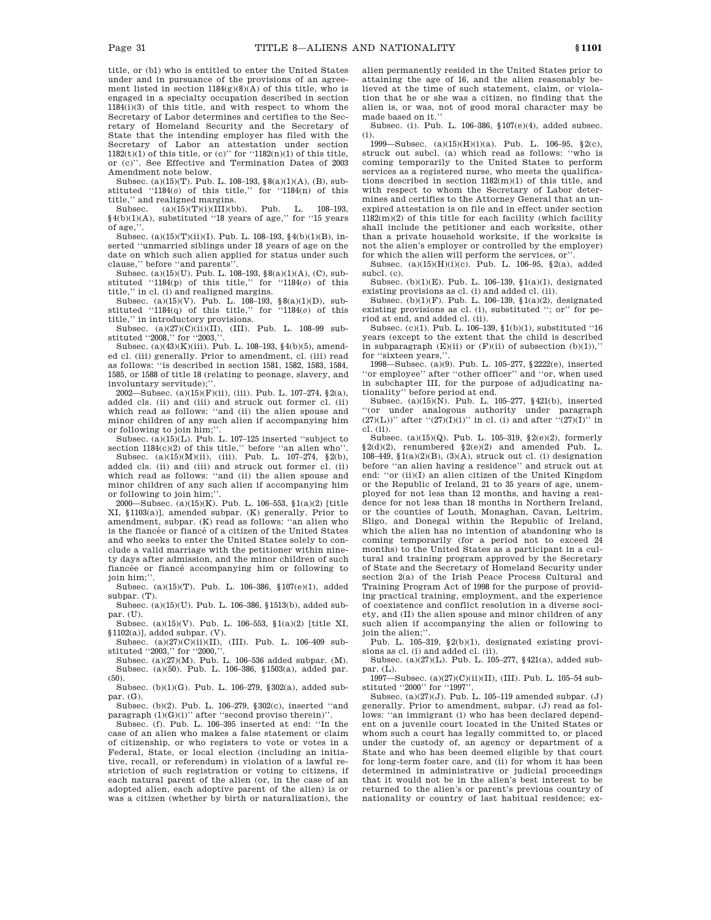title, or (b1) who is entitled to enter the United States under and in pursuance of the provisions of an agreement listed in section  $1184(g)(8)(A)$  of this title, who is engaged in a specialty occupation described in section 1184(i)(3) of this title, and with respect to whom the Secretary of Labor determines and certifies to the Secretary of Homeland Security and the Secretary of State that the intending employer has filed with the Secretary of Labor an attestation under section  $1182(t)(1)$  of this title, or (c)" for " $1182(n)(1)$  of this title, or (c)''. See Effective and Termination Dates of 2003 Amendment note below.

Subsec. (a)(15)(T). Pub. L. 108–193, §8(a)(1)(A), (B), sub-<br>stituted ''1184(*o*) of this title,'' for ''1184(n) of this title," and realigned margins.<br>Subsec.  $(a)(15)(T)(i)(III)(b)$ 

 $(a)(15)(T)(i)(III)(bb)$ . Pub. L. 108–193,  $§4(b)(1)(A)$ , substituted "18 years of age," for "15 years" of age,''.

Subsec. (a)(15)(T)(ii)(I). Pub. L. 108–193, §4(b)(1)(B), inserted ''unmarried siblings under 18 years of age on the date on which such alien applied for status under such clause,'' before ''and parents''.

Subsec. (a)(15)(U). Pub. L. 108–193,  $\S 8(a)(1)(A)$ , (C), substituted ''1184(p) of this title,'' for ''1184(*o*) of this title,'' in cl. (i) and realigned margins.

Subsec. (a)(15)(V). Pub. L. 108–193, §8(a)(1)(D), sub-stituted ''1184(q) of this title,'' for ''1184(*o*) of this title,'' in introductory provisions.

Subsec.  $(a)(27)(C)(ii)(II)$ , (III). Pub. L. 108-99 substituted  $'2008$ , for  $'2003$ ,

Subsec. (a)(43)(K)(iii). Pub. L. 108–193, §4(b)(5), amended cl. (iii) generally. Prior to amendment, cl. (iii) read as follows: ''is described in section 1581, 1582, 1583, 1584, 1585, or 1588 of title 18 (relating to peonage, slavery, and involuntary servitude);''.

2002—Subsec.  $(a)(15)(F)(ii)$ , (iii). Pub. L. 107–274, §2(a), added cls. (ii) and (iii) and struck out former cl. (ii) which read as follows: ''and (ii) the alien spouse and minor children of any such alien if accompanying him or following to join him;'

Subsec.  $(a)(15)(L)$ . Pub. L. 107-125 inserted "subject to section 1184(c)(2) of this title," before "an alien who".<br>Subsec.  $(a)(15)(M)(ii)$ , (iii). Pub. L. 107–274, §2(b),

added cls. (ii) and (iii) and struck out former cl. (ii) which read as follows: ''and (ii) the alien spouse and minor children of any such alien if accompanying him or following to join him;''.

2000—Subsec. (a)(15)(K). Pub. L. 106–553, §1(a)(2) [title XI, §1103(a)], amended subpar. (K) generally. Prior to amendment, subpar. (K) read as follows: ''an alien who is the fiancee or fiance of a citizen of the United States and who seeks to enter the United States solely to conclude a valid marriage with the petitioner within ninety days after admission, and the minor children of such fiancée or fiancé accompanying him or following to join him;''.

Subsec. (a)(15)(T). Pub. L. 106–386, §107(e)(1), added subpar. (T).

Subsec. (a)(15)(U). Pub. L. 106–386, §1513(b), added subpar. (U).

Subsec. (a)(15)(V). Pub. L. 106–553, §1(a)(2) [title XI, §1102(a)], added subpar. (V).

Subsec.  $(a)(27)(C)(ii)(II)$ , (III). Pub. L. 106-409 sub-

stituted ''2003,'' for ''2000,''. Subsec. (a)(27)(M). Pub. L. 106–536 added subpar. (M). Subsec. (a)(50). Pub. L. 106–386, §1503(a), added par. (50).

Subsec. (b)(1)(G). Pub. L. 106–279, §302(a), added subpar. (G).

Subsec. (b)(2). Pub. L. 106–279, §302(c), inserted ''and paragraph  $(1)(G)(i)$ " after "second proviso therein)".

Subsec. (f). Pub. L. 106–395 inserted at end: ''In the case of an alien who makes a false statement or claim of citizenship, or who registers to vote or votes in a Federal, State, or local election (including an initiative, recall, or referendum) in violation of a lawful restriction of such registration or voting to citizens, if each natural parent of the alien (or, in the case of an adopted alien, each adoptive parent of the alien) is or was a citizen (whether by birth or naturalization), the

alien permanently resided in the United States prior to attaining the age of 16, and the alien reasonably believed at the time of such statement, claim, or violation that he or she was a citizen, no finding that the alien is, or was, not of good moral character may be made based on it.''

Subsec. (i). Pub. L. 106–386, §107(e)(4), added subsec. (i).

1999—Subsec. (a)(15)(H)(i)(a). Pub. L. 106–95, §2(c), struck out subcl. (a) which read as follows: ''who is coming temporarily to the United States to perform services as a registered nurse, who meets the qualifications described in section 1182(m)(1) of this title, and with respect to whom the Secretary of Labor determines and certifies to the Attorney General that an unexpired attestation is on file and in effect under section 1182(m)(2) of this title for each facility (which facility shall include the petitioner and each worksite, other than a private household worksite, if the worksite is not the alien's employer or controlled by the employer) for which the alien will perform the services, or'

Subsec.  $(a)(15)(H)(i)(c)$ . Pub. L. 106-95, §2(a), added subcl. (c).

Subsec. (b)(1)(E). Pub. L. 106–139, §1(a)(1), designated existing provisions as cl. (i) and added cl. (ii).

Subsec. (b)(1)(F). Pub. L. 106–139, §1(a)(2), designated existing provisions as cl. (i), substituted ''; or'' for period at end, and added cl. (ii).

Subsec. (c)(1). Pub. L. 106–139, §1(b)(1), substituted ''16 years (except to the extent that the child is described in subparagraph  $(E)(ii)$  or  $(F)(ii)$  of subsection  $(b)(1))$ ," for "sixteen years."

1998—Subsec. (a)(9). Pub. L. 105–277, §2222(e), inserted ''or employee'' after ''other officer'' and ''or, when used in subchapter III, for the purpose of adjudicating nationality'' before period at end.

Subsec. (a)(15)(N). Pub. L. 105–277, §421(b), inserted ''(or under analogous authority under paragraph  $(27)(L)$ )'' after  $(27)(I)(i)$ '' in cl. (i) and after  $(27)(I)$ '' in cl. (ii).

Subsec. (a)(15)(Q). Pub. L. 105–319, §2(e)(2), formerly  $$2(d)(2)$ , renumbered  $$2(e)(2)$  and amended Pub. L. 108–449, §1(a)(2)(B), (3)(A), struck out cl. (i) designation before ''an alien having a residence'' and struck out at end: ''or (ii)(I) an alien citizen of the United Kingdom or the Republic of Ireland, 21 to 35 years of age, unemployed for not less than 12 months, and having a residence for not less than 18 months in Northern Ireland, or the counties of Louth, Monaghan, Cavan, Leitrim, Sligo, and Donegal within the Republic of Ireland, which the alien has no intention of abandoning who is coming temporarily (for a period not to exceed 24 months) to the United States as a participant in a cultural and training program approved by the Secretary of State and the Secretary of Homeland Security under section 2(a) of the Irish Peace Process Cultural and Training Program Act of 1998 for the purpose of providing practical training, employment, and the experience of coexistence and conflict resolution in a diverse society, and (II) the alien spouse and minor children of any such alien if accompanying the alien or following to join the alien;

Pub. L. 105–319, §2(b)(1), designated existing provisions as cl. (i) and added cl. (ii).

Subsec. (a)(27)(L). Pub. L. 105–277, §421(a), added subpar. (L).

1997—Subsec. (a)(27)(C)(ii)(II), (III). Pub. L. 105–54 substituted ''2000'' for ''1997''.

Subsec. (a)(27)(J). Pub. L. 105–119 amended subpar. (J) generally. Prior to amendment, subpar. (J) read as follows: "an immigrant (i) who has been declared dependent on a juvenile court located in the United States or whom such a court has legally committed to, or placed under the custody of, an agency or department of a State and who has been deemed eligible by that court for long-term foster care, and (ii) for whom it has been determined in administrative or judicial proceedings that it would not be in the alien's best interest to be returned to the alien's or parent's previous country of nationality or country of last habitual residence; ex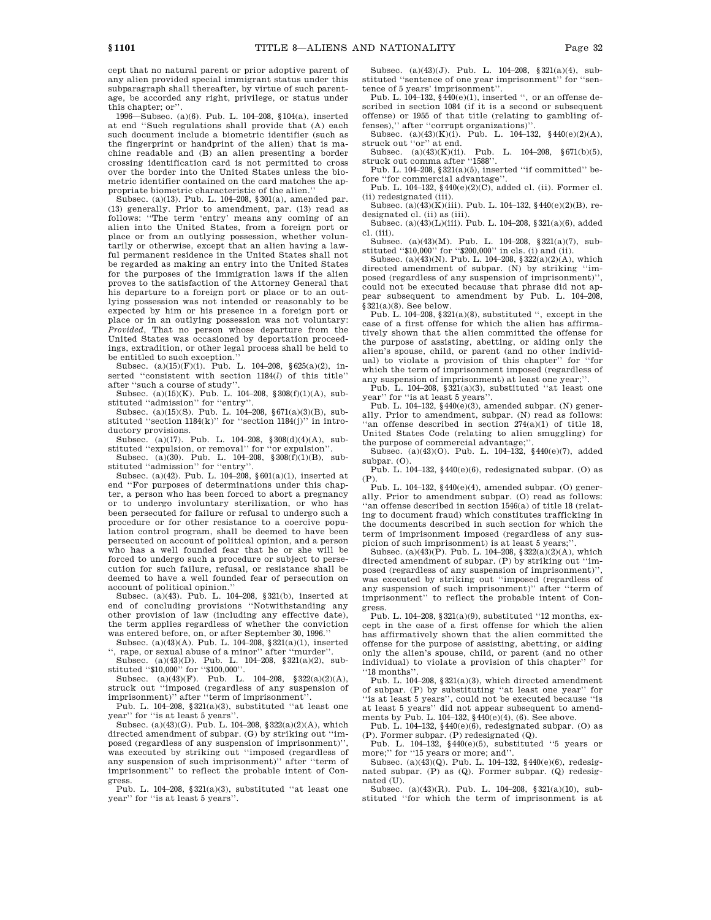cept that no natural parent or prior adoptive parent of any alien provided special immigrant status under this subparagraph shall thereafter, by virtue of such parentage, be accorded any right, privilege, or status under this chapter; or''.

1996—Subsec. (a)(6). Pub. L. 104–208, §104(a), inserted at end ''Such regulations shall provide that (A) each such document include a biometric identifier (such as the fingerprint or handprint of the alien) that is machine readable and (B) an alien presenting a border crossing identification card is not permitted to cross over the border into the United States unless the biometric identifier contained on the card matches the appropriate biometric characteristic of the alien.''

Subsec. (a)(13). Pub. L. 104–208, §301(a), amended par. (13) generally. Prior to amendment, par. (13) read as follows: ''The term 'entry' means any coming of an alien into the United States, from a foreign port or place or from an outlying possession, whether voluntarily or otherwise, except that an alien having a lawful permanent residence in the United States shall not be regarded as making an entry into the United States for the purposes of the immigration laws if the alien proves to the satisfaction of the Attorney General that his departure to a foreign port or place or to an outlying possession was not intended or reasonably to be expected by him or his presence in a foreign port or place or in an outlying possession was not voluntary: *Provided*, That no person whose departure from the United States was occasioned by deportation proceedings, extradition, or other legal process shall be held to

be entitled to such exception.''<br>Subsec.  $(a)(15)(F)(i)$ . Pub. L. 104–208, §625(a)(2), inserted ''consistent with section 1184(*l*) of this title'' after ''such a course of study''.

Subsec. (a) $(15)(K)$ . Pub. L. 104–208, §308 $(f)(1)(A)$ , sub-

stituted ''admission'' for ''entry''. Subsec. (a)(15)(S). Pub. L. 104–208, §671(a)(3)(B), substituted ''section 1184(k)'' for ''section 1184(j)'' in introductory provisions.

Subsec. (a)(17). Pub. L. 104–208, §308(d)(4)(A), substituted ''expulsion, or removal'' for ''or expulsion''.

Subsec. (a)(30). Pub. L.  $104-208$ ,  $$308(f)(1)(B)$ , substituted "admission" for "entry"

Subsec. (a)(42). Pub. L. 104–208, §601(a)(1), inserted at end ''For purposes of determinations under this chapter, a person who has been forced to abort a pregnancy or to undergo involuntary sterilization, or who has been persecuted for failure or refusal to undergo such a procedure or for other resistance to a coercive population control program, shall be deemed to have been persecuted on account of political opinion, and a person who has a well founded fear that he or she will be forced to undergo such a procedure or subject to persecution for such failure, refusal, or resistance shall be deemed to have a well founded fear of persecution on account of political opinion.''

Subsec. (a)(43). Pub. L. 104–208, §321(b), inserted at end of concluding provisions ''Notwithstanding any other provision of law (including any effective date), the term applies regardless of whether the conviction was entered before, on, or after September 30, 1996.''

Subsec. (a)(43)(A). Pub. L. 104–208, §321(a)(1), inserted '', rape, or sexual abuse of a minor'' after ''murder''.

Subsec. (a)(43)(D). Pub. L. 104–208, §321(a)(2), substituted ''\$10,000'' for ''\$100,000''.

Subsec. (a)(43)(F). Pub. L. 104–208, §322(a)(2)(A), struck out ''imposed (regardless of any suspension of imprisonment)'' after ''term of imprisonment''.

Pub. L. 104-208,  $§321(a)(3)$ , substituted "at least one year" for "is at least 5 years"

Subsec. (a)(43)(G). Pub. L. 104–208, §322(a)(2)(A), which directed amendment of subpar. (G) by striking out ''imposed (regardless of any suspension of imprisonment)'', was executed by striking out ''imposed (regardless of any suspension of such imprisonment)'' after ''term of imprisonment'' to reflect the probable intent of Congress.

Pub. L. 104–208, §321(a)(3), substituted ''at least one year'' for ''is at least 5 years''.

Subsec. (a)(43)(J). Pub. L. 104–208, §321(a)(4), substituted ''sentence of one year imprisonment'' for ''sentence of 5 years' imprisonment''.

Pub. L. 104–132,  $\frac{4}{40(e)(1)}$ , inserted ", or an offense described in section 1084 (if it is a second or subsequent offense) or 1955 of that title (relating to gambling offenses)," after "corrupt organizations)

Subsec. (a)(43)(K)(i). Pub. L. 104–132, §440(e)(2)(A), struck out ''or'' at end.

Subsec. (a)(43)(K)(ii). Pub. L. 104–208, §671(b)(5), struck out comma after ''1588''. Pub. L. 104–208,  $$321(a)(5)$ , inserted "if committed" be-

fore ''for commercial advantage''. Pub. L. 104–132, §440(e)(2)(C), added cl. (ii). Former cl.

(ii) redesignated (iii). Subsec.  $(a)(43)(K)(iii)$ . Pub. L. 104-132, §440(e)(2)(B), re-

designated cl. (ii) as (iii). Subsec. (a)(43)(L)(iii). Pub. L. 104–208, §321(a)(6), added cl. (iii).

Subsec. (a)(43)(M). Pub. L. 104–208, §321(a)(7), substituted ''\$10,000'' for ''\$200,000'' in cls. (i) and (ii).

Subsec. (a)(43)(N). Pub. L. 104–208,  $\sqrt{$}322(a)(2)(A)$ , which directed amendment of subpar. (N) by striking ''imposed (regardless of any suspension of imprisonment)'', could not be executed because that phrase did not appear subsequent to amendment by Pub. L. 104–208, §321(a)(8). See below.

Pub. L. 104–208,  $\S 321(a)(8),$  substituted '', except in the case of a first offense for which the alien has affirmatively shown that the alien committed the offense for the purpose of assisting, abetting, or aiding only the alien's spouse, child, or parent (and no other individual) to violate a provision of this chapter'' for ''for which the term of imprisonment imposed (regardless of any suspension of imprisonment) at least one year;'

Pub. L. 104–208, §321(a)(3), substituted ''at least one year'' for ''is at least 5 years''.

Pub. L. 104–132, §440(e)(3), amended subpar. (N) generally. Prior to amendment, subpar. (N) read as follows: 'an offense described in section  $274(a)(1)$  of title 18. United States Code (relating to alien smuggling) for the purpose of commercial advantage;'

Subsec. (a)(43)(O). Pub. L. 104–132, §440(e)(7), added subpar. (O).

Pub. L. 104–132, §440(e)(6), redesignated subpar. (O) as (P).

Pub. L. 104–132, §440(e)(4), amended subpar. (O) generally. Prior to amendment subpar. (O) read as follows: ''an offense described in section 1546(a) of title 18 (relating to document fraud) which constitutes trafficking in the documents described in such section for which the term of imprisonment imposed (regardless of any suspicion of such imprisonment) is at least 5 years;'

Subsec. (a)(43)(P). Pub. L. 104–208, §322(a)(2)(A), which directed amendment of subpar. (P) by striking out ''imposed (regardless of any suspension of imprisonment)" was executed by striking out ''imposed (regardless of any suspension of such imprisonment)'' after ''term of imprisonment'' to reflect the probable intent of Congress.

Pub. L. 104–208, §321(a)(9), substituted ''12 months, except in the case of a first offense for which the alien has affirmatively shown that the alien committed the offense for the purpose of assisting, abetting, or aiding only the alien's spouse, child, or parent (and no other individual) to violate a provision of this chapter'' for ''18 months''.

Pub. L. 104–208, §321(a)(3), which directed amendment of subpar. (P) by substituting ''at least one year'' for ''is at least 5 years'', could not be executed because ''is at least 5 years'' did not appear subsequent to amendments by Pub. L. 104–132, §440(e)(4), (6). See above.

Pub. L. 104-132,  $§440(e)(6)$ , redesignated subpar. (O) as (P). Former subpar. (P) redesignated (Q).

Pub. L. 104–132, §440(e)(5), substituted ''5 years or more;'' for ''15 years or more; and''.

Subsec. (a)(43)(Q). Pub. L. 104–132, §440(e)(6), redesignated subpar. (P) as (Q). Former subpar. (Q) redesignated (U).

Subsec. (a)(43)(R). Pub. L. 104–208, §321(a)(10), substituted ''for which the term of imprisonment is at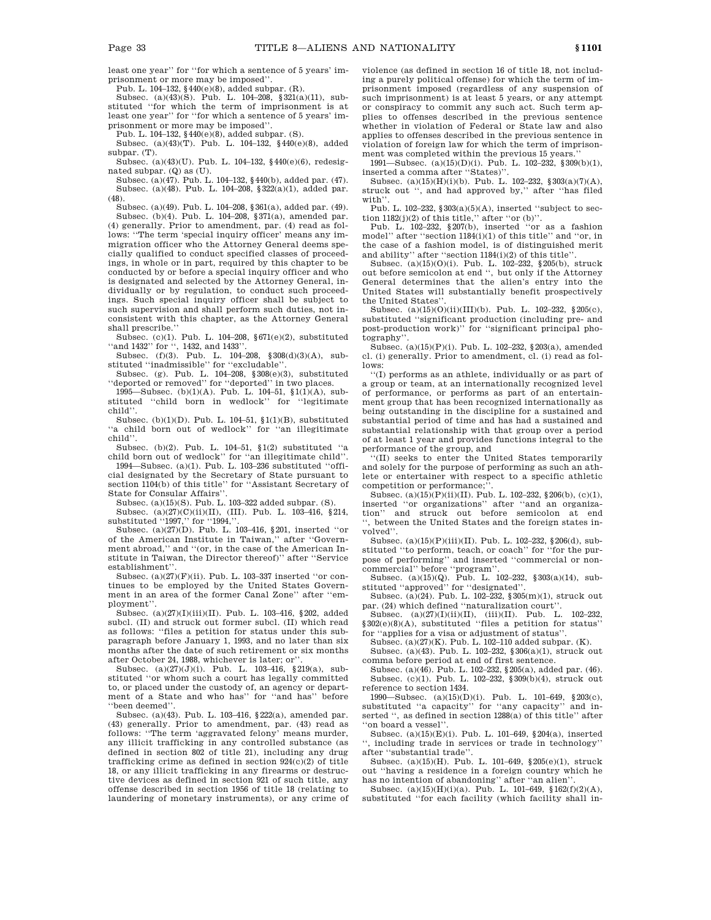least one year'' for ''for which a sentence of 5 years' imprisonment or more may be imposed''.

Pub. L. 104–132, §440(e)(8), added subpar. (R).

Subsec. (a)(43)(S). Pub. L. 104–208, §321(a)(11), substituted ''for which the term of imprisonment is at least one year'' for ''for which a sentence of 5 years' imprisonment or more may be imposed''.

Pub. L. 104–132, §440(e)(8), added subpar. (S).

Subsec. (a)(43)(T). Pub. L. 104–132, §440(e)(8), added subpar. (T).

Subsec. (a)(43)(U). Pub. L. 104–132, §440(e)(6), redesignated subpar. (Q) as (U).

Subsec. (a)(47). Pub. L. 104–132, §440(b), added par. (47). Subsec. (a)(48). Pub. L. 104–208, §322(a)(1), added par. (48).

Subsec. (a)(49). Pub. L. 104–208, §361(a), added par. (49). Subsec. (b)(4). Pub. L. 104–208, §371(a), amended par. (4) generally. Prior to amendment, par. (4) read as follows: ''The term 'special inquiry officer' means any immigration officer who the Attorney General deems specially qualified to conduct specified classes of proceedings, in whole or in part, required by this chapter to be conducted by or before a special inquiry officer and who is designated and selected by the Attorney General, individually or by regulation, to conduct such proceedings. Such special inquiry officer shall be subject to such supervision and shall perform such duties, not inconsistent with this chapter, as the Attorney General shall prescribe.''

Subsec. (c)(1). Pub. L. 104–208, §671(e)(2), substituted ''and 1432'' for '', 1432, and 1433''.

Subsec.  $(f)(3)$ . Pub. L. 104-208, §308 $(d)(3)(A)$ , substituted ''inadmissible'' for ''excludable''.

Subsec. (g). Pub. L. 104–208, §308(e)(3), substituted ''deported or removed'' for ''deported'' in two places.

1995—Subsec. (b)(1)(A). Pub. L. 104–51, §1(1)(A), substituted ''child born in wedlock'' for ''legitimate child''.

Subsec. (b)(1)(D). Pub. L. 104–51, §1(1)(B), substituted "a child born out of wedlock" for "an illegitimate child''.

Subsec. (b)(2). Pub. L.  $104-51$ ,  $1(2)$  substituted "a child born out of wedlock'' for ''an illegitimate child''.

1994—Subsec. (a)(1). Pub. L. 103–236 substituted ''official designated by the Secretary of State pursuant to section 1104(b) of this title'' for ''Assistant Secretary of State for Consular Affairs''.

Subsec. (a)(15)(S). Pub. L. 103–322 added subpar. (S).

Subsec. (a)(27)(C)(ii)(II), (III). Pub. L. 103–416, §214, substituted ''1997,'' for ''1994,''.

Subsec. (a)(27)(D). Pub. L. 103–416, §201, inserted ''or of the American Institute in Taiwan,'' after ''Government abroad,'' and ''(or, in the case of the American Institute in Taiwan, the Director thereof)'' after ''Service establishment''.

Subsec. (a)(27)(F)(ii). Pub. L. 103–337 inserted ''or continues to be employed by the United States Government in an area of the former Canal Zone'' after ''employment''.

Subsec. (a)(27)(I)(iii)(II). Pub. L. 103–416, §202, added subcl. (II) and struck out former subcl. (II) which read as follows: ''files a petition for status under this subparagraph before January 1, 1993, and no later than six months after the date of such retirement or six months after October 24, 1988, whichever is later; or'

Subsec.  $(a)(27)(J)(i)$ . Pub. L. 103-416, §219(a), substituted ''or whom such a court has legally committed to, or placed under the custody of, an agency or department of a State and who has'' for ''and has'' before ''been deemed''.

Subsec. (a)(43). Pub. L. 103–416, §222(a), amended par. (43) generally. Prior to amendment, par. (43) read as follows: ''The term 'aggravated felony' means murder, any illicit trafficking in any controlled substance (as defined in section 802 of title 21), including any drug trafficking crime as defined in section  $924(c)(2)$  of title 18, or any illicit trafficking in any firearms or destructive devices as defined in section 921 of such title, any offense described in section 1956 of title 18 (relating to laundering of monetary instruments), or any crime of violence (as defined in section 16 of title 18, not including a purely political offense) for which the term of imprisonment imposed (regardless of any suspension of such imprisonment) is at least 5 years, or any attempt or conspiracy to commit any such act. Such term applies to offenses described in the previous sentence whether in violation of Federal or State law and also applies to offenses described in the previous sentence in violation of foreign law for which the term of imprisonment was completed within the previous 15 years.

1991—Subsec. (a)(15)(D)(i). Pub. L. 102–232, §309(b)(1), inserted a comma after ''States)''.

Subsec. (a) $(15)(H)(i)$ , Pub. L. 102–232, §303(a)(7)(A), struck out '', and had approved by,'' after ''has filed with''.

Pub. L. 102–232,  $\S 303(a)(5)(A)$ , inserted "subject to section  $1182(j)(2)$  of this title," after "or (b)".

Pub. L. 102–232, §207(b), inserted ''or as a fashion model'' after ''section 1184(i)(1) of this title'' and ''or, in the case of a fashion model, is of distinguished merit and ability'' after ''section 1184(i)(2) of this title''.

Subsec. (a)(15)(O)(i). Pub. L. 102–232, §205(b), struck out before semicolon at end '', but only if the Attorney General determines that the alien's entry into the United States will substantially benefit prospectively the United States'

Subsec. (a)(15)(O)(ii)(III)(b). Pub. L. 102–232, §205(c), substituted ''significant production (including pre- and post-production work)'' for ''significant principal photography''.

Subsec. (a)(15)(P)(i). Pub. L. 102–232, §203(a), amended cl. (i) generally. Prior to amendment, cl. (i) read as follows:

''(I) performs as an athlete, individually or as part of a group or team, at an internationally recognized level of performance, or performs as part of an entertainment group that has been recognized internationally as being outstanding in the discipline for a sustained and substantial period of time and has had a sustained and substantial relationship with that group over a period of at least 1 year and provides functions integral to the performance of the group, and

''(II) seeks to enter the United States temporarily and solely for the purpose of performing as such an athlete or entertainer with respect to a specific athletic competition or performance;'

Subsec. (a)(15)(P)(ii)(II). Pub. L. 102–232, §206(b), (c)(1), inserted ''or organizations'' after ''and an organization'' and struck out before semicolon at end '', between the United States and the foreign states involved''.

Subsec. (a)(15)(P)(iii)(II). Pub. L. 102–232, §206(d), substituted "to perform, teach, or coach" for "for the purpose of performing'' and inserted ''commercial or noncommercial'' before ''program''.

Subsec. (a)(15)(Q). Pub. L. 102–232, §303(a)(14), substituted ''approved'' for ''designated''.

Subsec. (a)(24). Pub. L. 102–232, §305(m)(1), struck out par. (24) which defined ''naturalization court''.

Subsec. (a)(27)(I)(ii)(II), (iii)(II). Pub. L. 102–232, §302(e)(8)(A), substituted ''files a petition for status'' for ''applies for a visa or adjustment of status''.

Subsec. (a)(27)(K). Pub. L. 102–110 added subpar. (K).

Subsec. (a)(43). Pub. L. 102–232, §306(a)(1), struck out comma before period at end of first sentence.

Subsec. (a)(46). Pub. L. 102–232, §205(a), added par. (46). Subsec. (c)(1). Pub. L. 102–232, §309(b)(4), struck out reference to section 1434.

1990—Subsec. (a)(15)(D)(i). Pub. L. 101–649, §203(c), substituted "a capacity" for "any capacity" and inserted ", as defined in section 1288(a) of this title" after ''on board a vessel''.

Subsec. (a)(15)(E)(i). Pub. L. 101–649, §204(a), inserted '', including trade in services or trade in technology'' after ''substantial trade''.

Subsec. (a)(15)(H). Pub. L. 101–649,  $\${\bf 205}({\bf e})(1),$  struck out ''having a residence in a foreign country which he has no intention of abandoning'' after ''an alien''.

Subsec. (a)(15)(H)(i)(a). Pub. L. 101–649, §162(f)(2)(A), substituted ''for each facility (which facility shall in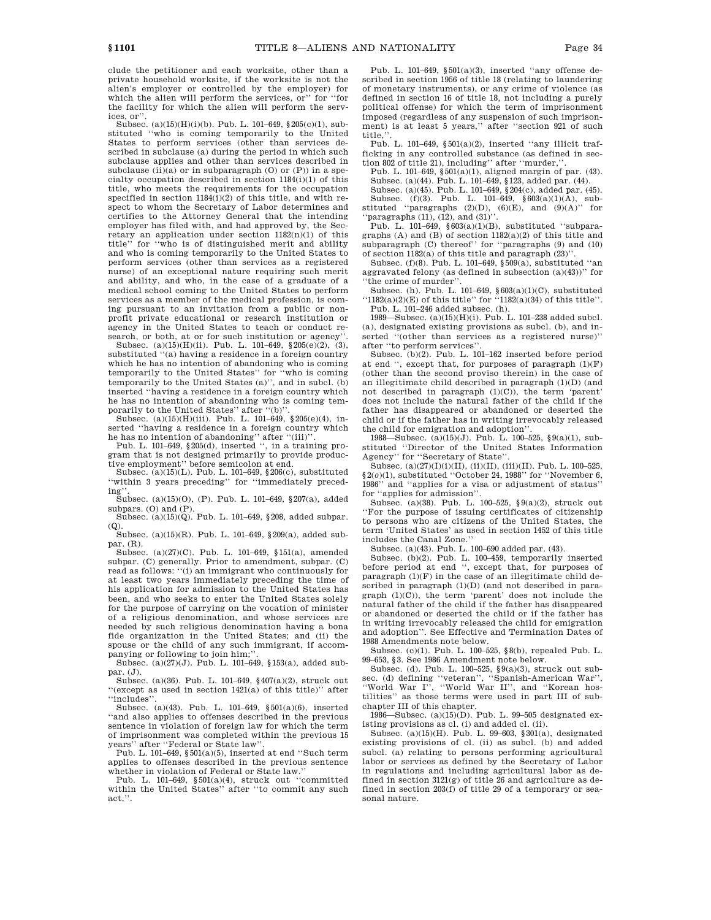clude the petitioner and each worksite, other than a private household worksite, if the worksite is not the alien's employer or controlled by the employer) for which the alien will perform the services, or'' for ''for the facility for which the alien will perform the services, or''.

Subsec. (a)(15)(H)(i)(b). Pub. L. 101–649, §205(c)(1), substituted ''who is coming temporarily to the United States to perform services (other than services described in subclause (a) during the period in which such subclause applies and other than services described in subclause (ii)(a) or in subparagraph  $(O)$  or  $(P)$ ) in a specialty occupation described in section 1184(i)(1) of this title, who meets the requirements for the occupation specified in section 1184(i)(2) of this title, and with respect to whom the Secretary of Labor determines and certifies to the Attorney General that the intending employer has filed with, and had approved by, the Secretary an application under section 1182(n)(1) of this title'' for ''who is of distinguished merit and ability and who is coming temporarily to the United States to perform services (other than services as a registered nurse) of an exceptional nature requiring such merit and ability, and who, in the case of a graduate of a medical school coming to the United States to perform services as a member of the medical profession, is coming pursuant to an invitation from a public or nonprofit private educational or research institution or agency in the United States to teach or conduct research, or both, at or for such institution or agency".<br>Subsec.  $(a)(15)(H)(ii)$ . Pub. L.  $101-649$ ,  $205(e)(2)$ , (3),

substituted "(a) having a residence in a foreign country which he has no intention of abandoning who is coming temporarily to the United States'' for ''who is coming temporarily to the United States (a)'', and in subcl. (b) inserted ''having a residence in a foreign country which he has no intention of abandoning who is coming temporarily to the United States" after "(b)"

Subsec. (a)(15)(H)(iii). Pub. L. 101–649,  $$205(e)(4)$ , inserted ''having a residence in a foreign country which

he has no intention of abandoning'' after ''(iii)''. Pub. L. 101–649, §205(d), inserted '', in a training program that is not designed primarily to provide productive employment'' before semicolon at end.

Subsec. (a)(15)(L). Pub. L. 101–649, §206(c), substituted ''within 3 years preceding'' for ''immediately preceding''.

Subsec. (a)(15)(O), (P). Pub. L. 101–649, §207(a), added subpars. (O) and (P).

Subsec. (a)(15)(Q). Pub. L. 101–649, §208, added subpar. (Q).

Subsec. (a)(15)(R). Pub. L. 101–649, §209(a), added sub-

par. (R). Subsec. (a)(27)(C). Pub. L. 101–649, §151(a), amended subpar. (C) generally. Prior to amendment, subpar. (C) read as follows: ''(i) an immigrant who continuously for at least two years immediately preceding the time of his application for admission to the United States has been, and who seeks to enter the United States solely for the purpose of carrying on the vocation of minister of a religious denomination, and whose services are needed by such religious denomination having a bona fide organization in the United States; and (ii) the spouse or the child of any such immigrant, if accom-

panying or following to join him;''. Subsec. (a)(27)(J). Pub. L. 101–649, §153(a), added subpar. (J).

Subsec. (a)(36). Pub. L. 101–649, §407(a)(2), struck out ''(except as used in section 1421(a) of this title)'' after ''includes''.

Subsec. (a)(43). Pub. L. 101–649, §501(a)(6), inserted ''and also applies to offenses described in the previous sentence in violation of foreign law for which the term of imprisonment was completed within the previous 15 years'' after ''Federal or State law''.

Pub. L. 101–649, §501(a)(5), inserted at end ''Such term applies to offenses described in the previous sentence whether in violation of Federal or State law.''

Pub. L. 101–649, §501(a)(4), struck out ''committed within the United States'' after ''to commit any such act,''.

Pub. L. 101–649, §501(a)(3), inserted ''any offense described in section 1956 of title 18 (relating to laundering of monetary instruments), or any crime of violence (as defined in section 16 of title 18, not including a purely political offense) for which the term of imprisonment imposed (regardless of any suspension of such imprisonment) is at least 5 years," after "section 921 of such title,

Pub. L. 101–649, §501(a)(2), inserted ''any illicit trafficking in any controlled substance (as defined in section  $802$  of title 21), including" after "murder,"

Pub. L. 101–649, §501(a)(1), aligned margin of par. (43). Subsec. (a)(44). Pub. L. 101–649, §123, added par. (44).

Subsec. (a)(45). Pub. L. 101–649, §204(c), added par. (45). Subsec. (f)(3). Pub. L. 101–649, §603(a)(1)(A), substituted "paragraphs  $(2)(D)$ ,  $(6)(E)$ , and  $(9)(A)$ " for 'paragraphs (11), (12), and (31)'

Pub. L. 101–649, §603(a)(1)(B), substituted ''subparagraphs (A) and (B) of section 1182(a)(2) of this title and subparagraph (C) thereof'' for ''paragraphs (9) and (10) of section 1182(a) of this title and paragraph (23)''.

Subsec. (f)(8). Pub. L. 101–649, §509(a), substituted ''an aggravated felony (as defined in subsection  $(a)(43)$ )" for 'the crime of murder''

Subsec. (h). Pub. L. 101–649, §603(a)(1)(C), substituted  $``1182(a)(2)(E)$  of this title" for  $``1182(a)(34)$  of this title". Pub. L. 101–246 added subsec. (h).

1989—Subsec. (a)(15)(H)(i). Pub. L. 101–238 added subcl. (a), designated existing provisions as subcl. (b), and inserted ''(other than services as a registered nurse)'' after ''to perform services''.

Subsec. (b)(2). Pub. L. 101–162 inserted before period at end ", except that, for purposes of paragraph  $(1)(F)$ (other than the second proviso therein) in the case of an illegitimate child described in paragraph (1)(D) (and not described in paragraph  $(1)(C)$ , the term 'parent' does not include the natural father of the child if the father has disappeared or abandoned or deserted the child or if the father has in writing irrevocably released the child for emigration and adoption''.

1988—Subsec. (a)(15)(J). Pub. L. 100–525, §9(a)(1), substituted ''Director of the United States Information Agency'' for ''Secretary of State''.

Subsec.  $(a)(27)(I)(i)(II)$ ,  $(ii)(II)$ ,  $(iii)(II)$ . Pub. L. 100-525, §2(*o*)(1), substituted ''October 24, 1988'' for ''November 6, 1986'' and ''applies for a visa or adjustment of status'' for ''applies for admission''.

Subsec. (a)(38). Pub. L. 100–525, §9(a)(2), struck out ''For the purpose of issuing certificates of citizenship to persons who are citizens of the United States, the term 'United States' as used in section 1452 of this title includes the Canal Zone.''

Subsec. (a)(43). Pub. L. 100–690 added par. (43).

Subsec. (b)(2). Pub. L. 100–459, temporarily inserted before period at end '', except that, for purposes of paragraph (1)(F) in the case of an illegitimate child described in paragraph (1)(D) (and not described in paragraph (1)(C)), the term 'parent' does not include the natural father of the child if the father has disappeared or abandoned or deserted the child or if the father has in writing irrevocably released the child for emigration and adoption''. See Effective and Termination Dates of 1988 Amendments note below.

Subsec.  $(c)(1)$ . Pub. L. 100–525, §8(b), repealed Pub. L. 99–653, §3. See 1986 Amendment note below.

Subsec. (d). Pub. L. 100–525, §9(a)(3), struck out subsec. (d) defining ''veteran'', ''Spanish-American War'', ''World War I'', ''World War II'', and ''Korean hos-tilities'' as those terms were used in part III of subchapter III of this chapter.

 $1986$ —Subsec. (a)(15)(D). Pub. L. 99–505 designated existing provisions as cl. (i) and added cl. (ii).

Subsec. (a)(15)(H). Pub. L. 99–603, §301(a), designated existing provisions of cl. (ii) as subcl. (b) and added subcl. (a) relating to persons performing agricultural labor or services as defined by the Secretary of Labor in regulations and including agricultural labor as defined in section 3121(g) of title 26 and agriculture as defined in section 203(f) of title 29 of a temporary or seasonal nature.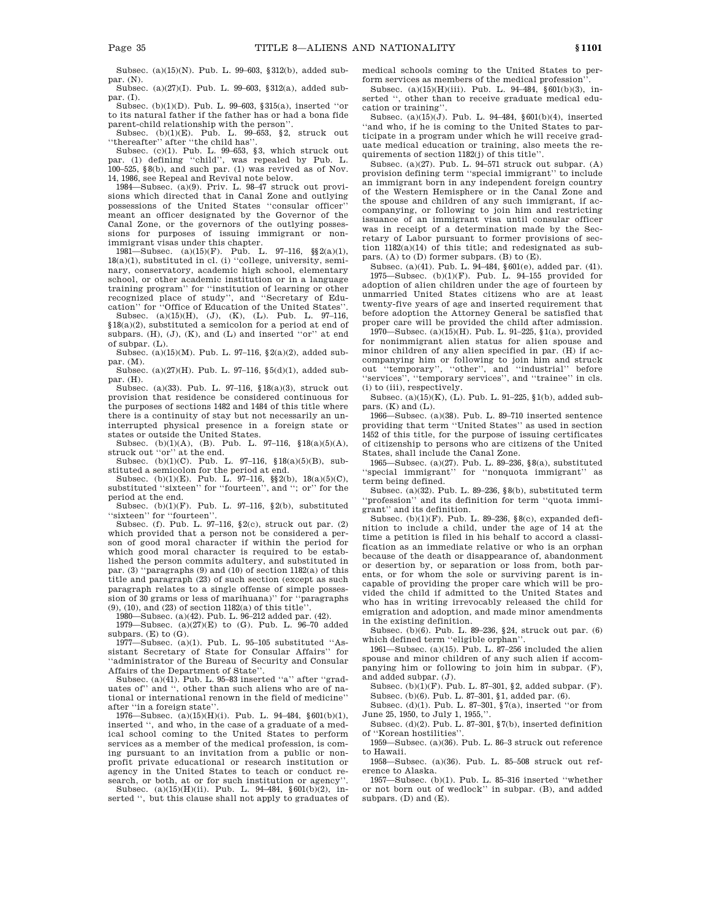Subsec. (a)(15)(N). Pub. L. 99–603, §312(b), added subpar. (N).

Subsec. (a)(27)(I). Pub. L. 99–603, §312(a), added subpar. (I).

Subsec. (b)(1)(D). Pub. L. 99–603, §315(a), inserted ''or to its natural father if the father has or had a bona fide parent-child relationship with the person''.

Subsec. (b)(1)(E). Pub. L. 99–653, §2, struck out ''thereafter'' after ''the child has''. Subsec. (c)(1). Pub. L. 99–653, §3, which struck out

par. (1) defining ''child'', was repealed by Pub. L. 100–525,  $\S(6)$ , and such par. (1) was revived as of Nov. 14, 1986, see Repeal and Revival note below.

1984—Subsec. (a)(9). Priv. L. 98–47 struck out provisions which directed that in Canal Zone and outlying possessions of the United States ''consular officer'' meant an officer designated by the Governor of the Canal Zone, or the governors of the outlying possessions for purposes of issuing immigrant or nonimmigrant visas under this chapter.

1981—Subsec. (a)(15)(F). Pub. L. 97–116, §§2(a)(1),  $18(a)(1)$ , substituted in cl. (i) "college, university, seminary, conservatory, academic high school, elementary school, or other academic institution or in a language training program'' for ''institution of learning or other recognized place of study'', and ''Secretary of Education'' for ''Office of Education of the United States''.

Subsec. (a)(15)(H), (J), (K), (L). Pub. L. 97–116, §18(a)(2), substituted a semicolon for a period at end of subpars. (H), (J), (K), and (L) and inserted ''or'' at end of subpar. (L).

Subsec. (a)(15)(M). Pub. L. 97–116, §2(a)(2), added subpar. (M).

Subsec. (a)(27)(H). Pub. L. 97–116, §5(d)(1), added subpar. (H).

Subsec. (a)(33). Pub. L. 97–116, §18(a)(3), struck out provision that residence be considered continuous for the purposes of sections 1482 and 1484 of this title where there is a continuity of stay but not necessarily an uninterrupted physical presence in a foreign state or states or outside the United States.

Subsec. (b)(1)(A), (B). Pub. L. 97-116,  $$18(a)(5)(A)$ , struck out ''or'' at the end.

Subsec. (b)(1)(C). Pub. L. 97–116,  $$18(a)(5)(B)$ , substituted a semicolon for the period at end.

Subsec. (b)(1)(E). Pub. L. 97-116,  $\S\S 2(b)$ , 18(a)(5)(C), substituted ''sixteen'' for ''fourteen'', and ''; or'' for the period at the end.

Subsec.  $(b)(1)(F)$ . Pub. L. 97-116, §2(b), substituted ''sixteen'' for ''fourteen''.

Subsec. (f). Pub. L. 97–116, §2(c), struck out par. (2) which provided that a person not be considered a person of good moral character if within the period for which good moral character is required to be established the person commits adultery, and substituted in par. (3) ''paragraphs (9) and (10) of section 1182(a) of this title and paragraph (23) of such section (except as such paragraph relates to a single offense of simple possession of 30 grams or less of marihuana)'' for ''paragraphs  $(9)$ ,  $(10)$ , and  $(23)$  of section 1182 $(a)$  of this title''.

1980—Subsec. (a)(42). Pub. L. 96–212 added par. (42).

1979—Subsec. (a)(27)(E) to (G). Pub. L. 96–70 added subpars. (E) to (G).

1977—Subsec. (a)(1). Pub. L. 95–105 substituted ''Assistant Secretary of State for Consular Affairs'' for ''administrator of the Bureau of Security and Consular Affairs of the Department of State''.

Subsec. (a)(41). Pub. L. 95–83 inserted ''a'' after ''graduates of'' and '', other than such aliens who are of national or international renown in the field of medicine'' after ''in a foreign state''.

1976—Subsec. (a)(15)(H)(i). Pub. L. 94–484, §601(b)(1), inserted '', and who, in the case of a graduate of a medical school coming to the United States to perform services as a member of the medical profession, is coming pursuant to an invitation from a public or nonprofit private educational or research institution or agency in the United States to teach or conduct re-

search, or both, at or for such institution or agency".<br>Subsec.  $(a)(15)(H)(ii)$ . Pub. L. 94–484, §601(b)(2), inserted '', but this clause shall not apply to graduates of medical schools coming to the United States to perform services as members of the medical profession'

Subsec. (a)(15)(H)(iii). Pub. L. 94–484, §601(b)(3), inserted '', other than to receive graduate medical education or training''.

Subsec. (a)(15)(J). Pub. L. 94–484, §601(b)(4), inserted 'and who, if he is coming to the United States to participate in a program under which he will receive graduate medical education or training, also meets the requirements of section 1182(j) of this title''.

Subsec. (a)(27). Pub. L. 94–571 struck out subpar.  $(A)$ provision defining term ''special immigrant'' to include an immigrant born in any independent foreign country of the Western Hemisphere or in the Canal Zone and the spouse and children of any such immigrant, if accompanying, or following to join him and restricting issuance of an immigrant visa until consular officer was in receipt of a determination made by the Secretary of Labor pursuant to former provisions of section 1182(a)(14) of this title; and redesignated as subpars. (A) to (D) former subpars. (B) to (E).

Subsec. (a)(41). Pub. L. 94–484, §601(e), added par. (41). 1975—Subsec. (b)(1)(F). Pub. L. 94–155 provided for adoption of alien children under the age of fourteen by unmarried United States citizens who are at least twenty-five years of age and inserted requirement that before adoption the Attorney General be satisfied that proper care will be provided the child after admission.

1970—Subsec. (a)(15)(H). Pub. L. 91–225, §1(a), provided for nonimmigrant alien status for alien spouse and minor children of any alien specified in par. (H) if accompanying him or following to join him and struck out ''temporary'', ''other'', and ''industrial'' before "services", "temporary services", and "trainee" in cls. (i) to (iii), respectively.

Subsec. (a)(15)(K), (L). Pub. L. 91–225, §1(b), added subpars. (K) and (L).

1966—Subsec. (a)(38). Pub. L. 89–710 inserted sentence providing that term ''United States'' as used in section 1452 of this title, for the purpose of issuing certificates of citizenship to persons who are citizens of the United States, shall include the Canal Zone.

1965—Subsec. (a)(27). Pub. L. 89–236, §8(a), substituted ''special immigrant'' for ''nonquota immigrant'' as term being defined.

Subsec. (a)(32). Pub. L. 89–236, §8(b), substituted term ''profession'' and its definition for term ''quota immigrant'' and its definition.

Subsec. (b)(1)(F). Pub. L. 89–236, §8(c), expanded definition to include a child, under the age of 14 at the time a petition is filed in his behalf to accord a classification as an immediate relative or who is an orphan because of the death or disappearance of, abandonment or desertion by, or separation or loss from, both parents, or for whom the sole or surviving parent is incapable of providing the proper care which will be provided the child if admitted to the United States and who has in writing irrevocably released the child for emigration and adoption, and made minor amendments in the existing definition.

Subsec. (b)(6). Pub. L. 89–236, §24, struck out par. (6) which defined term ''eligible orphan''.

1961—Subsec. (a)(15). Pub. L. 87–256 included the alien spouse and minor children of any such alien if accompanying him or following to join him in subpar. (F), and added subpar. (J).

Subsec. (b)(1)(F). Pub. L. 87–301, §2, added subpar. (F). Subsec. (b)(6). Pub. L. 87–301, §1, added par. (6).

Subsec. (d)(1). Pub. L. 87–301, §7(a), inserted ''or from June 25, 1950, to July 1, 1955,''.

Subsec. (d)(2). Pub. L. 87–301, §7(b), inserted definition of ''Korean hostilities''.

1959—Subsec. (a)(36). Pub. L. 86–3 struck out reference to Hawaii.

1958—Subsec. (a)(36). Pub. L. 85–508 struck out reference to Alaska.

1957—Subsec. (b)(1). Pub. L. 85–316 inserted ''whether or not born out of wedlock'' in subpar. (B), and added subpars. (D) and (E).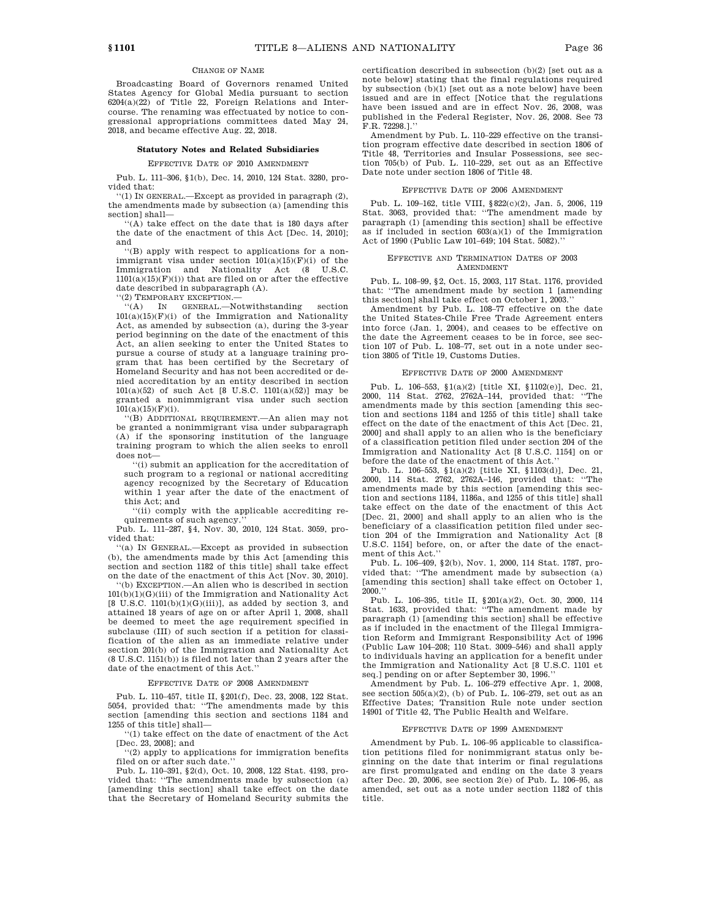### CHANGE OF NAME

Broadcasting Board of Governors renamed United States Agency for Global Media pursuant to section 6204(a)(22) of Title 22, Foreign Relations and Intercourse. The renaming was effectuated by notice to congressional appropriations committees dated May 24, 2018, and became effective Aug. 22, 2018.

### **Statutory Notes and Related Subsidiaries**

#### EFFECTIVE DATE OF 2010 AMENDMENT

Pub. L. 111–306, §1(b), Dec. 14, 2010, 124 Stat. 3280, provided that:

''(1) IN GENERAL.—Except as provided in paragraph (2), the amendments made by subsection (a) [amending this section] shall—

''(A) take effect on the date that is 180 days after the date of the enactment of this Act [Dec. 14, 2010]; and

''(B) apply with respect to applications for a nonimmigrant visa under section  $101(a)(15)(F)(i)$  of the Immigration and Nationality Act (8 U.S.C. Immigration and Nationality Act (8  $1101(a)(15)(F)(i)$ ) that are filed on or after the effective date described in subparagraph (A).

"(2) TEMPORARY EXCEPTION.-<br>"(A) IN GENERAL.—N GENERAL.—Notwithstanding section  $101(a)(15)(F)(i)$  of the Immigration and Nationality Act, as amended by subsection (a), during the 3-year period beginning on the date of the enactment of this Act, an alien seeking to enter the United States to pursue a course of study at a language training program that has been certified by the Secretary of Homeland Security and has not been accredited or denied accreditation by an entity described in section 101(a)(52) of such Act [8 U.S.C. 1101(a)(52)] may be granted a nonimmigrant visa under such section  $101(a)(15)(F)(i)$ .

''(B) ADDITIONAL REQUIREMENT.—An alien may not be granted a nonimmigrant visa under subparagraph (A) if the sponsoring institution of the language training program to which the alien seeks to enroll does not—

''(i) submit an application for the accreditation of such program to a regional or national accrediting agency recognized by the Secretary of Education within 1 year after the date of the enactment of this Act; and

''(ii) comply with the applicable accrediting requirements of such agency.

Pub. L. 111–287, §4, Nov. 30, 2010, 124 Stat. 3059, provided that:

''(a) IN GENERAL.—Except as provided in subsection (b), the amendments made by this Act [amending this section and section 1182 of this title] shall take effect on the date of the enactment of this Act [Nov. 30, 2010].

''(b) EXCEPTION.—An alien who is described in section  $101(b)(1)(G)(iii)$  of the Immigration and Nationality Act  $[8 \text{ U.S.C. } 1101(b)(1)(G)(iii)]$ , as added by section 3, and attained 18 years of age on or after April 1, 2008, shall be deemed to meet the age requirement specified in subclause (III) of such section if a petition for classification of the alien as an immediate relative under section 201(b) of the Immigration and Nationality Act (8 U.S.C. 1151(b)) is filed not later than 2 years after the date of the enactment of this Act.''

#### EFFECTIVE DATE OF 2008 AMENDMENT

Pub. L. 110–457, title II, §201(f), Dec. 23, 2008, 122 Stat. 5054, provided that: ''The amendments made by this section [amending this section and sections 1184 and 1255 of this title] shall—

''(1) take effect on the date of enactment of the Act [Dec. 23, 2008]; and

''(2) apply to applications for immigration benefits filed on or after such date.

Pub. L. 110–391, §2(d), Oct. 10, 2008, 122 Stat. 4193, provided that: ''The amendments made by subsection (a) [amending this section] shall take effect on the date that the Secretary of Homeland Security submits the

certification described in subsection (b)(2) [set out as a note below] stating that the final regulations required by subsection (b)(1) [set out as a note below] have been issued and are in effect [Notice that the regulations have been issued and are in effect Nov. 26, 2008, was published in the Federal Register, Nov. 26, 2008. See 73 F.R. 72298.].''

Amendment by Pub. L. 110–229 effective on the transition program effective date described in section 1806 of Title 48, Territories and Insular Possessions, see section 705(b) of Pub. L. 110–229, set out as an Effective Date note under section 1806 of Title 48.

### EFFECTIVE DATE OF 2006 AMENDMENT

Pub. L. 109–162, title VIII, §822(c)(2), Jan. 5, 2006, 119 Stat. 3063, provided that: ''The amendment made by paragraph (1) [amending this section] shall be effective as if included in section  $603(a)(1)$  of the Immigration Act of 1990 (Public Law 101–649; 104 Stat. 5082).''

### EFFECTIVE AND TERMINATION DATES OF 2003 AMENDMENT

Pub. L. 108–99, §2, Oct. 15, 2003, 117 Stat. 1176, provided that: ''The amendment made by section 1 [amending this section] shall take effect on October 1, 2003.''

Amendment by Pub. L. 108–77 effective on the date the United States-Chile Free Trade Agreement enters into force (Jan. 1, 2004), and ceases to be effective on the date the Agreement ceases to be in force, see section 107 of Pub. L. 108–77, set out in a note under section 3805 of Title 19, Customs Duties.

#### EFFECTIVE DATE OF 2000 AMENDMENT

Pub. L. 106–553, §1(a)(2) [title XI, §1102(e)], Dec. 21, 2000, 114 Stat. 2762, 2762A–144, provided that: ''The amendments made by this section [amending this section and sections 1184 and 1255 of this title] shall take effect on the date of the enactment of this Act [Dec. 21, 2000] and shall apply to an alien who is the beneficiary of a classification petition filed under section 204 of the Immigration and Nationality Act [8 U.S.C. 1154] on or before the date of the enactment of this Act.

Pub. L. 106–553, §1(a)(2) [title XI, §1103(d)], Dec. 21, 2000, 114 Stat. 2762, 2762A–146, provided that: ''The amendments made by this section [amending this section and sections 1184, 1186a, and 1255 of this title] shall take effect on the date of the enactment of this Act [Dec. 21, 2000] and shall apply to an alien who is the beneficiary of a classification petition filed under section 204 of the Immigration and Nationality Act [8 U.S.C. 1154] before, on, or after the date of the enactment of this Act.''

Pub. L. 106–409, §2(b), Nov. 1, 2000, 114 Stat. 1787, pro-vided that: ''The amendment made by subsection (a) [amending this section] shall take effect on October 1, 2000.''

Pub. L. 106–395, title II, §201(a)(2), Oct. 30, 2000, 114 Stat. 1633, provided that: ''The amendment made by paragraph (1) [amending this section] shall be effective as if included in the enactment of the Illegal Immigration Reform and Immigrant Responsibility Act of 1996 (Public Law 104–208; 110 Stat. 3009–546) and shall apply to individuals having an application for a benefit under the Immigration and Nationality Act [8 U.S.C. 1101 et seq.] pending on or after September 30, 1996.''

Amendment by Pub. L. 106–279 effective Apr. 1, 2008, see section  $505(a)(2)$ , (b) of Pub. L. 106-279, set out as an Effective Dates; Transition Rule note under section 14901 of Title 42, The Public Health and Welfare.

### EFFECTIVE DATE OF 1999 AMENDMENT

Amendment by Pub. L. 106–95 applicable to classification petitions filed for nonimmigrant status only beginning on the date that interim or final regulations are first promulgated and ending on the date 3 years after Dec. 20, 2006, see section 2(e) of Pub. L. 106–95, as amended, set out as a note under section 1182 of this title.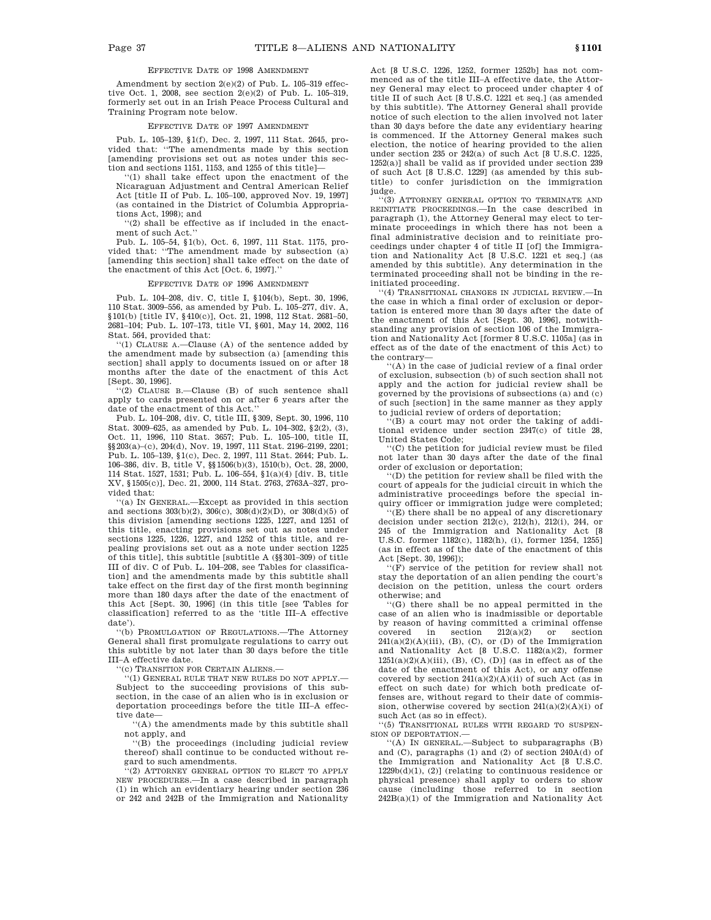### EFFECTIVE DATE OF 1998 AMENDMENT

Amendment by section 2(e)(2) of Pub. L. 105–319 effective Oct. 1, 2008, see section 2(e)(2) of Pub. L. 105–319, formerly set out in an Irish Peace Process Cultural and Training Program note below.

### EFFECTIVE DATE OF 1997 AMENDMENT

Pub. L. 105–139, §1(f), Dec. 2, 1997, 111 Stat. 2645, provided that: ''The amendments made by this section [amending provisions set out as notes under this section and sections 1151, 1153, and 1255 of this title]—

''(1) shall take effect upon the enactment of the Nicaraguan Adjustment and Central American Relief Act [title II of Pub. L. 105–100, approved Nov. 19, 1997] (as contained in the District of Columbia Appropriations Act, 1998); and

''(2) shall be effective as if included in the enactment of such Act.''

Pub. L. 105–54, §1(b), Oct. 6, 1997, 111 Stat. 1175, provided that: ''The amendment made by subsection (a) [amending this section] shall take effect on the date of the enactment of this Act [Oct. 6, 1997].''

### EFFECTIVE DATE OF 1996 AMENDMENT

Pub. L. 104–208, div. C, title I, §104(b), Sept. 30, 1996, 110 Stat. 3009–556, as amended by Pub. L. 105–277, div. A, §101(b) [title IV, §410(c)], Oct. 21, 1998, 112 Stat. 2681–50, 2681–104; Pub. L. 107–173, title VI, §601, May 14, 2002, 116 Stat. 564, provided that:

 $(1)$  CLAUSE A.—Clause (A) of the sentence added by the amendment made by subsection (a) [amending this section] shall apply to documents issued on or after 18 months after the date of the enactment of this Act [Sept. 30, 1996].

''(2) CLAUSE B.—Clause (B) of such sentence shall apply to cards presented on or after 6 years after the date of the enactment of this Act.''

Pub. L. 104–208, div. C, title III, §309, Sept. 30, 1996, 110 Stat. 3009–625, as amended by Pub. L. 104–302, §2(2), (3), Oct. 11, 1996, 110 Stat. 3657; Pub. L. 105–100, title II, §§203(a)–(c), 204(d), Nov. 19, 1997, 111 Stat. 2196–2199, 2201; Pub. L. 105–139, §1(c), Dec. 2, 1997, 111 Stat. 2644; Pub. L. 106–386, div. B, title V, §§1506(b)(3), 1510(b), Oct. 28, 2000, 114 Stat. 1527, 1531; Pub. L. 106–554, §1(a)(4) [div. B, title XV, §1505(c)], Dec. 21, 2000, 114 Stat. 2763, 2763A–327, provided that:

''(a) IN GENERAL.—Except as provided in this section and sections 303(b)(2), 306(c), 308(d)(2)(D), or 308(d)(5) of this division [amending sections 1225, 1227, and 1251 of this title, enacting provisions set out as notes under sections 1225, 1226, 1227, and 1252 of this title, and repealing provisions set out as a note under section 1225 of this title], this subtitle [subtitle A (§§301–309) of title III of div. C of Pub. L. 104–208, see Tables for classification] and the amendments made by this subtitle shall take effect on the first day of the first month beginning more than 180 days after the date of the enactment of this Act [Sept. 30, 1996] (in this title [see Tables for classification] referred to as the 'title III–A effective date').

''(b) PROMULGATION OF REGULATIONS.—The Attorney General shall first promulgate regulations to carry out this subtitle by not later than 30 days before the title III–A effective date.

'(c) TRANSITION FOR CERTAIN ALIENS.

''(1) GENERAL RULE THAT NEW RULES DO NOT APPLY.— Subject to the succeeding provisions of this subsection, in the case of an alien who is in exclusion or deportation proceedings before the title III–A effective date—

''(A) the amendments made by this subtitle shall not apply, and

''(B) the proceedings (including judicial review thereof) shall continue to be conducted without regard to such amendments.

''(2) ATTORNEY GENERAL OPTION TO ELECT TO APPLY NEW PROCEDURES.—In a case described in paragraph (1) in which an evidentiary hearing under section 236 or 242 and 242B of the Immigration and Nationality Act [8 U.S.C. 1226, 1252, former 1252b] has not commenced as of the title III–A effective date, the Attorney General may elect to proceed under chapter 4 of title II of such Act [8 U.S.C. 1221 et seq.] (as amended by this subtitle). The Attorney General shall provide notice of such election to the alien involved not later than 30 days before the date any evidentiary hearing is commenced. If the Attorney General makes such election, the notice of hearing provided to the alien under section 235 or 242(a) of such Act [8 U.S.C. 1225, 1252(a)] shall be valid as if provided under section 239 of such Act [8 U.S.C. 1229] (as amended by this subtitle) to confer jurisdiction on the immigration judge.

''(3) ATTORNEY GENERAL OPTION TO TERMINATE AND REINITIATE PROCEEDINGS.—In the case described in paragraph (1), the Attorney General may elect to terminate proceedings in which there has not been a final administrative decision and to reinitiate proceedings under chapter 4 of title II [of] the Immigration and Nationality Act [8 U.S.C. 1221 et seq.] (as amended by this subtitle). Any determination in the terminated proceeding shall not be binding in the reinitiated proceeding.

''(4) TRANSITIONAL CHANGES IN JUDICIAL REVIEW.—In the case in which a final order of exclusion or deportation is entered more than 30 days after the date of the enactment of this Act [Sept. 30, 1996], notwith-standing any provision of section 106 of the Immigration and Nationality Act [former 8 U.S.C. 1105a] (as in effect as of the date of the enactment of this Act) to the contrary—

 $'(A)$  in the case of judicial review of a final order of exclusion, subsection (b) of such section shall not apply and the action for judicial review shall be governed by the provisions of subsections (a) and (c) of such [section] in the same manner as they apply to judicial review of orders of deportation;

''(B) a court may not order the taking of additional evidence under section 2347(c) of title 28, United States Code;

''(C) the petition for judicial review must be filed not later than 30 days after the date of the final order of exclusion or deportation;

''(D) the petition for review shall be filed with the court of appeals for the judicial circuit in which the administrative proceedings before the special inquiry officer or immigration judge were completed;

''(E) there shall be no appeal of any discretionary decision under section 212(c), 212(h), 212(i), 244, or 245 of the Immigration and Nationality Act [8 U.S.C. former 1182(c), 1182(h), (i), former 1254, 1255] (as in effect as of the date of the enactment of this Act [Sept. 30, 1996]);

''(F) service of the petition for review shall not stay the deportation of an alien pending the court's decision on the petition, unless the court orders otherwise; and

''(G) there shall be no appeal permitted in the case of an alien who is inadmissible or deportable by reason of having committed a criminal offense covered in section  $212(a)(2)$  or section section  $212(a)(2)$  $241(a)(2)(A)(iii)$ , (B), (C), or (D) of the Immigration and Nationality Act [8 U.S.C. 1182(a)(2), former  $1251(a)(2)(A)(iii)$ , (B), (C), (D)] (as in effect as of the date of the enactment of this Act), or any offense covered by section 241(a)(2)(A)(ii) of such Act (as in effect on such date) for which both predicate offenses are, without regard to their date of commission, otherwise covered by section  $241(a)(2)(A)(i)$  of such Act (as so in effect).

'(5) TRANSITIONAL RULES WITH REGARD TO SUSPEN-SION OF DEPORTATION.—

 $(A)$  IN GENERAL.—Subject to subparagraphs  $(B)$ and  $(C)$ , paragraphs  $(1)$  and  $(2)$  of section 240A $(d)$  of the Immigration and Nationality Act [8 U.S.C. 1229b(d)(1), (2)] (relating to continuous residence or physical presence) shall apply to orders to show cause (including those referred to in section 242B(a)(1) of the Immigration and Nationality Act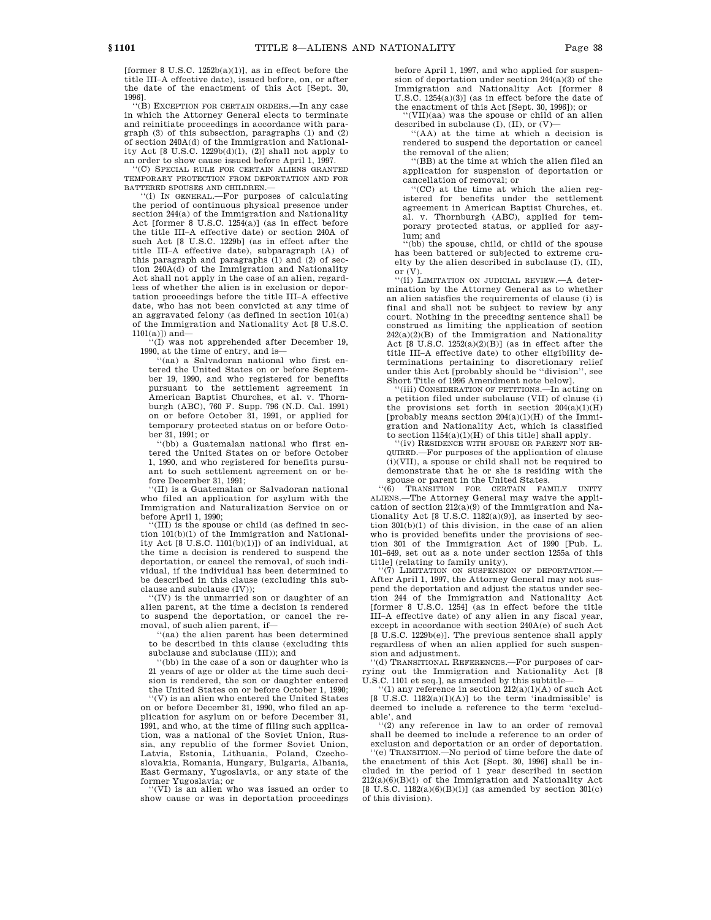[former 8 U.S.C.  $1252b(a)(1)$ ], as in effect before the title III–A effective date), issued before, on, or after the date of the enactment of this Act [Sept. 30, 1996].

''(B) EXCEPTION FOR CERTAIN ORDERS.—In any case in which the Attorney General elects to terminate and reinitiate proceedings in accordance with paragraph (3) of this subsection, paragraphs (1) and (2) of section 240A(d) of the Immigration and Nationality Act  $[8 \text{ U.S.C. } 1229b(d)(1), (2)]$  shall not apply to an order to show cause issued before April 1, 1997.

''(C) SPECIAL RULE FOR CERTAIN ALIENS GRANTED TEMPORARY PROTECTION FROM DEPORTATION AND FOR BATTERED SPOUSES AND CHILDREN.—

'(i) IN GENERAL.-For purposes of calculating the period of continuous physical presence under section 244(a) of the Immigration and Nationality Act [former 8 U.S.C. 1254(a)] (as in effect before the title III–A effective date) or section 240A of such Act [8 U.S.C. 1229b] (as in effect after the title III–A effective date), subparagraph (A) of this paragraph and paragraphs  $(1)$  and  $(2)$  of section 240A(d) of the Immigration and Nationality Act shall not apply in the case of an alien, regardless of whether the alien is in exclusion or deportation proceedings before the title III–A effective date, who has not been convicted at any time of an aggravated felony (as defined in section 101(a) of the Immigration and Nationality Act [8 U.S.C. 1101(a)]) and—

''(I) was not apprehended after December 19, 1990, at the time of entry, and is—

''(aa) a Salvadoran national who first entered the United States on or before September 19, 1990, and who registered for benefits pursuant to the settlement agreement in American Baptist Churches, et al. v. Thornburgh (ABC), 760 F. Supp. 796 (N.D. Cal. 1991) on or before October 31, 1991, or applied for temporary protected status on or before October 31, 1991; or

''(bb) a Guatemalan national who first entered the United States on or before October 1, 1990, and who registered for benefits pursuant to such settlement agreement on or before December 31, 1991;

''(II) is a Guatemalan or Salvadoran national who filed an application for asylum with the Immigration and Naturalization Service on or

before April 1, 1990;<br>"(III) is the spouse or child (as defined in section 101(b)(1) of the Immigration and Nationality Act  $[8 \text{ U.S.C. } 1101(b)(1)]$  of an individual, at the time a decision is rendered to suspend the deportation, or cancel the removal, of such individual, if the individual has been determined to be described in this clause (excluding this subclause and subclause (IV));

''(IV) is the unmarried son or daughter of an alien parent, at the time a decision is rendered to suspend the deportation, or cancel the removal, of such alien parent, if—

''(aa) the alien parent has been determined to be described in this clause (excluding this subclause and subclause (III)); and

''(bb) in the case of a son or daughter who is 21 years of age or older at the time such decision is rendered, the son or daughter entered the United States on or before October 1, 1990;

''(V) is an alien who entered the United States on or before December 31, 1990, who filed an application for asylum on or before December 31, 1991, and who, at the time of filing such application, was a national of the Soviet Union, Russia, any republic of the former Soviet Union, Latvia, Estonia, Lithuania, Poland, Czechoslovakia, Romania, Hungary, Bulgaria, Albania, East Germany, Yugoslavia, or any state of the former Yugoslavia; or

''(VI) is an alien who was issued an order to show cause or was in deportation proceedings before April 1, 1997, and who applied for suspension of deportation under section 244(a)(3) of the Immigration and Nationality Act [former 8 U.S.C. 1254(a)(3)] (as in effect before the date of the enactment of this Act [Sept. 30, 1996]); or

''(VII)(aa) was the spouse or child of an alien described in subclause  $(I)$ ,  $(II)$ , or  $(V)$ -

''(AA) at the time at which a decision is rendered to suspend the deportation or cancel the removal of the alien;

''(BB) at the time at which the alien filed an application for suspension of deportation or cancellation of removal; or

''(CC) at the time at which the alien registered for benefits under the settlement agreement in American Baptist Churches, et. al. v. Thornburgh (ABC), applied for temporary protected status, or applied for asy-

lum; and ''(bb) the spouse, child, or child of the spouse has been battered or subjected to extreme cruelty by the alien described in subclause (I), (II), or  $(V)$ .

''(ii) LIMITATION ON JUDICIAL REVIEW.—A determination by the Attorney General as to whether an alien satisfies the requirements of clause (i) is final and shall not be subject to review by any court. Nothing in the preceding sentence shall be construed as limiting the application of section  $242(a)(2)(B)$  of the Immigration and Nationality Act  $[8 \text{ U.S.C. } 1252(a)(2)(B)]$  (as in effect after the title III–A effective date) to other eligibility determinations pertaining to discretionary relief under this Act [probably should be ''division'', see Short Title of 1996 Amendment note below].

(iii) CONSIDERATION OF PETITIONS.—In acting on a petition filed under subclause (VII) of clause (i) the provisions set forth in section  $204(a)(1)(H)$ [probably means section  $204(a)(1)(H)$  of the Immigration and Nationality Act, which is classified to section 1154(a)(1)(H) of this title] shall apply.

''(iv) RESIDENCE WITH SPOUSE OR PARENT NOT RE-QUIRED.—For purposes of the application of clause (i)(VII), a spouse or child shall not be required to demonstrate that he or she is residing with the

spouse or parent in the United States. ''(6) TRANSITION FOR CERTAIN FAMILY UNITY ALIENS.—The Attorney General may waive the application of section 212(a)(9) of the Immigration and Nationality Act [8 U.S.C. 1182(a)(9)], as inserted by sec-tion 301(b)(1) of this division, in the case of an alien who is provided benefits under the provisions of section 301 of the Immigration Act of 1990 [Pub. L. 101–649, set out as a note under section 1255a of this title] (relating to family unity).

''(7) LIMITATION ON SUSPENSION OF DEPORTATION.— After April 1, 1997, the Attorney General may not suspend the deportation and adjust the status under section 244 of the Immigration and Nationality Act [former 8 U.S.C. 1254] (as in effect before the title III–A effective date) of any alien in any fiscal year, except in accordance with section 240A(e) of such Act [8 U.S.C. 1229b(e)]. The previous sentence shall apply regardless of when an alien applied for such suspension and adjustment.

'(d) TRANSITIONAL REFERENCES.—For purposes of carrying out the Immigration and Nationality Act [8 U.S.C. 1101 et seq.], as amended by this subtitle—

 $(1)$  any reference in section  $212(a)(1)(A)$  of such Act  $[8 \text{ U.S.C. } 1182(a)(1)(\text{A})]$  to the term 'inadmissible' is deemed to include a reference to the term 'excludable', and

''(2) any reference in law to an order of removal shall be deemed to include a reference to an order of exclusion and deportation or an order of deportation.

''(e) TRANSITION.—No period of time before the date of the enactment of this Act [Sept. 30, 1996] shall be included in the period of 1 year described in section 212(a)(6)(B)(i) of the Immigration and Nationality Act  $[8 \, \mathrm{U.S.C.} \, \, 1182(a)(6)(B)(i)]$  (as amended by section  $301(c)$ of this division).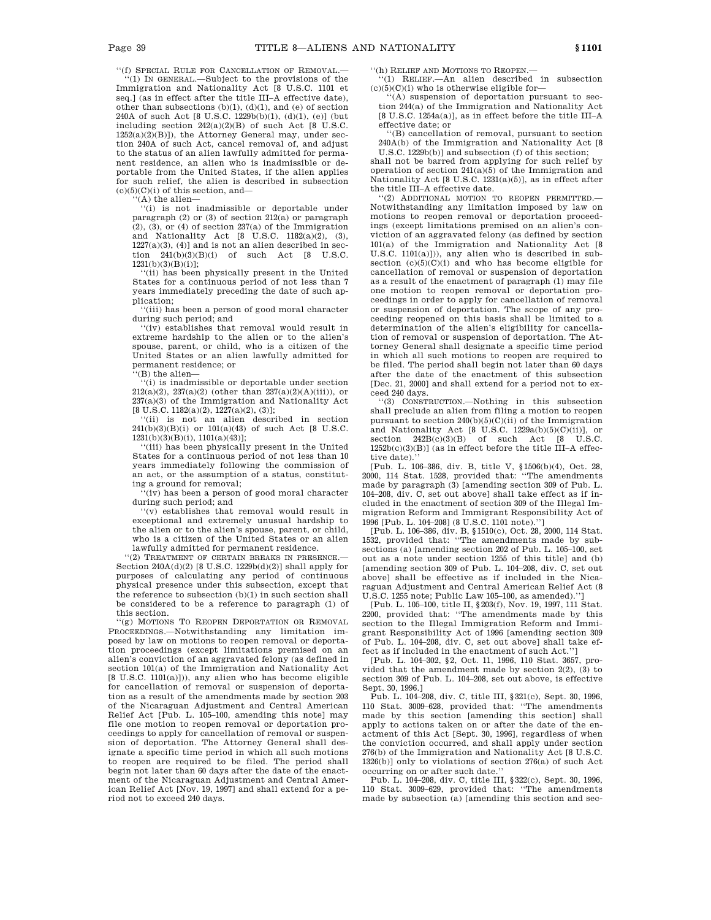''(f) SPECIAL RULE FOR CANCELLATION OF REMOVAL.—

''(1) IN GENERAL.—Subject to the provisions of the Immigration and Nationality Act [8 U.S.C. 1101 et seq.] (as in effect after the title III–A effective date), other than subsections (b)(1), (d)(1), and (e) of section 240A of such Act [8 U.S.C. 1229b(b)(1), (d)(1), (e)] (but including section  $242(a)(2)(B)$  of such Act [8 U.S.C. 1252(a)(2)(B)]), the Attorney General may, under section 240A of such Act, cancel removal of, and adjust to the status of an alien lawfully admitted for permanent residence, an alien who is inadmissible or deportable from the United States, if the alien applies for such relief, the alien is described in subsection  $(c)(5)(C)(i)$  of this section, and—

'(A) the alien-

''(i) is not inadmissible or deportable under paragraph (2) or (3) of section 212(a) or paragraph  $(2)$ ,  $(3)$ , or  $(4)$  of section  $237(a)$  of the Immigration and Nationality Act [8 U.S.C. 1182(a)(2), (3),  $1227(a)(3)$ ,  $(4)$ ] and is not an alien described in section  $241(b)(3)(B)(i)$  of such Act  $[8$  U.S.C. 1231(b)(3)(B)(i)];

''(ii) has been physically present in the United States for a continuous period of not less than 7 years immediately preceding the date of such application;

''(iii) has been a person of good moral character during such period; and

''(iv) establishes that removal would result in extreme hardship to the alien or to the alien's spouse, parent, or child, who is a citizen of the United States or an alien lawfully admitted for permanent residence; or

''(B) the alien—

''(i) is inadmissible or deportable under section  $212(a)(2)$ ,  $237(a)(2)$  (other than  $237(a)(2)(A)(iii)$ ), or 237(a)(3) of the Immigration and Nationality Act [8 U.S.C. 1182(a)(2), 1227(a)(2), (3)];

''(ii) is not an alien described in section 241(b)(3)(B)(i) or 101(a)(43) of such Act [8 U.S.C. 1231(b)(3)(B)(i), 1101(a)(43)];

''(iii) has been physically present in the United States for a continuous period of not less than 10 years immediately following the commission of an act, or the assumption of a status, constituting a ground for removal;

''(iv) has been a person of good moral character during such period; and

''(v) establishes that removal would result in exceptional and extremely unusual hardship to the alien or to the alien's spouse, parent, or child, who is a citizen of the United States or an alien lawfully admitted for permanent residence.

''(2) TREATMENT OF CERTAIN BREAKS IN PRESENCE.— Section  $240A(d)(2)$  [8 U.S.C.  $1229b(d)(2)$ ] shall apply for purposes of calculating any period of continuous physical presence under this subsection, except that the reference to subsection (b)(1) in such section shall be considered to be a reference to paragraph (1) of this section.

''(g) MOTIONS TO REOPEN DEPORTATION OR REMOVAL PROCEEDINGS.—Notwithstanding any limitation imposed by law on motions to reopen removal or deportation proceedings (except limitations premised on an alien's conviction of an aggravated felony (as defined in section 101(a) of the Immigration and Nationality Act  $[8 \text{ U.S.C. } 1101(a)]$ ), any alien who has become eligible for cancellation of removal or suspension of deportation as a result of the amendments made by section 203 of the Nicaraguan Adjustment and Central American Relief Act [Pub. L. 105–100, amending this note] may file one motion to reopen removal or deportation proceedings to apply for cancellation of removal or suspension of deportation. The Attorney General shall designate a specific time period in which all such motions to reopen are required to be filed. The period shall begin not later than 60 days after the date of the enactment of the Nicaraguan Adjustment and Central American Relief Act [Nov. 19, 1997] and shall extend for a period not to exceed 240 days.

''(h) RELIEF AND MOTIONS TO REOPEN.—

''(1) RELIEF.—An alien described in subsection  $(c)(5)(C)(i)$  who is otherwise eligible for-

'(A) suspension of deportation pursuant to section 244(a) of the Immigration and Nationality Act [8 U.S.C. 1254a(a)], as in effect before the title III–A effective date; or

''(B) cancellation of removal, pursuant to section 240A(b) of the Immigration and Nationality Act [8 U.S.C. 1229b(b)] and subsection (f) of this section;

shall not be barred from applying for such relief by operation of section 241(a)(5) of the Immigration and Nationality Act [8 U.S.C. 1231(a)(5)], as in effect after the title III–A effective date.

''(2) ADDITIONAL MOTION TO REOPEN PERMITTED.— Notwithstanding any limitation imposed by law on motions to reopen removal or deportation proceedings (except limitations premised on an alien's conviction of an aggravated felony (as defined by section 101(a) of the Immigration and Nationality Act [8 U.S.C. 1101(a)])), any alien who is described in subsection  $(c)(5)(C)(i)$  and who has become eligible for cancellation of removal or suspension of deportation as a result of the enactment of paragraph (1) may file one motion to reopen removal or deportation proceedings in order to apply for cancellation of removal or suspension of deportation. The scope of any proceeding reopened on this basis shall be limited to a determination of the alien's eligibility for cancellation of removal or suspension of deportation. The Attorney General shall designate a specific time period in which all such motions to reopen are required to be filed. The period shall begin not later than 60 days after the date of the enactment of this subsection [Dec. 21, 2000] and shall extend for a period not to exceed 240 days.

''(3) CONSTRUCTION.—Nothing in this subsection shall preclude an alien from filing a motion to reopen pursuant to section  $240(b)(5)(C)(ii)$  of the Immigration and Nationality Act [8 U.S.C. 1229a(b)(5)(C)(ii)], or section  $242B(c)(3)(B)$  of such Act  $[8 \text{ U.S.C.}]$  $1252b(c)(3)(B)$ ] (as in effect before the title III-A effective date).

[Pub. L. 106–386, div. B, title V, §1506(b)(4), Oct. 28, 2000, 114 Stat. 1528, provided that: ''The amendments made by paragraph (3) [amending section 309 of Pub. L. 104–208, div. C, set out above] shall take effect as if included in the enactment of section 309 of the Illegal Immigration Reform and Immigrant Responsibility Act of 1996 [Pub. L. 104–208] (8 U.S.C. 1101 note).'']

[Pub. L. 106–386, div. B, §1510(c), Oct. 28, 2000, 114 Stat. 1532, provided that: ''The amendments made by subsections (a) [amending section 202 of Pub. L. 105–100, set out as a note under section 1255 of this title] and (b) [amending section 309 of Pub. L. 104–208, div. C, set out above] shall be effective as if included in the Nicaraguan Adjustment and Central American Relief Act (8  $U.S.C.$  1255 note: Public Law 105–100, as amended). $"$ 

[Pub. L. 105–100, title II, §203(f), Nov. 19, 1997, 111 Stat. 2200, provided that: ''The amendments made by this section to the Illegal Immigration Reform and Immigrant Responsibility Act of 1996 [amending section 309 of Pub. L. 104–208, div. C, set out above] shall take effect as if included in the enactment of such Act."

[Pub. L. 104–302, §2, Oct. 11, 1996, 110 Stat. 3657, provided that the amendment made by section 2(2), (3) to section 309 of Pub. L. 104–208, set out above, is effective Sept. 30, 1996.]

Pub. L. 104–208, div. C, title III, §321(c), Sept. 30, 1996, 110 Stat. 3009–628, provided that: ''The amendments made by this section [amending this section] shall apply to actions taken on or after the date of the enactment of this Act [Sept. 30, 1996], regardless of when the conviction occurred, and shall apply under section 276(b) of the Immigration and Nationality Act [8 U.S.C. 1326(b)] only to violations of section 276(a) of such Act occurring on or after such date.''

Pub. L. 104–208, div. C, title III, §322(c), Sept. 30, 1996, 110 Stat. 3009–629, provided that: ''The amendments made by subsection (a) [amending this section and sec-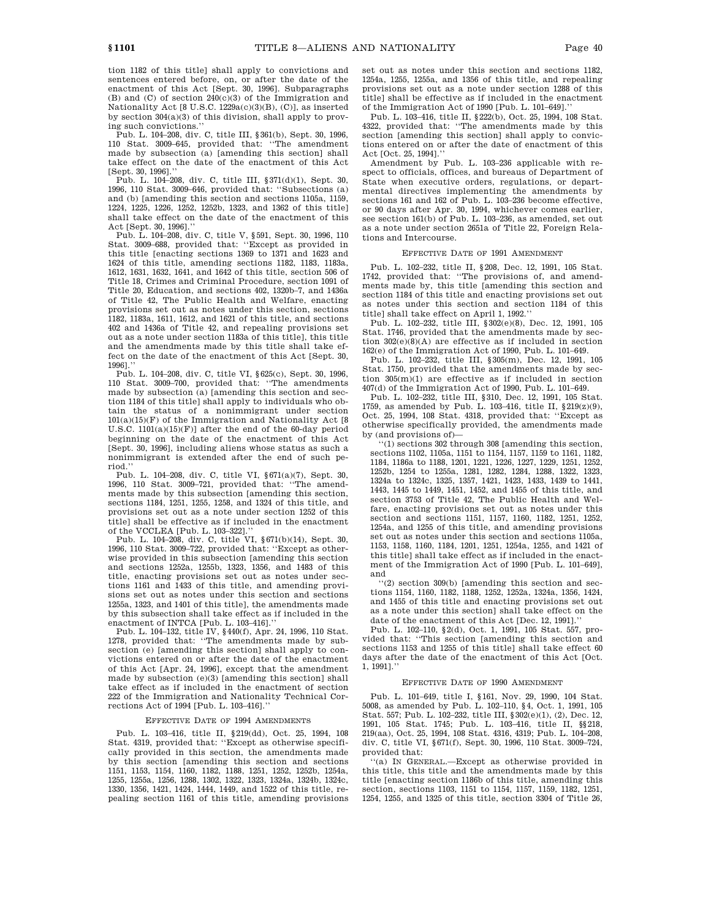tion 1182 of this title] shall apply to convictions and sentences entered before, on, or after the date of the enactment of this Act [Sept. 30, 1996]. Subparagraphs (B) and (C) of section 240(c)(3) of the Immigration and Nationality Act [8 U.S.C. 1229a(c)(3)(B), (C)], as inserted by section 304(a)(3) of this division, shall apply to proving such convictions.''

Pub. L. 104–208, div. C, title III, §361(b), Sept. 30, 1996, 110 Stat. 3009–645, provided that: ''The amendment made by subsection (a) [amending this section] shall take effect on the date of the enactment of this Act [Sept. 30, 1996].''

Pub. L. 104–208, div. C, title III, §371(d)(1), Sept. 30, 1996, 110 Stat. 3009–646, provided that: ''Subsections (a) and (b) [amending this section and sections 1105a, 1159, 1224, 1225, 1226, 1252, 1252b, 1323, and 1362 of this title] shall take effect on the date of the enactment of this Act [Sept. 30, 1996].''

Pub. L. 104–208, div. C, title V, §591, Sept. 30, 1996, 110 Stat. 3009–688, provided that: ''Except as provided in this title [enacting sections 1369 to 1371 and 1623 and 1624 of this title, amending sections 1182, 1183, 1183a, 1612, 1631, 1632, 1641, and 1642 of this title, section 506 of Title 18, Crimes and Criminal Procedure, section 1091 of Title 20, Education, and sections 402, 1320b–7, and 1436a of Title 42, The Public Health and Welfare, enacting provisions set out as notes under this section, sections 1182, 1183a, 1611, 1612, and 1621 of this title, and sections 402 and 1436a of Title 42, and repealing provisions set out as a note under section 1183a of this title], this title and the amendments made by this title shall take effect on the date of the enactment of this Act [Sept. 30, 1996].''

Pub. L. 104–208, div. C, title VI, §625(c), Sept. 30, 1996, 110 Stat. 3009–700, provided that: ''The amendments made by subsection (a) [amending this section and section 1184 of this title] shall apply to individuals who obtain the status of a nonimmigrant under section  $101(a)(15)(F)$  of the Immigration and Nationality Act [8] U.S.C. 1101(a)(15)(F)] after the end of the 60-day period beginning on the date of the enactment of this Act [Sept. 30, 1996], including aliens whose status as such a nonimmigrant is extended after the end of such period.''

Pub. L. 104–208, div. C, title VI, §671(a)(7), Sept. 30, 1996, 110 Stat. 3009–721, provided that: ''The amendments made by this subsection [amending this section, sections 1184, 1251, 1255, 1258, and 1324 of this title, and provisions set out as a note under section 1252 of this title] shall be effective as if included in the enactment

of the VCCLEA [Pub. L. 103–322].'' Pub. L. 104–208, div. C, title VI, §671(b)(14), Sept. 30, 1996, 110 Stat. 3009–722, provided that: ''Except as otherwise provided in this subsection [amending this section and sections 1252a, 1255b, 1323, 1356, and 1483 of this title, enacting provisions set out as notes under sections 1161 and 1433 of this title, and amending provisions set out as notes under this section and sections 1255a, 1323, and 1401 of this title], the amendments made by this subsection shall take effect as if included in the enactment of INTCA [Pub. L. 103–416].''

Pub. L. 104–132, title IV, §440(f), Apr. 24, 1996, 110 Stat. 1278, provided that: ''The amendments made by subsection (e) [amending this section] shall apply to convictions entered on or after the date of the enactment of this Act [Apr. 24, 1996], except that the amendment made by subsection (e)(3) [amending this section] shall take effect as if included in the enactment of section 222 of the Immigration and Nationality Technical Corrections Act of 1994 [Pub. L. 103-416].

### EFFECTIVE DATE OF 1994 AMENDMENTS

Pub. L. 103–416, title II, §219(dd), Oct. 25, 1994, 108 Stat. 4319, provided that: ''Except as otherwise specifically provided in this section, the amendments made by this section [amending this section and sections 1151, 1153, 1154, 1160, 1182, 1188, 1251, 1252, 1252b, 1254a, 1255, 1255a, 1256, 1288, 1302, 1322, 1323, 1324a, 1324b, 1324c, 1330, 1356, 1421, 1424, 1444, 1449, and 1522 of this title, repealing section 1161 of this title, amending provisions set out as notes under this section and sections 1182, 1254a, 1255, 1255a, and 1356 of this title, and repealing provisions set out as a note under section 1288 of this title] shall be effective as if included in the enactment of the Immigration Act of 1990 [Pub. L. 101–649].''

Pub. L. 103–416, title II, §222(b), Oct. 25, 1994, 108 Stat. 4322, provided that: ''The amendments made by this section [amending this section] shall apply to convictions entered on or after the date of enactment of this Act [Oct. 25, 1994].''

Amendment by Pub. L. 103–236 applicable with respect to officials, offices, and bureaus of Department of State when executive orders, regulations, or departmental directives implementing the amendments by sections 161 and 162 of Pub. L. 103–236 become effective, or 90 days after Apr. 30, 1994, whichever comes earlier, see section 161(b) of Pub. L. 103–236, as amended, set out as a note under section 2651a of Title 22, Foreign Relations and Intercourse.

### EFFECTIVE DATE OF 1991 AMENDMENT

Pub. L. 102–232, title II, §208, Dec. 12, 1991, 105 Stat. 1742, provided that: ''The provisions of, and amendments made by, this title [amending this section and section 1184 of this title and enacting provisions set out as notes under this section and section 1184 of this title] shall take effect on April 1, 1992.''

Pub. L. 102–232, title III, §302(e)(8), Dec. 12, 1991, 105 Stat. 1746, provided that the amendments made by section 302(e)(8)(A) are effective as if included in section 162(e) of the Immigration Act of 1990, Pub. L. 101–649.

Pub. L. 102–232, title III, §305(m), Dec. 12, 1991, 105 Stat. 1750, provided that the amendments made by section 305(m)(1) are effective as if included in section 407(d) of the Immigration Act of 1990, Pub. L. 101–649.

Pub. L. 102–232, title III, §310, Dec. 12, 1991, 105 Stat. 1759, as amended by Pub. L. 103–416, title II, §219(z)(9), Oct. 25, 1994, 108 Stat. 4318, provided that: ''Except as otherwise specifically provided, the amendments made by (and provisions of)—

''(1) sections 302 through 308 [amending this section, sections 1102, 1105a, 1151 to 1154, 1157, 1159 to 1161, 1182, 1184, 1186a to 1188, 1201, 1221, 1226, 1227, 1229, 1251, 1252, 1252b, 1254 to 1255a, 1281, 1282, 1284, 1288, 1322, 1323, 1324a to 1324c, 1325, 1357, 1421, 1423, 1433, 1439 to 1441, 1443, 1445 to 1449, 1451, 1452, and 1455 of this title, and section 3753 of Title 42, The Public Health and Welfare, enacting provisions set out as notes under this section and sections 1151, 1157, 1160, 1182, 1251, 1252, 1254a, and 1255 of this title, and amending provisions set out as notes under this section and sections 1105a, 1153, 1158, 1160, 1184, 1201, 1251, 1254a, 1255, and 1421 of this title] shall take effect as if included in the enactment of the Immigration Act of 1990 [Pub. L. 101–649], and

''(2) section 309(b) [amending this section and sections 1154, 1160, 1182, 1188, 1252, 1252a, 1324a, 1356, 1424, and 1455 of this title and enacting provisions set out as a note under this section] shall take effect on the date of the enactment of this Act [Dec. 12, 1991].

Pub. L. 102–110, §2(d), Oct. 1, 1991, 105 Stat. 557, provided that: ''This section [amending this section and sections 1153 and 1255 of this title] shall take effect 60 days after the date of the enactment of this Act [Oct. 1, 1991].''

### EFFECTIVE DATE OF 1990 AMENDMENT

Pub. L. 101–649, title I, §161, Nov. 29, 1990, 104 Stat. 5008, as amended by Pub. L. 102–110, §4, Oct. 1, 1991, 105 Stat. 557; Pub. L. 102–232, title III, §302(e)(1), (2), Dec. 12, 1991, 105 Stat. 1745; Pub. L. 103–416, title II, §§218, 219(aa), Oct. 25, 1994, 108 Stat. 4316, 4319; Pub. L. 104–208, div. C, title VI, §671(f), Sept. 30, 1996, 110 Stat. 3009–724, provided that:

''(a) IN GENERAL.—Except as otherwise provided in this title, this title and the amendments made by this title [enacting section 1186b of this title, amending this section, sections 1103, 1151 to 1154, 1157, 1159, 1182, 1251, 1254, 1255, and 1325 of this title, section 3304 of Title 26,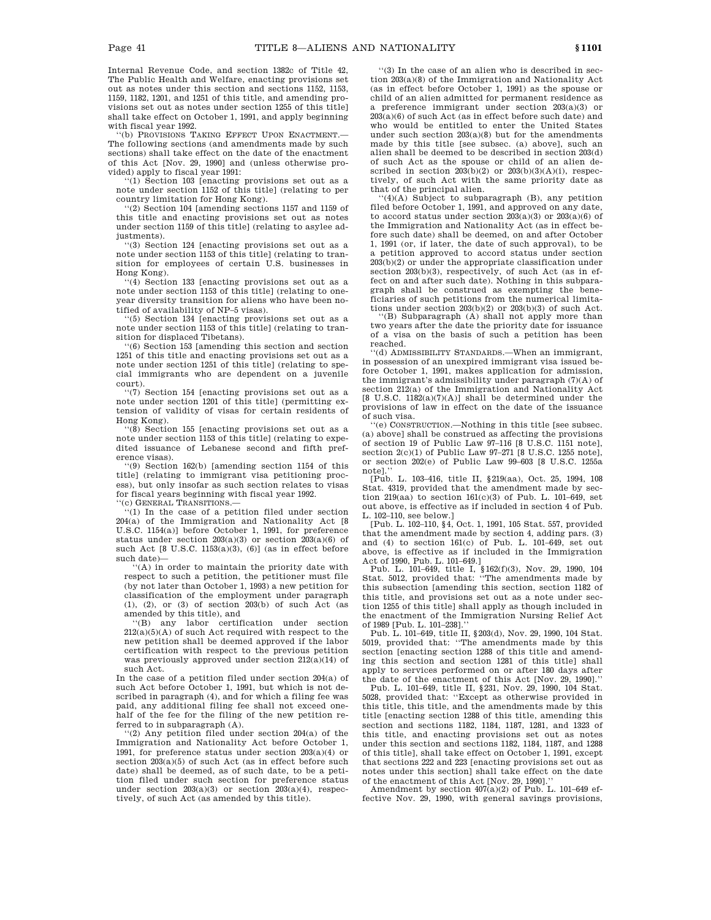Internal Revenue Code, and section 1382c of Title 42, The Public Health and Welfare, enacting provisions set out as notes under this section and sections 1152, 1153, 1159, 1182, 1201, and 1251 of this title, and amending provisions set out as notes under section 1255 of this title] shall take effect on October 1, 1991, and apply beginning with fiscal year 1992.

'(b) PROVISIONS TAKING EFFECT UPON ENACTMENT.-The following sections (and amendments made by such sections) shall take effect on the date of the enactment of this Act [Nov. 29, 1990] and (unless otherwise provided) apply to fiscal year 1991:

''(1) Section 103 [enacting provisions set out as a note under section 1152 of this title] (relating to per country limitation for Hong Kong).

''(2) Section 104 [amending sections 1157 and 1159 of this title and enacting provisions set out as notes under section 1159 of this title] (relating to asylee adjustments).

'(3) Section 124 [enacting provisions set out as a note under section 1153 of this title] (relating to transition for employees of certain U.S. businesses in Hong Kong).

 $(4)$  Section 133 [enacting provisions set out as a note under section 1153 of this title] (relating to oneyear diversity transition for aliens who have been notified of availability of NP–5 visas).

''(5) Section 134 [enacting provisions set out as a note under section 1153 of this title] (relating to transition for displaced Tibetans).

'(6) Section 153 [amending this section and section 1251 of this title and enacting provisions set out as a note under section 1251 of this title] (relating to special immigrants who are dependent on a juvenile court).

'(7) Section 154 [enacting provisions set out as a note under section 1201 of this title] (permitting extension of validity of visas for certain residents of Hong Kong).

 $(8)$  Section 155 [enacting provisions set out as a note under section 1153 of this title] (relating to expedited issuance of Lebanese second and fifth preference visas).

 $(9)$  Section 162(b) [amending section 1154 of this title] (relating to immigrant visa petitioning process), but only insofar as such section relates to visas for fiscal years beginning with fiscal year 1992.

''(c) GENERAL TRANSITIONS.—

''(1) In the case of a petition filed under section 204(a) of the Immigration and Nationality Act [8 U.S.C. 1154(a)] before October 1, 1991, for preference status under section 203(a)(3) or section 203(a)(6) of such Act [8 U.S.C. 1153(a)(3), (6)] (as in effect before such date)—

''(A) in order to maintain the priority date with respect to such a petition, the petitioner must file (by not later than October 1, 1993) a new petition for classification of the employment under paragraph (1), (2), or (3) of section 203(b) of such Act (as amended by this title), and

''(B) any labor certification under section  $212(a)(5)(A)$  of such Act required with respect to the new petition shall be deemed approved if the labor certification with respect to the previous petition was previously approved under section 212(a)(14) of such Act.

In the case of a petition filed under section 204(a) of such Act before October 1, 1991, but which is not described in paragraph (4), and for which a filing fee was paid, any additional filing fee shall not exceed onehalf of the fee for the filing of the new petition referred to in subparagraph (A).

''(2) Any petition filed under section 204(a) of the Immigration and Nationality Act before October 1, 1991, for preference status under section 203(a)(4) or section 203(a)(5) of such Act (as in effect before such date) shall be deemed, as of such date, to be a petition filed under such section for preference status under section 203(a)(3) or section 203(a)(4), respectively, of such Act (as amended by this title).

''(3) In the case of an alien who is described in section 203(a)(8) of the Immigration and Nationality Act (as in effect before October 1, 1991) as the spouse or child of an alien admitted for permanent residence as a preference immigrant under section 203(a)(3) or  $203(a)(6)$  of such  $\operatorname{Act}$  (as in effect before such date) and who would be entitled to enter the United States under such section 203(a)(8) but for the amendments made by this title [see subsec. (a) above], such an alien shall be deemed to be described in section 203(d) of such Act as the spouse or child of an alien described in section  $203(b)(2)$  or  $203(b)(3)(A)(i)$ , respectively, of such Act with the same priority date as that of the principal alien.

''(4)(A) Subject to subparagraph (B), any petition filed before October 1, 1991, and approved on any date, to accord status under section  $203(a)(3)$  or  $203(a)(6)$  of the Immigration and Nationality Act (as in effect before such date) shall be deemed, on and after October 1, 1991 (or, if later, the date of such approval), to be a petition approved to accord status under section 203(b)(2) or under the appropriate classification under section 203(b)(3), respectively, of such Act (as in effect on and after such date). Nothing in this subparagraph shall be construed as exempting the beneficiaries of such petitions from the numerical limitations under section 203(b)(2) or 203(b)(3) of such Act.

''(B) Subparagraph (A) shall not apply more than two years after the date the priority date for issuance of a visa on the basis of such a petition has been reached.

''(d) ADMISSIBILITY STANDARDS.—When an immigrant, in possession of an unexpired immigrant visa issued before October 1, 1991, makes application for admission, the immigrant's admissibility under paragraph (7)(A) of section 212(a) of the Immigration and Nationality Act  $[8 \text{ U.S.C. } 1182(a)(7)(\text{A})]$  shall be determined under the provisions of law in effect on the date of the issuance of such visa.

''(e) CONSTRUCTION.—Nothing in this title [see subsec. (a) above] shall be construed as affecting the provisions of section 19 of Public Law 97–116 [8 U.S.C. 1151 note], section 2(c)(1) of Public Law 97–271 [8 U.S.C. 1255 note], or section 202(e) of Public Law 99–603 [8 U.S.C. 1255a note].

[Pub. L. 103–416, title II, §219(aa), Oct. 25, 1994, 108 Stat. 4319, provided that the amendment made by section  $219(aa)$  to section  $161(c)(3)$  of Pub. L.  $101-649$ , set out above, is effective as if included in section 4 of Pub. L. 102–110, see below.]

[Pub. L. 102–110, §4, Oct. 1, 1991, 105 Stat. 557, provided that the amendment made by section 4, adding pars. (3) and (4) to section 161(c) of Pub. L. 101–649, set out above, is effective as if included in the Immigration Act of 1990, Pub. L. 101–649.]

Pub. L. 101–649, title I, §162(f)(3), Nov. 29, 1990, 104 Stat. 5012, provided that: ''The amendments made by this subsection [amending this section, section 1182 of this title, and provisions set out as a note under section 1255 of this title] shall apply as though included in the enactment of the Immigration Nursing Relief Act

of 1989 [Pub. L. 101–238].'' Pub. L. 101–649, title II, §203(d), Nov. 29, 1990, 104 Stat. 5019, provided that: ''The amendments made by this section [enacting section 1288 of this title and amending this section and section 1281 of this title] shall apply to services performed on or after 180 days after the date of the enactment of this Act [Nov. 29, 1990].

Pub. L. 101–649, title II, §231, Nov. 29, 1990, 104 Stat. 5028, provided that: ''Except as otherwise provided in this title, this title, and the amendments made by this title [enacting section 1288 of this title, amending this section and sections 1182, 1184, 1187, 1281, and 1323 of this title, and enacting provisions set out as notes under this section and sections 1182, 1184, 1187, and 1288 of this title], shall take effect on October 1, 1991, except that sections 222 and 223 [enacting provisions set out as notes under this section] shall take effect on the date

of the enactment of this Act [Nov. 29, 1990].'' Amendment by section 407(a)(2) of Pub. L. 101–649 effective Nov. 29, 1990, with general savings provisions,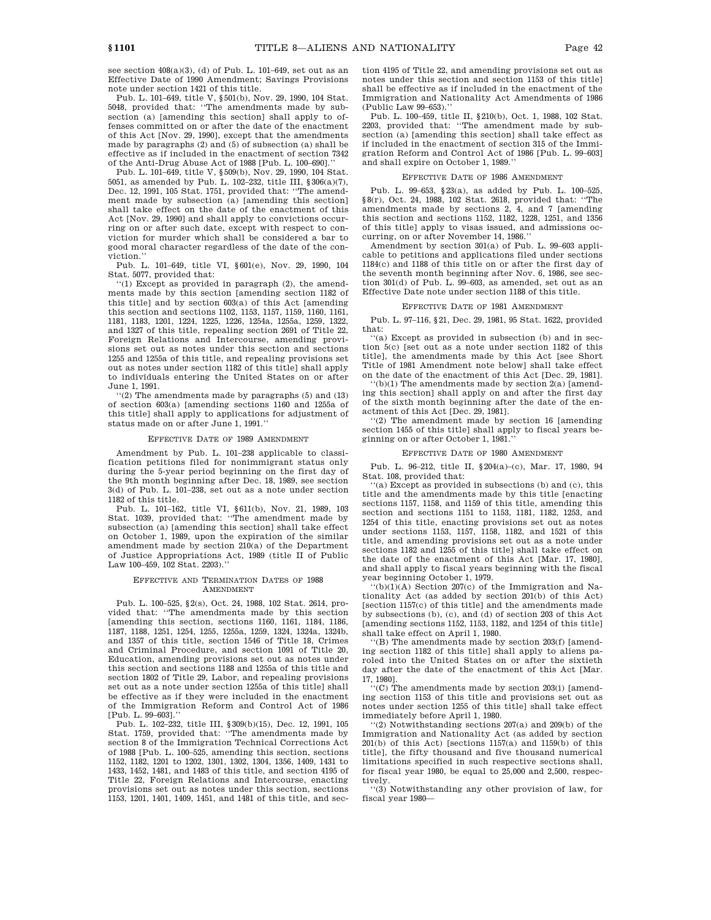see section 408(a)(3), (d) of Pub. L. 101–649, set out as an Effective Date of 1990 Amendment; Savings Provisions note under section 1421 of this title.

Pub. L. 101–649, title V, §501(b), Nov. 29, 1990, 104 Stat. 5048, provided that: ''The amendments made by subsection (a) [amending this section] shall apply to offenses committed on or after the date of the enactment of this Act [Nov. 29, 1990], except that the amendments made by paragraphs (2) and (5) of subsection (a) shall be effective as if included in the enactment of section 7342 of the Anti-Drug Abuse Act of 1988 [Pub. L. 100–690].''

Pub. L. 101–649, title V, §509(b), Nov. 29, 1990, 104 Stat. 5051, as amended by Pub. L. 102–232, title III, §306(a)(7), Dec. 12, 1991, 105 Stat. 1751, provided that: ''The amendment made by subsection (a) [amending this section] shall take effect on the date of the enactment of this Act [Nov. 29, 1990] and shall apply to convictions occurring on or after such date, except with respect to conviction for murder which shall be considered a bar to good moral character regardless of the date of the conviction.''

Pub. L. 101–649, title VI, §601(e), Nov. 29, 1990, 104 Stat. 5077, provided that:

''(1) Except as provided in paragraph (2), the amendments made by this section [amending section 1182 of this title] and by section 603(a) of this Act [amending this section and sections 1102, 1153, 1157, 1159, 1160, 1161, 1181, 1183, 1201, 1224, 1225, 1226, 1254a, 1255a, 1259, 1322, and 1327 of this title, repealing section 2691 of Title 22, Foreign Relations and Intercourse, amending provisions set out as notes under this section and sections 1255 and 1255a of this title, and repealing provisions set out as notes under section 1182 of this title] shall apply to individuals entering the United States on or after June 1, 1991.

''(2) The amendments made by paragraphs (5) and (13) of section 603(a) [amending sections 1160 and 1255a of this title] shall apply to applications for adjustment of status made on or after June 1, 1991.''

### EFFECTIVE DATE OF 1989 AMENDMENT

Amendment by Pub. L. 101–238 applicable to classification petitions filed for nonimmigrant status only during the 5-year period beginning on the first day of the 9th month beginning after Dec. 18, 1989, see section 3(d) of Pub. L. 101–238, set out as a note under section 1182 of this title.

Pub. L. 101–162, title VI, §611(b), Nov. 21, 1989, 103 Stat. 1039, provided that: ''The amendment made by subsection (a) [amending this section] shall take effect on October 1, 1989, upon the expiration of the similar amendment made by section 210(a) of the Department of Justice Appropriations Act, 1989 (title II of Public Law 100–459, 102 Stat. 2203).''

### EFFECTIVE AND TERMINATION DATES OF 1988 AMENDMENT

Pub. L. 100–525, §2(s), Oct. 24, 1988, 102 Stat. 2614, provided that: ''The amendments made by this section [amending this section, sections 1160, 1161, 1184, 1186, 1187, 1188, 1251, 1254, 1255, 1255a, 1259, 1324, 1324a, 1324b, and 1357 of this title, section 1546 of Title 18, Crimes and Criminal Procedure, and section 1091 of Title 20, Education, amending provisions set out as notes under this section and sections 1188 and 1255a of this title and section 1802 of Title 29, Labor, and repealing provisions set out as a note under section 1255a of this title] shall be effective as if they were included in the enactment of the Immigration Reform and Control Act of 1986 [Pub. L. 99–603].''

Pub. L. 102–232, title III, §309(b)(15), Dec. 12, 1991, 105 Stat. 1759, provided that: ''The amendments made by section 8 of the Immigration Technical Corrections Act of 1988 [Pub. L. 100–525, amending this section, sections 1152, 1182, 1201 to 1202, 1301, 1302, 1304, 1356, 1409, 1431 to 1433, 1452, 1481, and 1483 of this title, and section 4195 of Title 22, Foreign Relations and Intercourse, enacting provisions set out as notes under this section, sections 1153, 1201, 1401, 1409, 1451, and 1481 of this title, and section 4195 of Title 22, and amending provisions set out as notes under this section and section 1153 of this title] shall be effective as if included in the enactment of the Immigration and Nationality Act Amendments of 1986 (Public Law 99–653).''

Pub. L. 100–459, title II, §210(b), Oct. 1, 1988, 102 Stat. 2203, provided that: ''The amendment made by subsection (a) [amending this section] shall take effect as if included in the enactment of section 315 of the Immigration Reform and Control Act of 1986 [Pub. L. 99–603] and shall expire on October 1, 1989.''

### EFFECTIVE DATE OF 1986 AMENDMENT

Pub. L. 99–653, §23(a), as added by Pub. L. 100–525, §8(r), Oct. 24, 1988, 102 Stat. 2618, provided that: ''The amendments made by sections 2, 4, and 7 [amending this section and sections 1152, 1182, 1228, 1251, and 1356 of this title] apply to visas issued, and admissions occurring, on or after November 14, 1986.''

Amendment by section 301(a) of Pub. L. 99–603 applicable to petitions and applications filed under sections 1184(c) and 1188 of this title on or after the first day of the seventh month beginning after Nov. 6, 1986, see section 301(d) of Pub. L. 99–603, as amended, set out as an Effective Date note under section 1188 of this title.

#### EFFECTIVE DATE OF 1981 AMENDMENT

Pub. L. 97–116, §21, Dec. 29, 1981, 95 Stat. 1622, provided that:

''(a) Except as provided in subsection (b) and in section 5(c) [set out as a note under section 1182 of this title], the amendments made by this Act [see Short Title of 1981 Amendment note below] shall take effect on the date of the enactment of this Act [Dec. 29, 1981].

 $'(b)(1)$  The amendments made by section  $2(a)$  [amending this section] shall apply on and after the first day of the sixth month beginning after the date of the enactment of this Act [Dec. 29, 1981].

''(2) The amendment made by section 16 [amending section 1455 of this title] shall apply to fiscal years beginning on or after October 1, 1981.''

### EFFECTIVE DATE OF 1980 AMENDMENT

Pub. L. 96–212, title II, §204(a)–(c), Mar. 17, 1980, 94 Stat. 108, provided that:

 $'(a)$  Except as provided in subsections (b) and (c), this title and the amendments made by this title [enacting sections 1157, 1158, and 1159 of this title, amending this section and sections 1151 to 1153, 1181, 1182, 1253, and 1254 of this title, enacting provisions set out as notes under sections 1153, 1157, 1158, 1182, and 1521 of this title, and amending provisions set out as a note under sections 1182 and 1255 of this title] shall take effect on the date of the enactment of this Act [Mar. 17, 1980], and shall apply to fiscal years beginning with the fiscal year beginning October 1, 1979.

''(b)(1)(A) Section 207(c) of the Immigration and Nationality Act (as added by section 201(b) of this Act) [section 1157(c) of this title] and the amendments made by subsections (b), (c), and (d) of section 203 of this Act  $I$ amending sections 1152, 1153, 1182, and 1254 of this title] shall take effect on April 1, 1980.

''(B) The amendments made by section 203(f) [amending section 1182 of this title] shall apply to aliens paroled into the United States on or after the sixtieth day after the date of the enactment of this Act [Mar. 17, 1980].

 $\cdot$ <sup>'</sup> $\cdot$ (C) The amendments made by section 203(i) [amending section 1153 of this title and provisions set out as notes under section 1255 of this title] shall take effect immediately before April 1, 1980.

''(2) Notwithstanding sections 207(a) and 209(b) of the Immigration and Nationality Act (as added by section  $201(b)$  of this Act) [sections 1157(a) and 1159(b) of this title], the fifty thousand and five thousand numerical limitations specified in such respective sections shall, for fiscal year 1980, be equal to 25,000 and 2,500, respectively.

''(3) Notwithstanding any other provision of law, for fiscal year 1980—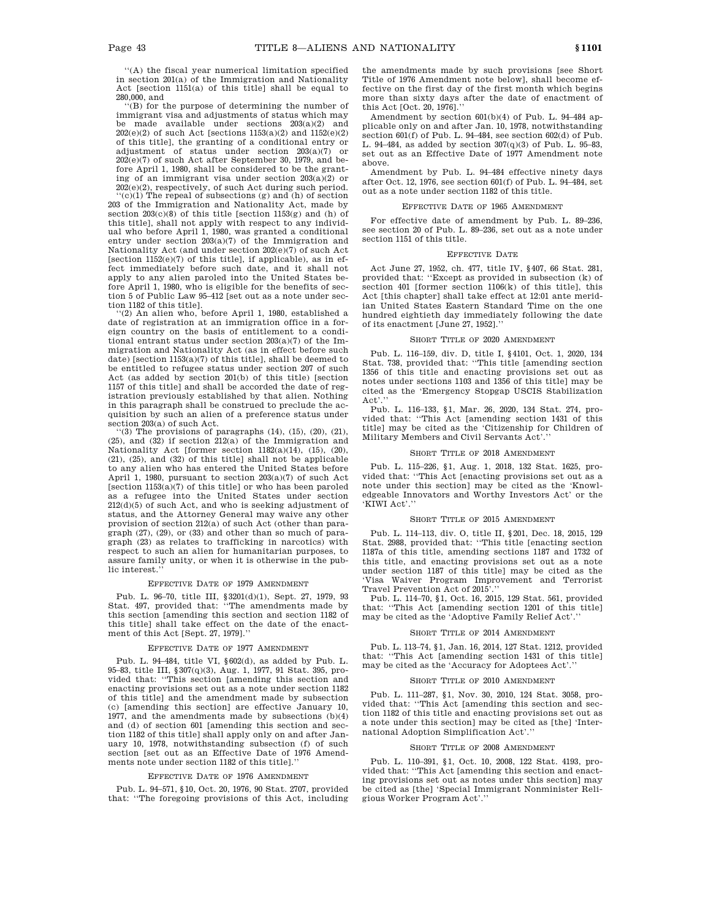''(A) the fiscal year numerical limitation specified in section 201(a) of the Immigration and Nationality Act [section 1151(a) of this title] shall be equal to 280,000, and

''(B) for the purpose of determining the number of immigrant visa and adjustments of status which may be made available under sections 203(a)(2) and  $202(e)(2)$  of such Act [sections  $1153(a)(2)$  and  $1152(e)(2)$ of this title], the granting of a conditional entry or adjustment of status under section 203(a)(7) or  $202(e)(7)$  of such Act after September 30, 1979, and before April 1, 1980, shall be considered to be the granting of an immigrant visa under section  $203(a)(2)$  or 202(e)(2), respectively, of such Act during such period.

 $''(c)(1)$  The repeal of subsections (g) and (h) of section 203 of the Immigration and Nationality Act, made by section  $203(c)(8)$  of this title [section  $1153(g)$  and (h) of this title], shall not apply with respect to any individual who before April 1, 1980, was granted a conditional entry under section 203(a)(7) of the Immigration and Nationality Act (and under section 202(e)(7) of such Act [section 1152(e)(7) of this title], if applicable), as in effect immediately before such date, and it shall not apply to any alien paroled into the United States be-fore April 1, 1980, who is eligible for the benefits of section 5 of Public Law 95–412 [set out as a note under sec-

tion 1182 of this title]. ''(2) An alien who, before April 1, 1980, established a date of registration at an immigration office in a foreign country on the basis of entitlement to a conditional entrant status under section 203(a)(7) of the Immigration and Nationality Act (as in effect before such date) [section  $1153(a)(7)$  of this title], shall be deemed to be entitled to refugee status under section 207 of such Act (as added by section 201(b) of this title) [section 1157 of this title] and shall be accorded the date of registration previously established by that alien. Nothing in this paragraph shall be construed to preclude the acquisition by such an alien of a preference status under section 203(a) of such Act.

 $\lq(3)$  The provisions of paragraphs  $(14)$ ,  $(15)$ ,  $(20)$ ,  $(21)$ , (25), and (32) if section 212(a) of the Immigration and Nationality Act [former section 1182(a)(14), (15), (20), (21), (25), and (32) of this title] shall not be applicable to any alien who has entered the United States before April 1, 1980, pursuant to section 203(a)(7) of such Act [section 1153(a)(7) of this title] or who has been paroled as a refugee into the United States under section 212(d)(5) of such Act, and who is seeking adjustment of status, and the Attorney General may waive any other provision of section 212(a) of such Act (other than paragraph (27), (29), or (33) and other than so much of paragraph (23) as relates to trafficking in narcotics) with respect to such an alien for humanitarian purposes, to assure family unity, or when it is otherwise in the public interest.

#### EFFECTIVE DATE OF 1979 AMENDMENT

Pub. L. 96–70, title III, §3201(d)(1), Sept. 27, 1979, 93 Stat. 497, provided that: ''The amendments made by this section [amending this section and section 1182 of this title] shall take effect on the date of the enactment of this Act [Sept. 27, 1979].''

### EFFECTIVE DATE OF 1977 AMENDMENT

Pub. L. 94–484, title VI, §602(d), as added by Pub. L. 95–83, title III, §307(q)(3), Aug. 1, 1977, 91 Stat. 395, pro-vided that: ''This section [amending this section and enacting provisions set out as a note under section 1182 of this title] and the amendment made by subsection (c) [amending this section] are effective January 10, 1977, and the amendments made by subsections (b)(4) and (d) of section 601 [amending this section and section 1182 of this title] shall apply only on and after January 10, 1978, notwithstanding subsection (f) of such section [set out as an Effective Date of 1976 Amendments note under section 1182 of this title].''

#### EFFECTIVE DATE OF 1976 AMENDMENT

Pub. L. 94–571, §10, Oct. 20, 1976, 90 Stat. 2707, provided that: ''The foregoing provisions of this Act, including the amendments made by such provisions [see Short Title of 1976 Amendment note below], shall become effective on the first day of the first month which begins more than sixty days after the date of enactment of this Act [Oct. 20, 1976].''

Amendment by section 601(b)(4) of Pub. L. 94–484 applicable only on and after Jan. 10, 1978, notwithstanding section 601(f) of Pub. L. 94–484, see section 602(d) of Pub. L. 94–484, as added by section 307(q)(3) of Pub. L. 95–83, set out as an Effective Date of 1977 Amendment note above.

Amendment by Pub. L. 94–484 effective ninety days after Oct. 12, 1976, see section 601(f) of Pub. L. 94–484, set out as a note under section 1182 of this title.

### EFFECTIVE DATE OF 1965 AMENDMENT

For effective date of amendment by Pub. L. 89–236, see section 20 of Pub. L. 89–236, set out as a note under section 1151 of this title.

### EFFECTIVE DATE

Act June 27, 1952, ch. 477, title IV, §407, 66 Stat. 281, provided that: ''Except as provided in subsection (k) of section 401 [former section 1106(k) of this title], this Act [this chapter] shall take effect at 12:01 ante meridian United States Eastern Standard Time on the one hundred eightieth day immediately following the date of its enactment [June 27, 1952].''

### SHORT TITLE OF 2020 AMENDMENT

Pub. L. 116–159, div. D, title I, §4101, Oct. 1, 2020, 134 Stat. 738, provided that: ''This title [amending section 1356 of this title and enacting provisions set out as notes under sections 1103 and 1356 of this title] may be cited as the 'Emergency Stopgap USCIS Stabilization Act'.

Pub. L. 116–133, §1, Mar. 26, 2020, 134 Stat. 274, provided that: ''This Act [amending section 1431 of this title] may be cited as the 'Citizenship for Children of Military Members and Civil Servants Act'.

### SHORT TITLE OF 2018 AMENDMENT

Pub. L. 115–226, §1, Aug. 1, 2018, 132 Stat. 1625, provided that: ''This Act [enacting provisions set out as a note under this section] may be cited as the 'Knowledgeable Innovators and Worthy Investors Act' or the 'KIWI Act'.''

#### SHORT TITLE OF 2015 AMENDMENT

Pub. L. 114–113, div. O, title II, §201, Dec. 18, 2015, 129 Stat. 2988, provided that: ''This title [enacting section 1187a of this title, amending sections 1187 and 1732 of this title, and enacting provisions set out as a note under section 1187 of this title] may be cited as the 'Visa Waiver Program Improvement and Terrorist Travel Prevention Act of 2015'.

Pub. L. 114–70, §1, Oct. 16, 2015, 129 Stat. 561, provided that: ''This Act [amending section 1201 of this title] may be cited as the 'Adoptive Family Relief Act'.''

#### SHORT TITLE OF 2014 AMENDMENT

Pub. L. 113–74, §1, Jan. 16, 2014, 127 Stat. 1212, provided that: ''This Act [amending section 1431 of this title] may be cited as the 'Accuracy for Adoptees Act'.''

#### SHORT TITLE OF 2010 AMENDMENT

Pub. L. 111–287, §1, Nov. 30, 2010, 124 Stat. 3058, provided that: ''This Act [amending this section and section 1182 of this title and enacting provisions set out as a note under this section] may be cited as [the] 'International Adoption Simplification Act'.''

### SHORT TITLE OF 2008 AMENDMENT

Pub. L. 110–391, §1, Oct. 10, 2008, 122 Stat. 4193, provided that: ''This Act [amending this section and enacting provisions set out as notes under this section] may be cited as [the] 'Special Immigrant Nonminister Religious Worker Program Act'.''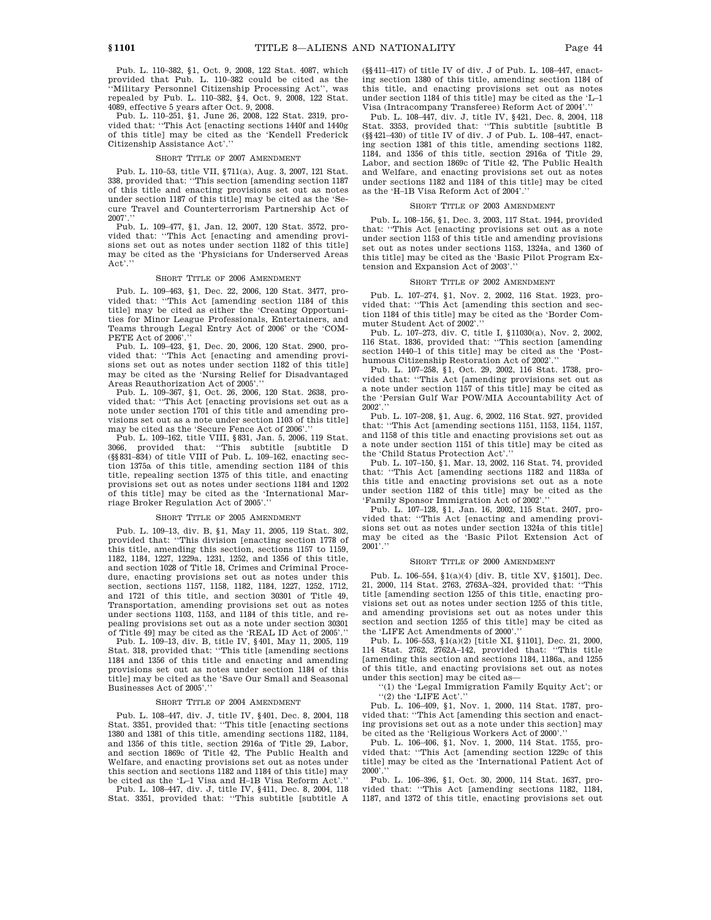Pub. L. 110–382, §1, Oct. 9, 2008, 122 Stat. 4087, which provided that Pub. L. 110–382 could be cited as the ''Military Personnel Citizenship Processing Act'', was repealed by Pub. L. 110–382, §4, Oct. 9, 2008, 122 Stat. 4089, effective 5 years after Oct. 9, 2008.

Pub. L. 110–251, §1, June 26, 2008, 122 Stat. 2319, provided that: ''This Act [enacting sections 1440f and 1440g of this title] may be cited as the 'Kendell Frederick Citizenship Assistance Act'.''

### SHORT TITLE OF 2007 AMENDMENT

Pub. L. 110–53, title VII, §711(a), Aug. 3, 2007, 121 Stat. 338, provided that: ''This section [amending section 1187 of this title and enacting provisions set out as notes under section 1187 of this title] may be cited as the 'Secure Travel and Counterterrorism Partnership Act of 2007'.''

Pub. L. 109–477, §1, Jan. 12, 2007, 120 Stat. 3572, provided that: ''This Act [enacting and amending provisions set out as notes under section 1182 of this title] may be cited as the 'Physicians for Underserved Areas Act'.''

#### SHORT TITLE OF 2006 AMENDMENT

Pub. L. 109–463, §1, Dec. 22, 2006, 120 Stat. 3477, provided that: ''This Act [amending section 1184 of this title] may be cited as either the 'Creating Opportunities for Minor League Professionals, Entertainers, and Teams through Legal Entry Act of 2006' or the 'COM-PETE Act of 2006'.

Pub. L. 109–423, §1, Dec. 20, 2006, 120 Stat. 2900, provided that: ''This Act [enacting and amending provisions set out as notes under section 1182 of this title] may be cited as the 'Nursing Relief for Disadvantaged Areas Reauthorization Act of 2005'.''

Pub. L. 109–367, §1, Oct. 26, 2006, 120 Stat. 2638, provided that: ''This Act [enacting provisions set out as a note under section 1701 of this title and amending provisions set out as a note under section 1103 of this title] may be cited as the 'Secure Fence Act of 2006'.

Pub. L. 109–162, title VIII, §831, Jan. 5, 2006, 119 Stat. 3066, provided that: ''This subtitle [subtitle D (§§831–834) of title VIII of Pub. L. 109–162, enacting section 1375a of this title, amending section 1184 of this title, repealing section 1375 of this title, and enacting provisions set out as notes under sections 1184 and 1202 of this title] may be cited as the 'International Marriage Broker Regulation Act of 2005'.''

### SHORT TITLE OF 2005 AMENDMENT

Pub. L. 109–13, div. B, §1, May 11, 2005, 119 Stat. 302, provided that: ''This division [enacting section 1778 of this title, amending this section, sections 1157 to 1159, 1182, 1184, 1227, 1229a, 1231, 1252, and 1356 of this title, and section 1028 of Title 18, Crimes and Criminal Procedure, enacting provisions set out as notes under this section, sections 1157, 1158, 1182, 1184, 1227, 1252, 1712, and 1721 of this title, and section 30301 of Title 49, Transportation, amending provisions set out as notes under sections 1103, 1153, and 1184 of this title, and repealing provisions set out as a note under section 30301

of Title 49] may be cited as the 'REAL ID Act of 2005'.'' Pub. L. 109–13, div. B, title IV, §401, May 11, 2005, 119 Stat. 318, provided that: ''This title [amending sections 1184 and 1356 of this title and enacting and amending provisions set out as notes under section 1184 of this title] may be cited as the 'Save Our Small and Seasonal Businesses Act of 2005'.''

### SHORT TITLE OF 2004 AMENDMENT

Pub. L. 108–447, div. J, title IV, §401, Dec. 8, 2004, 118 Stat. 3351, provided that: ''This title [enacting sections 1380 and 1381 of this title, amending sections 1182, 1184, and 1356 of this title, section 2916a of Title 29, Labor, and section 1869c of Title 42, The Public Health and Welfare, and enacting provisions set out as notes under this section and sections 1182 and 1184 of this title] may

be cited as the 'L–1 Visa and H–1B Visa Reform Act'.'' Pub. L. 108–447, div. J, title IV, §411, Dec. 8, 2004, 118 Stat. 3351, provided that: ''This subtitle [subtitle A (§§411–417) of title IV of div. J of Pub. L. 108–447, enacting section 1380 of this title, amending section 1184 of this title, and enacting provisions set out as notes under section 1184 of this title] may be cited as the 'L–1 Visa (Intracompany Transferee) Reform Act of 2004'.''

Pub. L. 108–447, div. J, title IV, §421, Dec. 8, 2004, 118 Stat. 3353, provided that: ''This subtitle [subtitle B (§§421–430) of title IV of div. J of Pub. L. 108–447, enacting section 1381 of this title, amending sections 1182, 1184, and 1356 of this title, section 2916a of Title 29, Labor, and section 1869c of Title 42, The Public Health and Welfare, and enacting provisions set out as notes under sections 1182 and 1184 of this title] may be cited as the 'H–1B Visa Reform Act of 2004'.''

### SHORT TITLE OF 2003 AMENDMENT

Pub. L. 108–156, §1, Dec. 3, 2003, 117 Stat. 1944, provided that: ''This Act [enacting provisions set out as a note under section 1153 of this title and amending provisions set out as notes under sections 1153, 1324a, and 1360 of this title] may be cited as the 'Basic Pilot Program Extension and Expansion Act of 2003'.''

### SHORT TITLE OF 2002 AMENDMENT

Pub. L. 107–274, §1, Nov. 2, 2002, 116 Stat. 1923, provided that: "This Act [amending this section and section 1184 of this title] may be cited as the 'Border Commuter Student Act of 2002'.''

Pub. L. 107–273, div. C, title I, §11030(a), Nov. 2, 2002, 116 Stat. 1836, provided that: ''This section [amending section 1440–1 of this title] may be cited as the 'Posthumous Citizenship Restoration Act of 2002'.

Pub. L. 107–258, §1, Oct. 29, 2002, 116 Stat. 1738, provided that: ''This Act [amending provisions set out as a note under section 1157 of this title] may be cited as the 'Persian Gulf War POW/MIA Accountability Act of 2002'.''

Pub. L. 107–208, §1, Aug. 6, 2002, 116 Stat. 927, provided that: ''This Act [amending sections 1151, 1153, 1154, 1157, and 1158 of this title and enacting provisions set out as a note under section 1151 of this title] may be cited as the 'Child Status Protection Act'.''

Pub. L. 107–150, §1, Mar. 13, 2002, 116 Stat. 74, provided that: ''This Act [amending sections 1182 and 1183a of this title and enacting provisions set out as a note under section 1182 of this title] may be cited as the 'Family Sponsor Immigration Act of 2002'.''

Pub. L. 107–128, §1, Jan. 16, 2002, 115 Stat. 2407, provided that: ''This Act [enacting and amending provisions set out as notes under section 1324a of this title] may be cited as the 'Basic Pilot Extension Act of 2001'.''

### SHORT TITLE OF 2000 AMENDMENT

Pub. L. 106–554, §1(a)(4) [div. B, title XV, §1501], Dec. 21, 2000, 114 Stat. 2763, 2763A–324, provided that: ''This title [amending section 1255 of this title, enacting provisions set out as notes under section 1255 of this title, and amending provisions set out as notes under this section and section 1255 of this title] may be cited as the 'LIFE Act Amendments of 2000'.''

Pub. L. 106–553, §1(a)(2) [title XI, §1101], Dec. 21, 2000, 114 Stat. 2762, 2762A–142, provided that: ''This title [amending this section and sections 1184, 1186a, and 1255 of this title, and enacting provisions set out as notes under this section] may be cited as—

''(1) the 'Legal Immigration Family Equity Act'; or ''(2) the 'LIFE Act'.''

Pub. L. 106–409, §1, Nov. 1, 2000, 114 Stat. 1787, provided that: ''This Act [amending this section and enacting provisions set out as a note under this section] may be cited as the 'Religious Workers Act of 2000'.''

Pub. L. 106–406, §1, Nov. 1, 2000, 114 Stat. 1755, provided that: ''This Act [amending section 1229c of this title] may be cited as the 'International Patient Act of  $2000'$ .

Pub. L. 106–396, §1, Oct. 30, 2000, 114 Stat. 1637, pro-vided that: ''This Act [amending sections 1182, 1184, 1187, and 1372 of this title, enacting provisions set out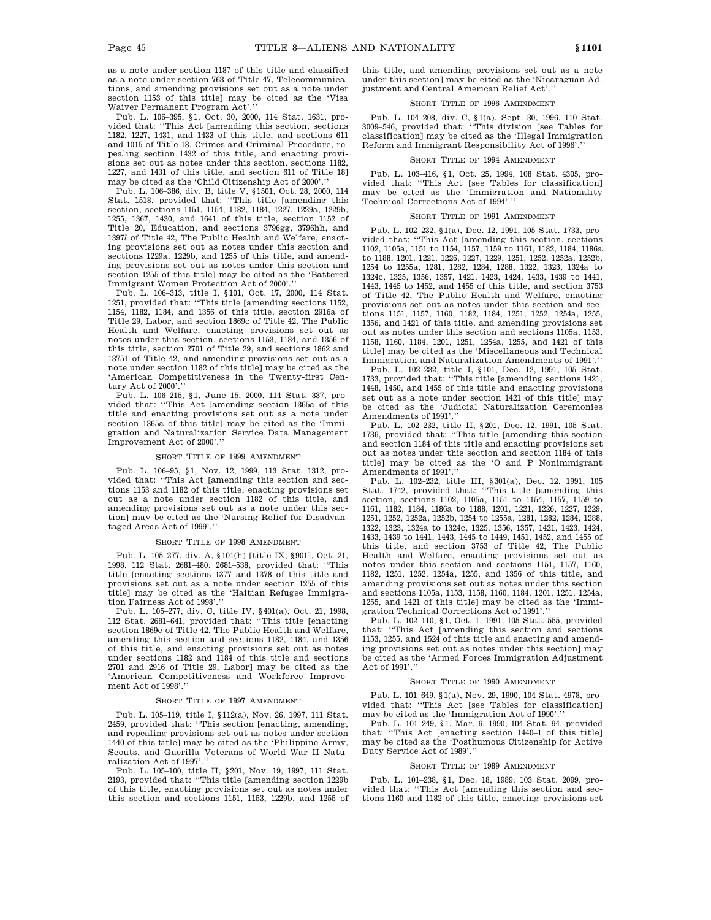as a note under section 1187 of this title and classified as a note under section 763 of Title 47, Telecommunications, and amending provisions set out as a note under section 1153 of this title] may be cited as the 'Visa Waiver Permanent Program Act'.''

Pub. L. 106–395, §1, Oct. 30, 2000, 114 Stat. 1631, provided that: ''This Act [amending this section, sections 1182, 1227, 1431, and 1433 of this title, and sections 611 and 1015 of Title 18, Crimes and Criminal Procedure, repealing section 1432 of this title, and enacting provisions set out as notes under this section, sections 1182, 1227, and 1431 of this title, and section 611 of Title 18] may be cited as the 'Child Citizenship Act of 2000'.''

Pub. L. 106–386, div. B, title V, §1501, Oct. 28, 2000, 114 Stat. 1518, provided that: ''This title [amending this section, sections 1151, 1154, 1182, 1184, 1227, 1229a, 1229b, 1255, 1367, 1430, and 1641 of this title, section 1152 of Title 20, Education, and sections 3796gg, 3796hh, and 1397*l* of Title 42, The Public Health and Welfare, enacting provisions set out as notes under this section and sections 1229a, 1229b, and 1255 of this title, and amending provisions set out as notes under this section and section 1255 of this title] may be cited as the 'Battered Immigrant Women Protection Act of 2000'.

Pub. L. 106–313, title I, §101, Oct. 17, 2000, 114 Stat. 1251, provided that: ''This title [amending sections 1152, 1154, 1182, 1184, and 1356 of this title, section 2916a of Title 29, Labor, and section 1869c of Title 42, The Public Health and Welfare, enacting provisions set out as notes under this section, sections 1153, 1184, and 1356 of this title, section 2701 of Title 29, and sections 1862 and 13751 of Title 42, and amending provisions set out as a note under section 1182 of this title] may be cited as the 'American Competitiveness in the Twenty-first Century Act of 2000'.

Pub. L. 106–215, §1, June 15, 2000, 114 Stat. 337, provided that: ''This Act [amending section 1365a of this title and enacting provisions set out as a note under section 1365a of this title] may be cited as the 'Immigration and Naturalization Service Data Management Improvement Act of 2000'.''

### SHORT TITLE OF 1999 AMENDMENT

Pub. L. 106–95, §1, Nov. 12, 1999, 113 Stat. 1312, provided that: ''This Act [amending this section and sections 1153 and 1182 of this title, enacting provisions set out as a note under section 1182 of this title, and amending provisions set out as a note under this section] may be cited as the 'Nursing Relief for Disadvantaged Areas Act of 1999'.''

### SHORT TITLE OF 1998 AMENDMENT

Pub. L. 105–277, div. A, §101(h) [title IX, §901], Oct. 21, 1998, 112 Stat. 2681–480, 2681–538, provided that: ''This title [enacting sections 1377 and 1378 of this title and provisions set out as a note under section 1255 of this title] may be cited as the 'Haitian Refugee Immigration Fairness Act of 1998'.

Pub. L. 105–277, div. C, title IV, §401(a), Oct. 21, 1998, 112 Stat. 2681–641, provided that: ''This title [enacting section 1869c of Title 42, The Public Health and Welfare, amending this section and sections 1182, 1184, and 1356 of this title, and enacting provisions set out as notes under sections 1182 and 1184 of this title and sections 2701 and 2916 of Title 29, Labor] may be cited as the 'American Competitiveness and Workforce Improvement Act of 1998'.

### SHORT TITLE OF 1997 AMENDMENT

Pub. L. 105–119, title I, §112(a), Nov. 26, 1997, 111 Stat. 2459, provided that: ''This section [enacting, amending, and repealing provisions set out as notes under section 1440 of this title] may be cited as the 'Philippine Army, Scouts, and Guerilla Veterans of World War II Naturalization Act of 1997'

Pub. L. 105–100, title II, §201, Nov. 19, 1997, 111 Stat. 2193, provided that: ''This title [amending section 1229b of this title, enacting provisions set out as notes under this section and sections 1151, 1153, 1229b, and 1255 of this title, and amending provisions set out as a note under this section] may be cited as the 'Nicaraguan Adjustment and Central American Relief Act'.''

#### SHORT TITLE OF 1996 AMENDMENT

Pub. L. 104–208, div. C, §1(a), Sept. 30, 1996, 110 Stat. 3009–546, provided that: ''This division [see Tables for classification] may be cited as the 'Illegal Immigration Reform and Immigrant Responsibility Act of 1996'.

### SHORT TITLE OF 1994 AMENDMENT

Pub. L. 103–416, §1, Oct. 25, 1994, 108 Stat. 4305, provided that: ''This Act [see Tables for classification] may be cited as the 'Immigration and Nationality Technical Corrections Act of 1994'.''

### SHORT TITLE OF 1991 AMENDMENT

Pub. L. 102–232, §1(a), Dec. 12, 1991, 105 Stat. 1733, provided that: ''This Act [amending this section, sections 1102, 1105a, 1151 to 1154, 1157, 1159 to 1161, 1182, 1184, 1186a to 1188, 1201, 1221, 1226, 1227, 1229, 1251, 1252, 1252a, 1252b, 1254 to 1255a, 1281, 1282, 1284, 1288, 1322, 1323, 1324a to 1324c, 1325, 1356, 1357, 1421, 1423, 1424, 1433, 1439 to 1441, 1443, 1445 to 1452, and 1455 of this title, and section 3753 of Title 42, The Public Health and Welfare, enacting provisions set out as notes under this section and sections 1151, 1157, 1160, 1182, 1184, 1251, 1252, 1254a, 1255, 1356, and 1421 of this title, and amending provisions set out as notes under this section and sections 1105a, 1153, 1158, 1160, 1184, 1201, 1251, 1254a, 1255, and 1421 of this title] may be cited as the 'Miscellaneous and Technical Immigration and Naturalization Amendments of 1991'.

Pub. L. 102–232, title I, §101, Dec. 12, 1991, 105 Stat. 1733, provided that: ''This title [amending sections 1421, 1448, 1450, and 1455 of this title and enacting provisions set out as a note under section 1421 of this title] may be cited as the 'Judicial Naturalization Ceremonies Amendments of 1991'.''

Pub. L. 102–232, title II, §201, Dec. 12, 1991, 105 Stat. 1736, provided that: ''This title [amending this section and section 1184 of this title and enacting provisions set out as notes under this section and section 1184 of this title] may be cited as the 'O and P Nonimmigrant Amendments of 1991'.''

Pub. L. 102–232, title III, §301(a), Dec. 12, 1991, 105 Stat. 1742, provided that: ''This title [amending this section, sections 1102, 1105a, 1151 to 1154, 1157, 1159 to 1161, 1182, 1184, 1186a to 1188, 1201, 1221, 1226, 1227, 1229, 1251, 1252, 1252a, 1252b, 1254 to 1255a, 1281, 1282, 1284, 1288, 1322, 1323, 1324a to 1324c, 1325, 1356, 1357, 1421, 1423, 1424, 1433, 1439 to 1441, 1443, 1445 to 1449, 1451, 1452, and 1455 of this title, and section 3753 of Title 42, The Public Health and Welfare, enacting provisions set out as notes under this section and sections 1151, 1157, 1160, 1182, 1251, 1252, 1254a, 1255, and 1356 of this title, and amending provisions set out as notes under this section and sections 1105a, 1153, 1158, 1160, 1184, 1201, 1251, 1254a, 1255, and 1421 of this title] may be cited as the 'Immigration Technical Corrections Act of 1991'.''

Pub. L. 102–110, §1, Oct. 1, 1991, 105 Stat. 555, provided that: ''This Act [amending this section and sections 1153, 1255, and 1524 of this title and enacting and amending provisions set out as notes under this section] may be cited as the 'Armed Forces Immigration Adjustment Act of 1991'.''

### SHORT TITLE OF 1990 AMENDMENT

Pub. L. 101–649, §1(a), Nov. 29, 1990, 104 Stat. 4978, provided that: ''This Act [see Tables for classification] may be cited as the 'Immigration Act of 1990'.''

Pub. L. 101–249, §1, Mar. 6, 1990, 104 Stat. 94, provided that: ''This Act [enacting section 1440–1 of this title] may be cited as the 'Posthumous Citizenship for Active Duty Service Act of 1989'.''

#### SHORT TITLE OF 1989 AMENDMENT

Pub. L. 101–238, §1, Dec. 18, 1989, 103 Stat. 2099, provided that: ''This Act [amending this section and sections 1160 and 1182 of this title, enacting provisions set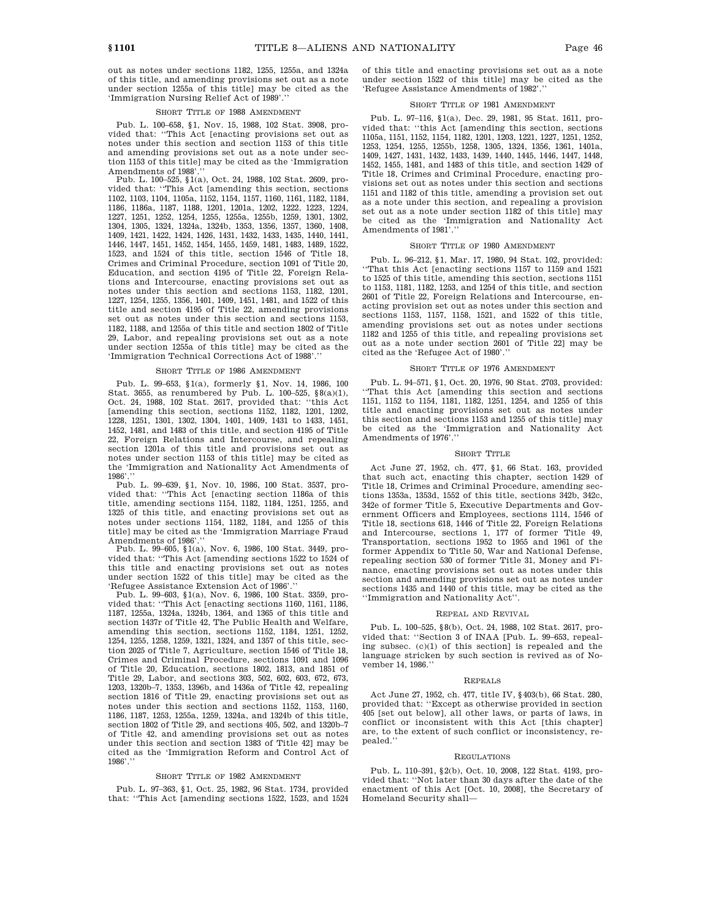out as notes under sections 1182, 1255, 1255a, and 1324a of this title, and amending provisions set out as a note under section 1255a of this title] may be cited as the 'Immigration Nursing Relief Act of 1989'.''

### SHORT TITLE OF 1988 AMENDMENT

Pub. L. 100–658, §1, Nov. 15, 1988, 102 Stat. 3908, provided that: ''This Act [enacting provisions set out as notes under this section and section 1153 of this title and amending provisions set out as a note under section 1153 of this title] may be cited as the 'Immigration Amendments of 1988'.

Pub. L. 100–525, §1(a), Oct. 24, 1988, 102 Stat. 2609, provided that: ''This Act [amending this section, sections 1102, 1103, 1104, 1105a, 1152, 1154, 1157, 1160, 1161, 1182, 1184, 1186, 1186a, 1187, 1188, 1201, 1201a, 1202, 1222, 1223, 1224, 1227, 1251, 1252, 1254, 1255, 1255a, 1255b, 1259, 1301, 1302, 1304, 1305, 1324, 1324a, 1324b, 1353, 1356, 1357, 1360, 1408, 1409, 1421, 1422, 1424, 1426, 1431, 1432, 1433, 1435, 1440, 1441, 1446, 1447, 1451, 1452, 1454, 1455, 1459, 1481, 1483, 1489, 1522, 1523, and 1524 of this title, section 1546 of Title 18, Crimes and Criminal Procedure, section 1091 of Title 20, Education, and section 4195 of Title 22, Foreign Relations and Intercourse, enacting provisions set out as notes under this section and sections 1153, 1182, 1201, 1227, 1254, 1255, 1356, 1401, 1409, 1451, 1481, and 1522 of this title and section 4195 of Title 22, amending provisions set out as notes under this section and sections 1153, 1182, 1188, and 1255a of this title and section 1802 of Title 29, Labor, and repealing provisions set out as a note under section 1255a of this title] may be cited as the 'Immigration Technical Corrections Act of 1988'.''

### SHORT TITLE OF 1986 AMENDMENT

Pub. L. 99–653, §1(a), formerly §1, Nov. 14, 1986, 100 Stat. 3655, as renumbered by Pub. L. 100–525,  $\S 8(a)(1)$ , Oct. 24, 1988, 102 Stat. 2617, provided that: ''this Act [amending this section, sections 1152, 1182, 1201, 1202, 1228, 1251, 1301, 1302, 1304, 1401, 1409, 1431 to 1433, 1451, 1452, 1481, and 1483 of this title, and section 4195 of Title 22, Foreign Relations and Intercourse, and repealing section 1201a of this title and provisions set out as notes under section 1153 of this title] may be cited as the 'Immigration and Nationality Act Amendments of 1986'.''

Pub. L. 99–639, §1, Nov. 10, 1986, 100 Stat. 3537, provided that: ''This Act [enacting section 1186a of this title, amending sections 1154, 1182, 1184, 1251, 1255, and 1325 of this title, and enacting provisions set out as notes under sections 1154, 1182, 1184, and 1255 of this title] may be cited as the 'Immigration Marriage Fraud Amendments of 1986'.

Pub. L. 99–605, §1(a), Nov. 6, 1986, 100 Stat. 3449, provided that: ''This Act [amending sections 1522 to 1524 of this title and enacting provisions set out as notes under section 1522 of this title] may be cited as the 'Refugee Assistance Extension Act of 1986'.''

Pub. L. 99–603, §1(a), Nov. 6, 1986, 100 Stat. 3359, provided that: ''This Act [enacting sections 1160, 1161, 1186, 1187, 1255a, 1324a, 1324b, 1364, and 1365 of this title and section 1437r of Title 42, The Public Health and Welfare, amending this section, sections 1152, 1184, 1251, 1252, 1254, 1255, 1258, 1259, 1321, 1324, and 1357 of this title, section 2025 of Title 7, Agriculture, section 1546 of Title 18, Crimes and Criminal Procedure, sections 1091 and 1096 of Title 20, Education, sections 1802, 1813, and 1851 of Title 29, Labor, and sections 303, 502, 602, 603, 672, 673, 1203, 1320b–7, 1353, 1396b, and 1436a of Title 42, repealing section 1816 of Title 29, enacting provisions set out as notes under this section and sections 1152, 1153, 1160, 1186, 1187, 1253, 1255a, 1259, 1324a, and 1324b of this title, section 1802 of Title 29, and sections 405, 502, and 1320b–7 of Title 42, and amending provisions set out as notes under this section and section 1383 of Title 42] may be cited as the 'Immigration Reform and Control Act of 1986'.''

#### SHORT TITLE OF 1982 AMENDMENT

Pub. L. 97–363, §1, Oct. 25, 1982, 96 Stat. 1734, provided that: ''This Act [amending sections 1522, 1523, and 1524 of this title and enacting provisions set out as a note under section 1522 of this title] may be cited as the 'Refugee Assistance Amendments of 1982'.

#### SHORT TITLE OF 1981 AMENDMENT

Pub. L. 97–116, §1(a), Dec. 29, 1981, 95 Stat. 1611, provided that: ''this Act [amending this section, sections 1105a, 1151, 1152, 1154, 1182, 1201, 1203, 1221, 1227, 1251, 1252, 1253, 1254, 1255, 1255b, 1258, 1305, 1324, 1356, 1361, 1401a, 1409, 1427, 1431, 1432, 1433, 1439, 1440, 1445, 1446, 1447, 1448, 1452, 1455, 1481, and 1483 of this title, and section 1429 of Title 18, Crimes and Criminal Procedure, enacting provisions set out as notes under this section and sections 1151 and 1182 of this title, amending a provision set out as a note under this section, and repealing a provision set out as a note under section 1182 of this title] may be cited as the 'Immigration and Nationality Act Amendments of 1981'.''

#### SHORT TITLE OF 1980 AMENDMENT

Pub. L. 96–212, §1, Mar. 17, 1980, 94 Stat. 102, provided: ''That this Act [enacting sections 1157 to 1159 and 1521 to 1525 of this title, amending this section, sections 1151 to 1153, 1181, 1182, 1253, and 1254 of this title, and section 2601 of Title 22, Foreign Relations and Intercourse, enacting provision set out as notes under this section and sections 1153, 1157, 1158, 1521, and 1522 of this title, amending provisions set out as notes under sections 1182 and 1255 of this title, and repealing provisions set out as a note under section 2601 of Title 22] may be cited as the 'Refugee Act of 1980'.''

### SHORT TITLE OF 1976 AMENDMENT

Pub. L. 94–571, §1, Oct. 20, 1976, 90 Stat. 2703, provided: ''That this Act [amending this section and sections 1151, 1152 to 1154, 1181, 1182, 1251, 1254, and 1255 of this title and enacting provisions set out as notes under this section and sections 1153 and 1255 of this title] may be cited as the 'Immigration and Nationality Act Amendments of 1976'.''

#### SHORT TITLE

Act June 27, 1952, ch. 477, §1, 66 Stat. 163, provided that such act, enacting this chapter, section 1429 of Title 18, Crimes and Criminal Procedure, amending sections 1353a, 1353d, 1552 of this title, sections 342b, 342c, 342e of former Title 5, Executive Departments and Government Officers and Employees, sections 1114, 1546 of Title 18, sections 618, 1446 of Title 22, Foreign Relations and Intercourse, sections 1, 177 of former Title 49, Transportation, sections 1952 to 1955 and 1961 of the former Appendix to Title 50, War and National Defense, repealing section 530 of former Title 31, Money and Finance, enacting provisions set out as notes under this section and amending provisions set out as notes under sections 1435 and 1440 of this title, may be cited as the ''Immigration and Nationality Act''.

#### REPEAL AND REVIVAL

Pub. L. 100–525, §8(b), Oct. 24, 1988, 102 Stat. 2617, provided that: ''Section 3 of INAA [Pub. L. 99–653, repealing subsec. (c)(1) of this section] is repealed and the language stricken by such section is revived as of November 14, 1986.''

#### REPEALS

Act June 27, 1952, ch. 477, title IV, §403(b), 66 Stat. 280, provided that: ''Except as otherwise provided in section 405 [set out below], all other laws, or parts of laws, in conflict or inconsistent with this Act [this chapter] are, to the extent of such conflict or inconsistency, repealed.''

#### REGULATIONS

Pub. L. 110–391, §2(b), Oct. 10, 2008, 122 Stat. 4193, provided that: ''Not later than 30 days after the date of the enactment of this Act [Oct. 10, 2008], the Secretary of Homeland Security shall—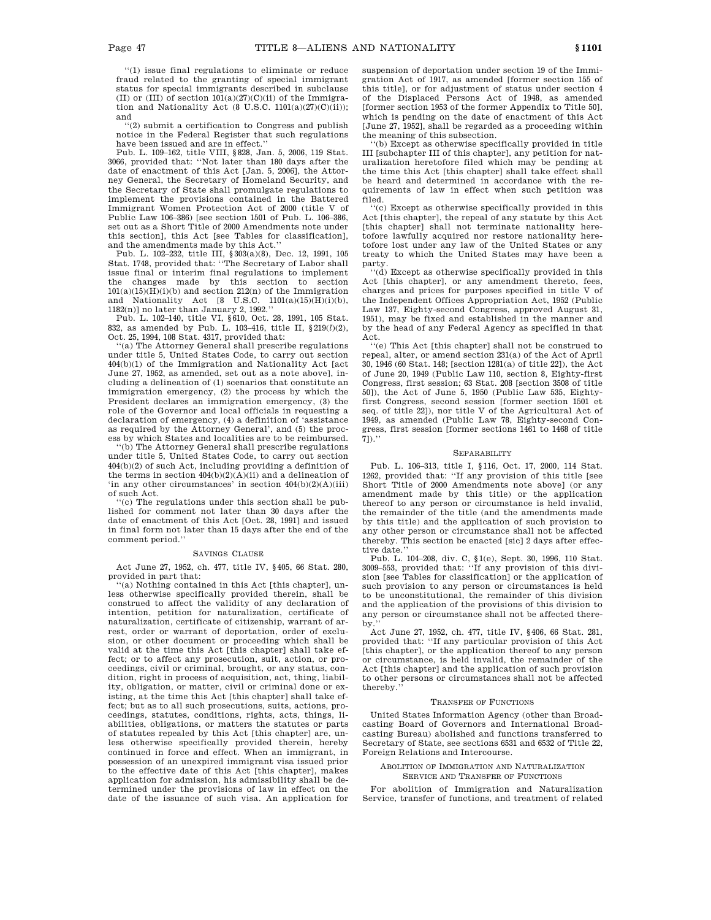''(1) issue final regulations to eliminate or reduce fraud related to the granting of special immigrant status for special immigrants described in subclause (II) or (III) of section  $101(a)(27)(C)(ii)$  of the Immigration and Nationality Act (8 U.S.C. 1101(a)(27)(C)(ii)); and

''(2) submit a certification to Congress and publish notice in the Federal Register that such regulations have been issued and are in effect.'' Pub. L. 109–162, title VIII, §828, Jan. 5, 2006, 119 Stat.

3066, provided that: ''Not later than 180 days after the date of enactment of this Act [Jan. 5, 2006], the Attorney General, the Secretary of Homeland Security, and the Secretary of State shall promulgate regulations to implement the provisions contained in the Battered Immigrant Women Protection Act of 2000 (title V of Public Law 106–386) [see section 1501 of Pub. L. 106–386, set out as a Short Title of 2000 Amendments note under this section], this Act [see Tables for classification], and the amendments made by this Act.''

Pub. L. 102–232, title III, §303(a)(8), Dec. 12, 1991, 105 Stat. 1748, provided that: ''The Secretary of Labor shall issue final or interim final regulations to implement the changes made by this section to section  $101(a)(15)(H)(i)(b)$  and section  $212(n)$  of the Immigration and Nationality Act  $[8$  U.S.C.  $1101(a)(15)(H)(i)(b)$ , 1182(n)] no later than January 2, 1992.''

Pub. L. 102–140, title VI, §610, Oct. 28, 1991, 105 Stat. 832, as amended by Pub. L. 103–416, title II, §219(*l*)(2), Oct. 25, 1994, 108 Stat. 4317, provided that:

''(a) The Attorney General shall prescribe regulations under title 5, United States Code, to carry out section 404(b)(1) of the Immigration and Nationality Act [act June 27, 1952, as amended, set out as a note above], including a delineation of (1) scenarios that constitute an immigration emergency, (2) the process by which the President declares an immigration emergency, (3) the role of the Governor and local officials in requesting a declaration of emergency, (4) a definition of 'assistance as required by the Attorney General', and (5) the process by which States and localities are to be reimbursed.

''(b) The Attorney General shall prescribe regulations under title 5, United States Code, to carry out section 404(b)(2) of such Act, including providing a definition of the terms in section  $404(b)(2)(A)(ii)$  and a delineation of 'in any other circumstances' in section 404(b)(2)(A)(iii) of such Act.

'(c) The regulations under this section shall be published for comment not later than 30 days after the date of enactment of this Act [Oct. 28, 1991] and issued in final form not later than 15 days after the end of the comment period.''

#### SAVINGS CLAUSE

Act June 27, 1952, ch. 477, title IV, §405, 66 Stat. 280, provided in part that:

''(a) Nothing contained in this Act [this chapter], unless otherwise specifically provided therein, shall be construed to affect the validity of any declaration of intention, petition for naturalization, certificate of naturalization, certificate of citizenship, warrant of arrest, order or warrant of deportation, order of exclusion, or other document or proceeding which shall be valid at the time this Act [this chapter] shall take effect; or to affect any prosecution, suit, action, or proceedings, civil or criminal, brought, or any status, condition, right in process of acquisition, act, thing, liability, obligation, or matter, civil or criminal done or existing, at the time this Act [this chapter] shall take effect; but as to all such prosecutions, suits, actions, proceedings, statutes, conditions, rights, acts, things, liabilities, obligations, or matters the statutes or parts of statutes repealed by this Act [this chapter] are, unless otherwise specifically provided therein, hereby continued in force and effect. When an immigrant, in possession of an unexpired immigrant visa issued prior to the effective date of this Act [this chapter], makes application for admission, his admissibility shall be determined under the provisions of law in effect on the date of the issuance of such visa. An application for

suspension of deportation under section 19 of the Immigration Act of 1917, as amended [former section 155 of this title], or for adjustment of status under section 4 of the Displaced Persons Act of 1948, as amended [former section 1953 of the former Appendix to Title 50], which is pending on the date of enactment of this Act [June 27, 1952], shall be regarded as a proceeding within the meaning of this subsection.

(b) Except as otherwise specifically provided in title III [subchapter III of this chapter], any petition for naturalization heretofore filed which may be pending at the time this Act [this chapter] shall take effect shall be heard and determined in accordance with the requirements of law in effect when such petition was filed.

''(c) Except as otherwise specifically provided in this Act [this chapter], the repeal of any statute by this Act [this chapter] shall not terminate nationality heretofore lawfully acquired nor restore nationality heretofore lost under any law of the United States or any treaty to which the United States may have been a party.

''(d) Except as otherwise specifically provided in this Act [this chapter], or any amendment thereto, fees, charges and prices for purposes specified in title V of the Independent Offices Appropriation Act, 1952 (Public Law 137, Eighty-second Congress, approved August 31, 1951), may be fixed and established in the manner and by the head of any Federal Agency as specified in that Act.

''(e) This Act [this chapter] shall not be construed to repeal, alter, or amend section 231(a) of the Act of April 30, 1946 (60 Stat. 148; [section 1281(a) of title 22]), the Act of June 20, 1949 (Public Law 110, section 8, Eighty-first Congress, first session; 63 Stat. 208 [section 3508 of title 50]), the Act of June 5, 1950 (Public Law 535, Eightyfirst Congress, second session [former section 1501 et seq. of title 22]), nor title V of the Agricultural Act of 1949, as amended (Public Law 78, Eighty-second Congress, first session [former sections 1461 to 1468 of title  $\bar{7}$ ]).''

#### **SEPARABILITY**

Pub. L. 106–313, title I, §116, Oct. 17, 2000, 114 Stat. 1262, provided that: ''If any provision of this title [see Short Title of 2000 Amendments note above] (or any amendment made by this title) or the application thereof to any person or circumstance is held invalid, the remainder of the title (and the amendments made by this title) and the application of such provision to any other person or circumstance shall not be affected thereby. This section be enacted [sic] 2 days after effective date.''

Pub. L. 104–208, div. C, §1(e), Sept. 30, 1996, 110 Stat. 3009–553, provided that: ''If any provision of this division [see Tables for classification] or the application of such provision to any person or circumstances is held to be unconstitutional, the remainder of this division and the application of the provisions of this division to any person or circumstance shall not be affected thereby.

Act June 27, 1952, ch. 477, title IV, §406, 66 Stat. 281, provided that: ''If any particular provision of this Act [this chapter], or the application thereof to any person or circumstance, is held invalid, the remainder of the Act [this chapter] and the application of such provision to other persons or circumstances shall not be affected thereby.''

### TRANSFER OF FUNCTIONS

United States Information Agency (other than Broadcasting Board of Governors and International Broadcasting Bureau) abolished and functions transferred to Secretary of State, see sections 6531 and 6532 of Title 22, Foreign Relations and Intercourse.

### ABOLITION OF IMMIGRATION AND NATURALIZATION SERVICE AND TRANSFER OF FUNCTIONS

For abolition of Immigration and Naturalization Service, transfer of functions, and treatment of related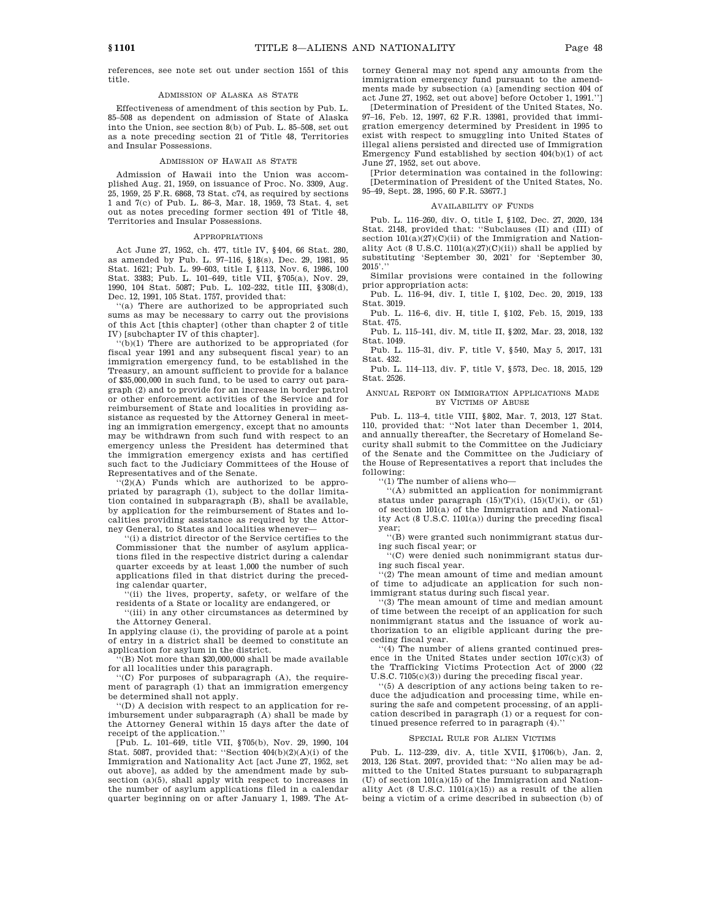references, see note set out under section 1551 of this title.

### ADMISSION OF ALASKA AS STATE

Effectiveness of amendment of this section by Pub. L. 85–508 as dependent on admission of State of Alaska into the Union, see section 8(b) of Pub. L. 85–508, set out as a note preceding section 21 of Title 48, Territories and Insular Possessions.

#### ADMISSION OF HAWAII AS STATE

Admission of Hawaii into the Union was accomplished Aug. 21, 1959, on issuance of Proc. No. 3309, Aug. 25, 1959, 25 F.R. 6868, 73 Stat. c74, as required by sections 1 and 7(c) of Pub. L. 86–3, Mar. 18, 1959, 73 Stat. 4, set out as notes preceding former section 491 of Title 48, Territories and Insular Possessions.

#### APPROPRIATIONS

Act June 27, 1952, ch. 477, title IV, §404, 66 Stat. 280, as amended by Pub. L. 97–116, §18(s), Dec. 29, 1981, 95 Stat. 1621; Pub. L. 99–603, title I, §113, Nov. 6, 1986, 100 Stat. 3383; Pub. L. 101–649, title VII, §705(a), Nov. 29, 1990, 104 Stat. 5087; Pub. L. 102–232, title III, §308(d), Dec. 12, 1991, 105 Stat. 1757, provided that:

''(a) There are authorized to be appropriated such sums as may be necessary to carry out the provisions of this Act [this chapter] (other than chapter 2 of title IV) [subchapter IV of this chapter].

 $\sqrt{(b)}(1)$  There are authorized to be appropriated (for fiscal year 1991 and any subsequent fiscal year) to an immigration emergency fund, to be established in the Treasury, an amount sufficient to provide for a balance of \$35,000,000 in such fund, to be used to carry out paragraph (2) and to provide for an increase in border patrol or other enforcement activities of the Service and for reimbursement of State and localities in providing assistance as requested by the Attorney General in meeting an immigration emergency, except that no amounts may be withdrawn from such fund with respect to an emergency unless the President has determined that the immigration emergency exists and has certified such fact to the Judiciary Committees of the House of Representatives and of the Senate.

 $f(2)(A)$  Funds which are authorized to be appropriated by paragraph (1), subject to the dollar limitation contained in subparagraph (B), shall be available, by application for the reimbursement of States and localities providing assistance as required by the Attorney General, to States and localities whenever—

''(i) a district director of the Service certifies to the Commissioner that the number of asylum applications filed in the respective district during a calendar quarter exceeds by at least 1,000 the number of such applications filed in that district during the preceding calendar quarter,

''(ii) the lives, property, safety, or welfare of the residents of a State or locality are endangered, or

''(iii) in any other circumstances as determined by the Attorney General.

In applying clause (i), the providing of parole at a point of entry in a district shall be deemed to constitute an application for asylum in the district.

 $f(B)$  Not more than \$20,000,000 shall be made available for all localities under this paragraph.

''(C) For purposes of subparagraph (A), the requirement of paragraph (1) that an immigration emergency be determined shall not apply.

 $f(D)$  A decision with respect to an application for reimbursement under subparagraph (A) shall be made by the Attorney General within 15 days after the date of receipt of the application.''

[Pub. L. 101–649, title VII, §705(b), Nov. 29, 1990, 104 Stat. 5087, provided that: ''Section 404(b)(2)(A)(i) of the Immigration and Nationality Act [act June 27, 1952, set out above], as added by the amendment made by subsection (a)(5), shall apply with respect to increases in the number of asylum applications filed in a calendar quarter beginning on or after January 1, 1989. The Attorney General may not spend any amounts from the immigration emergency fund pursuant to the amendments made by subsection (a) [amending section 404 of act June 27, 1952, set out above] before October 1, 1991.'']

[Determination of President of the United States, No. 97–16, Feb. 12, 1997, 62 F.R. 13981, provided that immigration emergency determined by President in 1995 to exist with respect to smuggling into United States of illegal aliens persisted and directed use of Immigration Emergency Fund established by section 404(b)(1) of act June 27, 1952, set out above.

[Prior determination was contained in the following: [Determination of President of the United States, No. 95–49, Sept. 28, 1995, 60 F.R. 53677.]

### AVAILABILITY OF FUNDS

Pub. L. 116–260, div. O, title I, §102, Dec. 27, 2020, 134 Stat. 2148, provided that: ''Subclauses (II) and (III) of section  $101(a)(27)(C)(ii)$  of the Immigration and Nationality Act (8 U.S.C. 1101(a)(27)(C)(ii)) shall be applied by substituting 'September 30, 2021' for 'September 30,  $2015'$ .

Similar provisions were contained in the following prior appropriation acts:

Pub. L. 116–94, div. I, title I, §102, Dec. 20, 2019, 133 Stat. 3019.

Pub. L. 116–6, div. H, title I, §102, Feb. 15, 2019, 133 Stat. 475.

Pub. L. 115–141, div. M, title II, §202, Mar. 23, 2018, 132 Stat. 1049.

Pub. L. 115–31, div. F, title V, §540, May 5, 2017, 131 Stat. 432.

Pub. L. 114–113, div. F, title V, §573, Dec. 18, 2015, 129 Stat. 2526.

#### ANNUAL REPORT ON IMMIGRATION APPLICATIONS MADE BY VICTIMS OF ABUSE

Pub. L. 113–4, title VIII, §802, Mar. 7, 2013, 127 Stat. 110, provided that: ''Not later than December 1, 2014, and annually thereafter, the Secretary of Homeland Security shall submit to the Committee on the Judiciary of the Senate and the Committee on the Judiciary of the House of Representatives a report that includes the following:

''(1) The number of aliens who—

''(A) submitted an application for nonimmigrant status under paragraph  $(15)(T)(i)$ ,  $(15)(U)(i)$ , or  $(51)$ of section 101(a) of the Immigration and Nationality Act (8 U.S.C. 1101(a)) during the preceding fiscal  $\,$ year;

''(B) were granted such nonimmigrant status during such fiscal year; or

''(C) were denied such nonimmigrant status during such fiscal year.

''(2) The mean amount of time and median amount of time to adjudicate an application for such nonimmigrant status during such fiscal year.

''(3) The mean amount of time and median amount of time between the receipt of an application for such nonimmigrant status and the issuance of work authorization to an eligible applicant during the preceding fiscal year.

''(4) The number of aliens granted continued presence in the United States under section 107(c)(3) of the Trafficking Victims Protection Act of 2000 (22 U.S.C. 7105(c)(3)) during the preceding fiscal year.

''(5) A description of any actions being taken to reduce the adjudication and processing time, while ensuring the safe and competent processing, of an application described in paragraph (1) or a request for continued presence referred to in paragraph (4).''

#### SPECIAL RULE FOR ALIEN VICTIMS

Pub. L. 112–239, div. A, title XVII, §1706(b), Jan. 2, 2013, 126 Stat. 2097, provided that: ''No alien may be admitted to the United States pursuant to subparagraph (U) of section  $101(a)(15)$  of the Immigration and Nationality Act (8 U.S.C.  $1101(a)(15)$ ) as a result of the alien being a victim of a crime described in subsection (b) of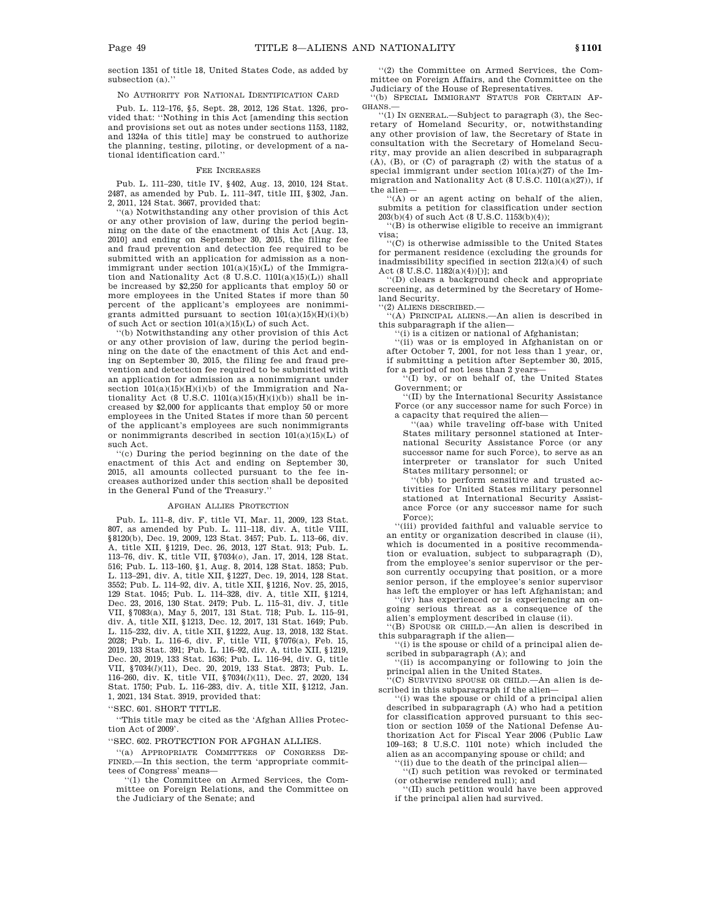section 1351 of title 18, United States Code, as added by subsection (a).'

NO AUTHORITY FOR NATIONAL IDENTIFICATION CARD

Pub. L. 112–176, §5, Sept. 28, 2012, 126 Stat. 1326, provided that: ''Nothing in this Act [amending this section and provisions set out as notes under sections 1153, 1182, and 1324a of this title] may be construed to authorize the planning, testing, piloting, or development of a national identification card.''

### FEE INCREASES

Pub. L. 111–230, title IV, §402, Aug. 13, 2010, 124 Stat. 2487, as amended by Pub. L. 111–347, title III, §302, Jan. 2, 2011, 124 Stat. 3667, provided that:

''(a) Notwithstanding any other provision of this Act or any other provision of law, during the period beginning on the date of the enactment of this Act [Aug. 13, 2010] and ending on September 30, 2015, the filing fee and fraud prevention and detection fee required to be submitted with an application for admission as a nonimmigrant under section  $101(a)(15)(L)$  of the Immigration and Nationality Act (8 U.S.C.  $1101(a)(15)(L)$ ) shall be increased by \$2,250 for applicants that employ 50 or more employees in the United States if more than 50 percent of the applicant's employees are nonimmigrants admitted pursuant to section  $101(a)(15)(H)(i)(b)$ of such Act or section 101(a)(15)(L) of such Act.

'(b) Notwithstanding any other provision of this Act or any other provision of law, during the period beginning on the date of the enactment of this Act and ending on September 30, 2015, the filing fee and fraud prevention and detection fee required to be submitted with an application for admission as a nonimmigrant under section  $101(a)(15)(H)(i)(b)$  of the Immigration and Nationality Act (8 U.S.C.  $1101(a)(15)(H)(i)(b)$ ) shall be increased by \$2,000 for applicants that employ 50 or more employees in the United States if more than 50 percent of the applicant's employees are such nonimmigrants or nonimmigrants described in section 101(a)(15)(L) of such Act.

''(c) During the period beginning on the date of the enactment of this Act and ending on September 30, 2015, all amounts collected pursuant to the fee increases authorized under this section shall be deposited in the General Fund of the Treasury.''

### AFGHAN ALLIES PROTECTION

Pub. L. 111–8, div. F, title VI, Mar. 11, 2009, 123 Stat. 807, as amended by Pub. L. 111–118, div. A, title VIII, §8120(b), Dec. 19, 2009, 123 Stat. 3457; Pub. L. 113–66, div. A, title XII, §1219, Dec. 26, 2013, 127 Stat. 913; Pub. L. 113–76, div. K, title VII, §7034(*o*), Jan. 17, 2014, 128 Stat. 516; Pub. L. 113–160, §1, Aug. 8, 2014, 128 Stat. 1853; Pub. L. 113–291, div. A, title XII, §1227, Dec. 19, 2014, 128 Stat. 3552; Pub. L. 114–92, div. A, title XII, §1216, Nov. 25, 2015, 129 Stat. 1045; Pub. L. 114–328, div. A, title XII, §1214, Dec. 23, 2016, 130 Stat. 2479; Pub. L. 115–31, div. J, title VII, §7083(a), May 5, 2017, 131 Stat. 718; Pub. L. 115–91, div. A, title XII, §1213, Dec. 12, 2017, 131 Stat. 1649; Pub. L. 115–232, div. A, title XII, §1222, Aug. 13, 2018, 132 Stat. 2028; Pub. L. 116–6, div. F, title VII, §7076(a), Feb. 15, 2019, 133 Stat. 391; Pub. L. 116–92, div. A, title XII, §1219, Dec. 20, 2019, 133 Stat. 1636; Pub. L. 116–94, div. G, title VII, §7034(*l*)(11), Dec. 20, 2019, 133 Stat. 2873; Pub. L. 116–260, div. K, title VII, §7034(*l*)(11), Dec. 27, 2020, 134 Stat. 1750; Pub. L. 116–283, div. A, title XII, §1212, Jan. 1, 2021, 134 Stat. 3919, provided that:

''SEC. 601. SHORT TITLE.

''This title may be cited as the 'Afghan Allies Protection Act of 2009'.

''SEC. 602. PROTECTION FOR AFGHAN ALLIES.

''(a) APPROPRIATE COMMITTEES OF CONGRESS DE-FINED.—In this section, the term 'appropriate committees of Congress' means—

''(1) the Committee on Armed Services, the Committee on Foreign Relations, and the Committee on the Judiciary of the Senate; and

''(2) the Committee on Armed Services, the Committee on Foreign Affairs, and the Committee on the Judiciary of the House of Representatives.

''(b) SPECIAL IMMIGRANT STATUS FOR CERTAIN AF-GHANS.—

''(1) IN GENERAL.—Subject to paragraph (3), the Secretary of Homeland Security, or, notwithstanding any other provision of law, the Secretary of State in consultation with the Secretary of Homeland Security, may provide an alien described in subparagraph (A), (B), or (C) of paragraph (2) with the status of a special immigrant under section 101(a)(27) of the Immigration and Nationality Act (8 U.S.C. 1101(a)(27)), if the alien—

''(A) or an agent acting on behalf of the alien, submits a petition for classification under section 203(b)(4) of such Act (8 U.S.C. 1153(b)(4));

''(B) is otherwise eligible to receive an immigrant visa;

''(C) is otherwise admissible to the United States for permanent residence (excluding the grounds for inadmissibility specified in section 212(a)(4) of such Act (8 U.S.C. 1182(a)(4))[)]; and

''(D) clears a background check and appropriate screening, as determined by the Secretary of Homeland Security.

'(2) ALIENS DESCRIBED.

''(A) PRINCIPAL ALIENS.—An alien is described in this subparagraph if the alien—

''(i) is a citizen or national of Afghanistan;

''(ii) was or is employed in Afghanistan on or after October 7, 2001, for not less than 1 year, or, if submitting a petition after September 30, 2015, for a period of not less than 2 years-

''(I) by, or on behalf of, the United States

Government; or<br>"(II) by the International Security Assistance Force (or any successor name for such Force) in a capacity that required the alien—

'(aa) while traveling off-base with United States military personnel stationed at International Security Assistance Force (or any successor name for such Force), to serve as an interpreter or translator for such United States military personnel; or

''(bb) to perform sensitive and trusted activities for United States military personnel stationed at International Security Assistance Force (or any successor name for such Force);

''(iii) provided faithful and valuable service to an entity or organization described in clause (ii), which is documented in a positive recommendation or evaluation, subject to subparagraph (D), from the employee's senior supervisor or the person currently occupying that position, or a more senior person, if the employee's senior supervisor has left the employer or has left Afghanistan; and

''(iv) has experienced or is experiencing an ongoing serious threat as a consequence of the alien's employment described in clause (ii).

''(B) SPOUSE OR CHILD.—An alien is described in this subparagraph if the alien—

''(i) is the spouse or child of a principal alien described in subparagraph (A); and

''(ii) is accompanying or following to join the principal alien in the United States.

 $f(C)$  SURVIVING SPOUSE OR CHILD.—An alien is described in this subparagraph if the alien—

''(i) was the spouse or child of a principal alien described in subparagraph (A) who had a petition for classification approved pursuant to this section or section 1059 of the National Defense Authorization Act for Fiscal Year 2006 (Public Law 109–163; 8 U.S.C. 1101 note) which included the alien as an accompanying spouse or child; and

''(ii) due to the death of the principal alien—

''(I) such petition was revoked or terminated

(or otherwise rendered null); and ''(II) such petition would have been approved if the principal alien had survived.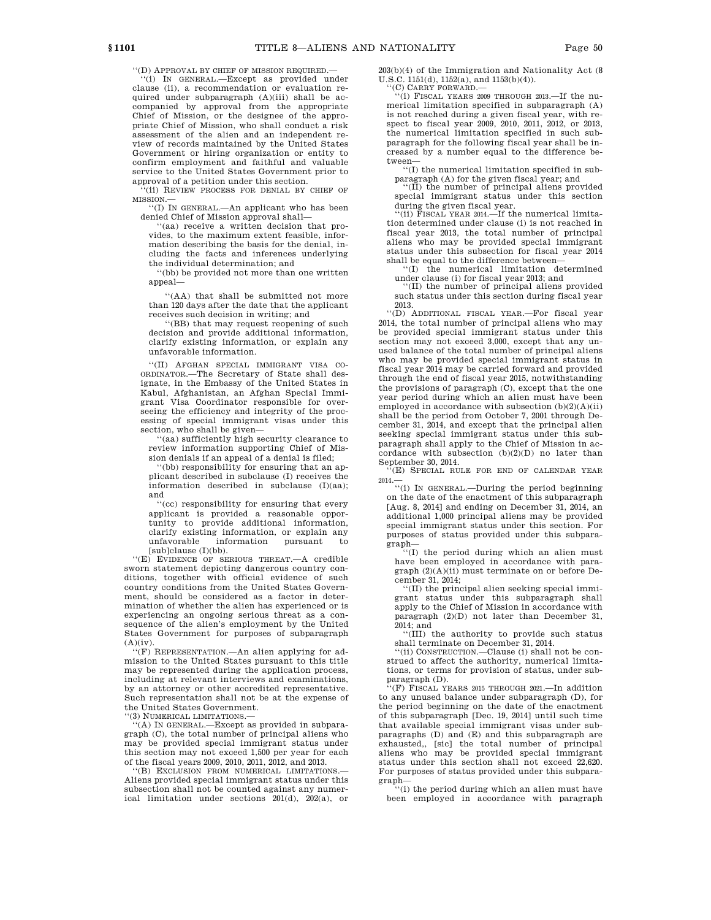''(D) APPROVAL BY CHIEF OF MISSION REQUIRED.—

''(i) IN GENERAL.—Except as provided under clause (ii), a recommendation or evaluation required under subparagraph (A)(iii) shall be accompanied by approval from the appropriate Chief of Mission, or the designee of the appropriate Chief of Mission, who shall conduct a risk assessment of the alien and an independent review of records maintained by the United States Government or hiring organization or entity to confirm employment and faithful and valuable service to the United States Government prior to approval of a petition under this section.

(ii) REVIEW PROCESS FOR DENIAL BY CHIEF OF MISSION.—

''(I) IN GENERAL.—An applicant who has been denied Chief of Mission approval shall—

''(aa) receive a written decision that provides, to the maximum extent feasible, information describing the basis for the denial, including the facts and inferences underlying the individual determination; and

''(bb) be provided not more than one written appeal—

''(AA) that shall be submitted not more than 120 days after the date that the applicant receives such decision in writing; and

''(BB) that may request reopening of such decision and provide additional information, clarify existing information, or explain any unfavorable information.

''(II) AFGHAN SPECIAL IMMIGRANT VISA CO-ORDINATOR.—The Secretary of State shall designate, in the Embassy of the United States in Kabul, Afghanistan, an Afghan Special Immigrant Visa Coordinator responsible for overseeing the efficiency and integrity of the processing of special immigrant visas under this section, who shall be given—

''(aa) sufficiently high security clearance to review information supporting Chief of Mission denials if an appeal of a denial is filed;

'(bb) responsibility for ensuring that an applicant described in subclause (I) receives the information described in subclause (I)(aa); and

''(cc) responsibility for ensuring that every applicant is provided a reasonable opportunity to provide additional information, clarify existing information, or explain any unfavorable information pursuant to [sub]clause (I)(bb).

''(E) EVIDENCE OF SERIOUS THREAT.—A credible sworn statement depicting dangerous country conditions, together with official evidence of such country conditions from the United States Government, should be considered as a factor in determination of whether the alien has experienced or is experiencing an ongoing serious threat as a consequence of the alien's employment by the United States Government for purposes of subparagraph  $(A)(iv)$ .

 $\sqrt{\left(F\right)}$  REPRESENTATION.—An alien applying for admission to the United States pursuant to this title may be represented during the application process, including at relevant interviews and examinations, by an attorney or other accredited representative. Such representation shall not be at the expense of the United States Government.

''(3) NUMERICAL LIMITATIONS.—

''(A) IN GENERAL.—Except as provided in subparagraph (C), the total number of principal aliens who may be provided special immigrant status under this section may not exceed 1,500 per year for each of the fiscal years 2009, 2010, 2011, 2012, and 2013.

''(B) EXCLUSION FROM NUMERICAL LIMITATIONS.— Aliens provided special immigrant status under this subsection shall not be counted against any numerical limitation under sections 201(d), 202(a), or 203(b)(4) of the Immigration and Nationality Act (8 U.S.C. 1151(d), 1152(a), and 1153(b)(4)).

''(C) CARRY FORWARD.—

''(i) FISCAL YEARS 2009 THROUGH 2013.—If the numerical limitation specified in subparagraph (A) is not reached during a given fiscal year, with respect to fiscal year 2009, 2010, 2011, 2012, or 2013, the numerical limitation specified in such subparagraph for the following fiscal year shall be increased by a number equal to the difference between—

''(I) the numerical limitation specified in sub-

paragraph (A) for the given fiscal year; and ''(II) the number of principal aliens provided special immigrant status under this section during the given fiscal year.

''(ii) FISCAL YEAR 2014.—If the numerical limitation determined under clause (i) is not reached in fiscal year 2013, the total number of principal aliens who may be provided special immigrant status under this subsection for fiscal year 2014 shall be equal to the difference between—

''(I) the numerical limitation determined under clause (i) for fiscal year 2013; and

''(II) the number of principal aliens provided such status under this section during fiscal year 2013.

''(D) ADDITIONAL FISCAL YEAR.—For fiscal year 2014, the total number of principal aliens who may be provided special immigrant status under this section may not exceed 3,000, except that any unused balance of the total number of principal aliens who may be provided special immigrant status in fiscal year 2014 may be carried forward and provided through the end of fiscal year 2015, notwithstanding the provisions of paragraph (C), except that the one year period during which an alien must have been employed in accordance with subsection (b)(2)(A)(ii) shall be the period from October 7, 2001 through December 31, 2014, and except that the principal alien seeking special immigrant status under this subparagraph shall apply to the Chief of Mission in accordance with subsection (b)(2)(D) no later than September 30, 2014. ''(E) SPECIAL RULE FOR END OF CALENDAR YEAR

2014.—

''(i) IN GENERAL.—During the period beginning on the date of the enactment of this subparagraph [Aug. 8, 2014] and ending on December 31, 2014, an additional 1,000 principal aliens may be provided special immigrant status under this section. For purposes of status provided under this subpara-

graph— ''(I) the period during which an alien must have been employed in accordance with para $graph (2)(A)(ii) must terminate on or before De$ cember 31, 2014;

''(II) the principal alien seeking special immigrant status under this subparagraph shall apply to the Chief of Mission in accordance with paragraph (2)(D) not later than December 31, 2014; and

''(III) the authority to provide such status shall terminate on December 31, 2014.

''(ii) CONSTRUCTION.—Clause (i) shall not be construed to affect the authority, numerical limitations, or terms for provision of status, under subparagraph (D).

 $f(F)$  FISCAL YEARS 2015 THROUGH 2021.—In addition to any unused balance under subparagraph (D), for the period beginning on the date of the enactment of this subparagraph [Dec. 19, 2014] until such time that available special immigrant visas under subparagraphs (D) and (E) and this subparagraph are exhausted,, [sic] the total number of principal aliens who may be provided special immigrant status under this section shall not exceed 22,620. For purposes of status provided under this subpara-

graph— ''(i) the period during which an alien must have been employed in accordance with paragraph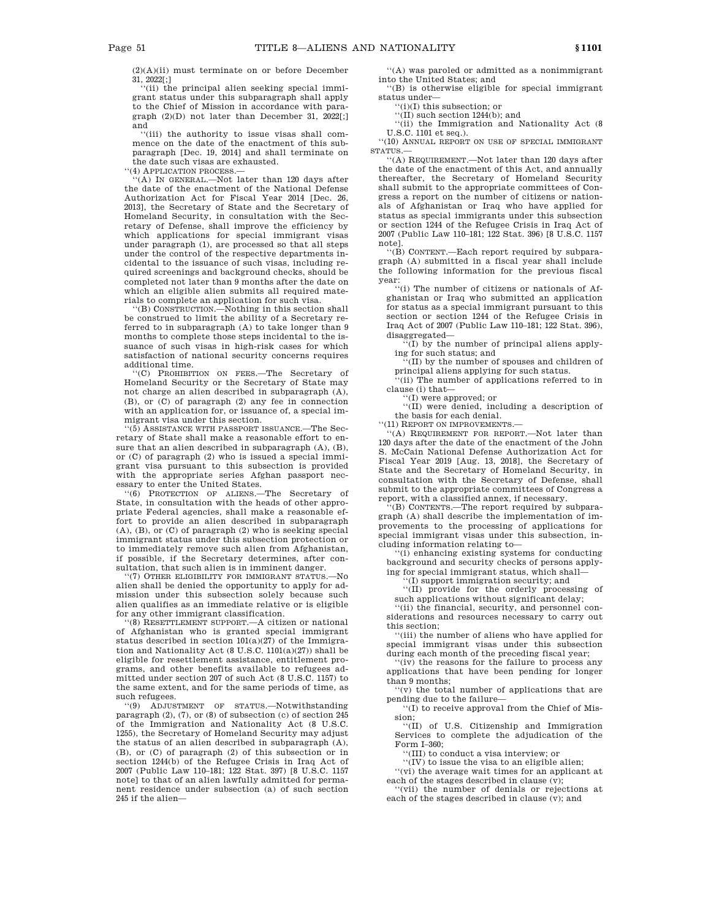$(2)(A)(ii)$  must terminate on or before December 31, 2022[;]

''(ii) the principal alien seeking special immigrant status under this subparagraph shall apply to the Chief of Mission in accordance with paragraph (2)(D) not later than December 31, 2022[;] and

''(iii) the authority to issue visas shall commence on the date of the enactment of this subparagraph [Dec. 19, 2014] and shall terminate on the date such visas are exhausted.

''(4) APPLICATION PROCESS.—

''(A) IN GENERAL.—Not later than 120 days after the date of the enactment of the National Defense Authorization Act for Fiscal Year 2014 [Dec. 26, 2013], the Secretary of State and the Secretary of Homeland Security, in consultation with the Secretary of Defense, shall improve the efficiency by which applications for special immigrant visas under paragraph (1), are processed so that all steps under the control of the respective departments incidental to the issuance of such visas, including required screenings and background checks, should be completed not later than 9 months after the date on which an eligible alien submits all required materials to complete an application for such visa.

'(B) CONSTRUCTION.—Nothing in this section shall be construed to limit the ability of a Secretary referred to in subparagraph (A) to take longer than 9 months to complete those steps incidental to the issuance of such visas in high-risk cases for which satisfaction of national security concerns requires additional time.

''(C) PROHIBITION ON FEES.—The Secretary of Homeland Security or the Secretary of State may not charge an alien described in subparagraph (A), (B), or (C) of paragraph (2) any fee in connection with an application for, or issuance of, a special immigrant visa under this section.

''(5) ASSISTANCE WITH PASSPORT ISSUANCE.—The Secretary of State shall make a reasonable effort to ensure that an alien described in subparagraph (A), (B), or (C) of paragraph (2) who is issued a special immigrant visa pursuant to this subsection is provided with the appropriate series Afghan passport necessary to enter the United States.

''(6) PROTECTION OF ALIENS.—The Secretary of State, in consultation with the heads of other appropriate Federal agencies, shall make a reasonable effort to provide an alien described in subparagraph (A), (B), or (C) of paragraph (2) who is seeking special immigrant status under this subsection protection or to immediately remove such alien from Afghanistan, if possible, if the Secretary determines, after consultation, that such alien is in imminent danger.

''(7) OTHER ELIGIBILITY FOR IMMIGRANT STATUS.—No alien shall be denied the opportunity to apply for admission under this subsection solely because such alien qualifies as an immediate relative or is eligible for any other immigrant classification.

''(8) RESETTLEMENT SUPPORT.—A citizen or national of Afghanistan who is granted special immigrant status described in section  $101(a)(27)$  of the Immigration and Nationality Act (8 U.S.C.  $1101(a)(27)$ ) shall be eligible for resettlement assistance, entitlement programs, and other benefits available to refugees admitted under section 207 of such Act (8 U.S.C. 1157) to the same extent, and for the same periods of time, as such refugees.

''(9) ADJUSTMENT OF STATUS.—Notwithstanding paragraph  $(2)$ ,  $(7)$ , or  $(8)$  of subsection  $(c)$  of section  $24\overline{5}$ of the Immigration and Nationality Act (8 U.S.C. 1255), the Secretary of Homeland Security may adjust the status of an alien described in subparagraph (A), (B), or (C) of paragraph (2) of this subsection or in section 1244(b) of the Refugee Crisis in Iraq Act of 2007 (Public Law 110–181; 122 Stat. 397) [8 U.S.C. 1157 note] to that of an alien lawfully admitted for permanent residence under subsection (a) of such section 245 if the alien—

''(A) was paroled or admitted as a nonimmigrant into the United States; and

''(B) is otherwise eligible for special immigrant status under—

''(i)(I) this subsection; or

 $\frac{\text{U}(1)}{\text{U}(1)}$  such section 1244(b); and

''(ii) the Immigration and Nationality Act (8 U.S.C. 1101 et seq.).

''(10) ANNUAL REPORT ON USE OF SPECIAL IMMIGRANT STATUS.—

'(A) REQUIREMENT.—Not later than 120 days after the date of the enactment of this Act, and annually thereafter, the Secretary of Homeland Security shall submit to the appropriate committees of Congress a report on the number of citizens or nationals of Afghanistan or Iraq who have applied for status as special immigrants under this subsection or section 1244 of the Refugee Crisis in Iraq Act of 2007 (Public Law 110–181; 122 Stat. 396) [8 U.S.C. 1157 note].

''(B) CONTENT.—Each report required by subpara-graph (A) submitted in a fiscal year shall include the following information for the previous fiscal year:

''(i) The number of citizens or nationals of Afghanistan or Iraq who submitted an application for status as a special immigrant pursuant to this section or section 1244 of the Refugee Crisis in Iraq Act of 2007 (Public Law 110–181; 122 Stat. 396), disaggregated—

 $(1)$  by the number of principal aliens applying for such status; and

''(II) by the number of spouses and children of principal aliens applying for such status. (ii) The number of applications referred to in

clause (i) that—

''(I) were approved; or

''(II) were denied, including a description of the basis for each denial.

''(11) REPORT ON IMPROVEMENTS.—

'(A) REQUIREMENT FOR REPORT.-Not later than 120 days after the date of the enactment of the John S. McCain National Defense Authorization Act for Fiscal Year 2019 [Aug. 13, 2018], the Secretary of State and the Secretary of Homeland Security, in consultation with the Secretary of Defense, shall submit to the appropriate committees of Congress a report, with a classified annex, if necessary.

''(B) CONTENTS.—The report required by subparagraph (A) shall describe the implementation of improvements to the processing of applications for special immigrant visas under this subsection, including information relating to—

''(i) enhancing existing systems for conducting background and security checks of persons applying for special immigrant status, which shall—

''(I) support immigration security; and

''(II) provide for the orderly processing of such applications without significant delay;

'(ii) the financial, security, and personnel considerations and resources necessary to carry out this section;

''(iii) the number of aliens who have applied for special immigrant visas under this subsection during each month of the preceding fiscal year;

''(iv) the reasons for the failure to process any applications that have been pending for longer than 9 months;

''(v) the total number of applications that are pending due to the failure—

''(I) to receive approval from the Chief of Mission;

''(II) of U.S. Citizenship and Immigration Services to complete the adjudication of the Form I–360;

'(III) to conduct a visa interview; or

''(IV) to issue the visa to an eligible alien;

''(vi) the average wait times for an applicant at each of the stages described in clause (v);

''(vii) the number of denials or rejections at each of the stages described in clause (v); and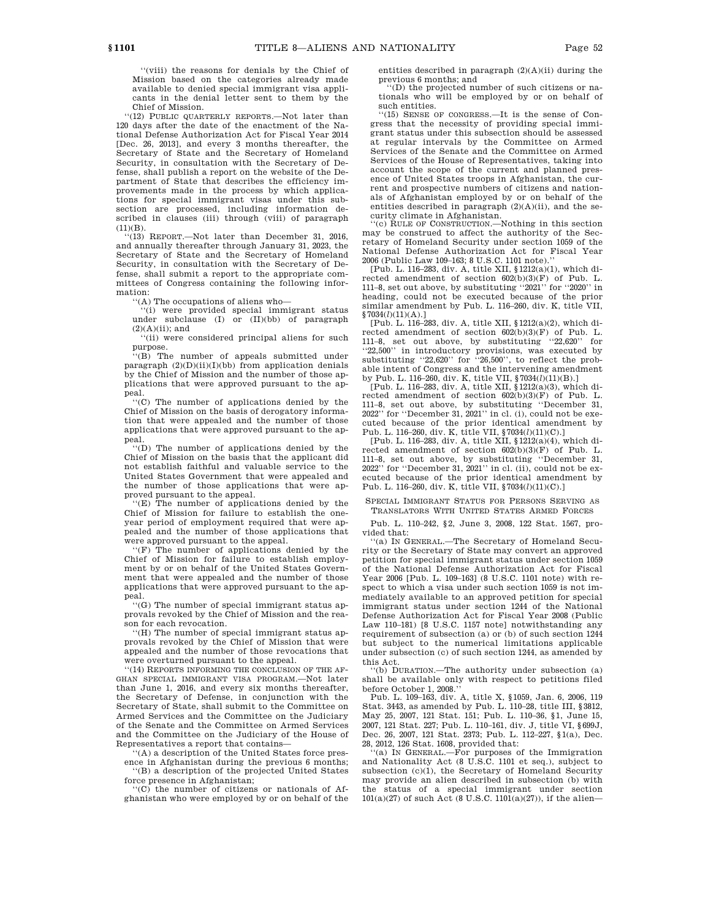''(viii) the reasons for denials by the Chief of Mission based on the categories already made available to denied special immigrant visa applicants in the denial letter sent to them by the Chief of Mission.

''(12) PUBLIC QUARTERLY REPORTS.—Not later than 120 days after the date of the enactment of the National Defense Authorization Act for Fiscal Year 2014 [Dec. 26, 2013], and every 3 months thereafter, the Secretary of State and the Secretary of Homeland Security, in consultation with the Secretary of Defense, shall publish a report on the website of the Department of State that describes the efficiency improvements made in the process by which applications for special immigrant visas under this subsection are processed, including information described in clauses (iii) through (viii) of paragraph  $(11)(B)$ .

''(13) REPORT.—Not later than December 31, 2016, and annually thereafter through January 31, 2023, the Secretary of State and the Secretary of Homeland Security, in consultation with the Secretary of Defense, shall submit a report to the appropriate committees of Congress containing the following information:

'(A) The occupations of aliens who-

''(i) were provided special immigrant status under subclause (I) or (II)(bb) of paragraph  $(2)(A)(ii)$ ; and

''(ii) were considered principal aliens for such purpose.

 $F(B)$  The number of appeals submitted under paragraph  $(2)(D)(ii)(I)(bb)$  from application denials by the Chief of Mission and the number of those applications that were approved pursuant to the appeal.

''(C) The number of applications denied by the Chief of Mission on the basis of derogatory information that were appealed and the number of those applications that were approved pursuant to the ap-

peal. ''(D) The number of applications denied by the Chief of Mission on the basis that the applicant did not establish faithful and valuable service to the United States Government that were appealed and the number of those applications that were approved pursuant to the appeal.

''(E) The number of applications denied by the Chief of Mission for failure to establish the oneyear period of employment required that were appealed and the number of those applications that were approved pursuant to the appeal.

 $(F)$  The number of applications denied by the Chief of Mission for failure to establish employment by or on behalf of the United States Government that were appealed and the number of those applications that were approved pursuant to the appeal. ''(G) The number of special immigrant status ap-

provals revoked by the Chief of Mission and the reason for each revocation.

''(H) The number of special immigrant status approvals revoked by the Chief of Mission that were appealed and the number of those revocations that were overturned pursuant to the appeal.

''(14) REPORTS INFORMING THE CONCLUSION OF THE AF-GHAN SPECIAL IMMIGRANT VISA PROGRAM.—Not later than June 1, 2016, and every six months thereafter, the Secretary of Defense, in conjunction with the Secretary of State, shall submit to the Committee on Armed Services and the Committee on the Judiciary of the Senate and the Committee on Armed Services and the Committee on the Judiciary of the House of Representatives a report that contains—

''(A) a description of the United States force presence in Afghanistan during the previous 6 months;

''(B) a description of the projected United States force presence in Afghanistan;

''(C) the number of citizens or nationals of Afghanistan who were employed by or on behalf of the entities described in paragraph (2)(A)(ii) during the previous 6 months; and

''(D) the projected number of such citizens or nationals who will be employed by or on behalf of such entities.

''(15) SENSE OF CONGRESS.—It is the sense of Congress that the necessity of providing special immigrant status under this subsection should be assessed at regular intervals by the Committee on Armed Services of the Senate and the Committee on Armed Services of the House of Representatives, taking into account the scope of the current and planned presence of United States troops in Afghanistan, the current and prospective numbers of citizens and nationals of Afghanistan employed by or on behalf of the entities described in paragraph (2)(A)(ii), and the security climate in Afghanistan. ''(c) RULE OF CONSTRUCTION.—Nothing in this section

may be construed to affect the authority of the Secretary of Homeland Security under section 1059 of the National Defense Authorization Act for Fiscal Year 2006 (Public Law 109–163; 8 U.S.C. 1101 note).''

[Pub. L. 116–283, div. A, title XII, §1212(a)(1), which directed amendment of section 602(b)(3)(F) of Pub. L. 111–8, set out above, by substituting ''2021'' for ''2020'' in heading, could not be executed because of the prior similar amendment by Pub. L. 116–260, div. K, title VII,

§7034(*l*)(11)(A).] [Pub. L. 116–283, div. A, title XII, §1212(a)(2), which directed amendment of section 602(b)(3)(F) of Pub. L. 111–8, set out above, by substituting ''22,620'' for ''22,500'' in introductory provisions, was executed by substituting ''22,620'' for ''26,500'', to reflect the probable intent of Congress and the intervening amendment

by Pub. L. 116–260, div. K, title VII, §7034(*l*)(11)(B).] [Pub. L. 116–283, div. A, title XII, §1212(a)(3), which directed amendment of section 602(b)(3)(F) of Pub. L. 111–8, set out above, by substituting ''December 31, 2022'' for ''December 31, 2021'' in cl. (i), could not be executed because of the prior identical amendment by Pub. L. 116–260, div. K, title VII, §7034(*l*)(11)(C).] [Pub. L. 116–283, div. A, title XII, §1212(a)(4), which di-

rected amendment of section 602(b)(3)(F) of Pub. L. 111–8, set out above, by substituting ''December 31, 2022'' for ''December 31, 2021'' in cl. (ii), could not be executed because of the prior identical amendment by Pub. L. 116–260, div. K, title VII, §7034(*l*)(11)(C).]

SPECIAL IMMIGRANT STATUS FOR PERSONS SERVING AS TRANSLATORS WITH UNITED STATES ARMED FORCES

Pub. L. 110–242, §2, June 3, 2008, 122 Stat. 1567, provided that:

''(a) IN GENERAL.—The Secretary of Homeland Security or the Secretary of State may convert an approved petition for special immigrant status under section 1059 of the National Defense Authorization Act for Fiscal Year 2006 [Pub. L. 109–163] (8 U.S.C. 1101 note) with respect to which a visa under such section 1059 is not immediately available to an approved petition for special immigrant status under section 1244 of the National Defense Authorization Act for Fiscal Year 2008 (Public Law 110–181) [8 U.S.C. 1157 note] notwithstanding any requirement of subsection (a) or (b) of such section 1244 but subject to the numerical limitations applicable under subsection (c) of such section 1244, as amended by this Act.

''(b) DURATION.—The authority under subsection (a) shall be available only with respect to petitions filed before October 1, 2008.''

Pub. L. 109–163, div. A, title X, §1059, Jan. 6, 2006, 119 Stat. 3443, as amended by Pub. L. 110–28, title III, §3812, May 25, 2007, 121 Stat. 151; Pub. L. 110–36, §1, June 15, 2007, 121 Stat. 227; Pub. L. 110–161, div. J, title VI, §699J, Dec. 26, 2007, 121 Stat. 2373; Pub. L. 112–227, §1(a), Dec. 28, 2012, 126 Stat. 1608, provided that:

''(a) IN GENERAL.—For purposes of the Immigration and Nationality Act (8 U.S.C. 1101 et seq.), subject to subsection (c)(1), the Secretary of Homeland Security may provide an alien described in subsection (b) with the status of a special immigrant under section  $101(a)(27)$  of such Act (8 U.S.C.  $1101(a)(27)$ ), if the alien-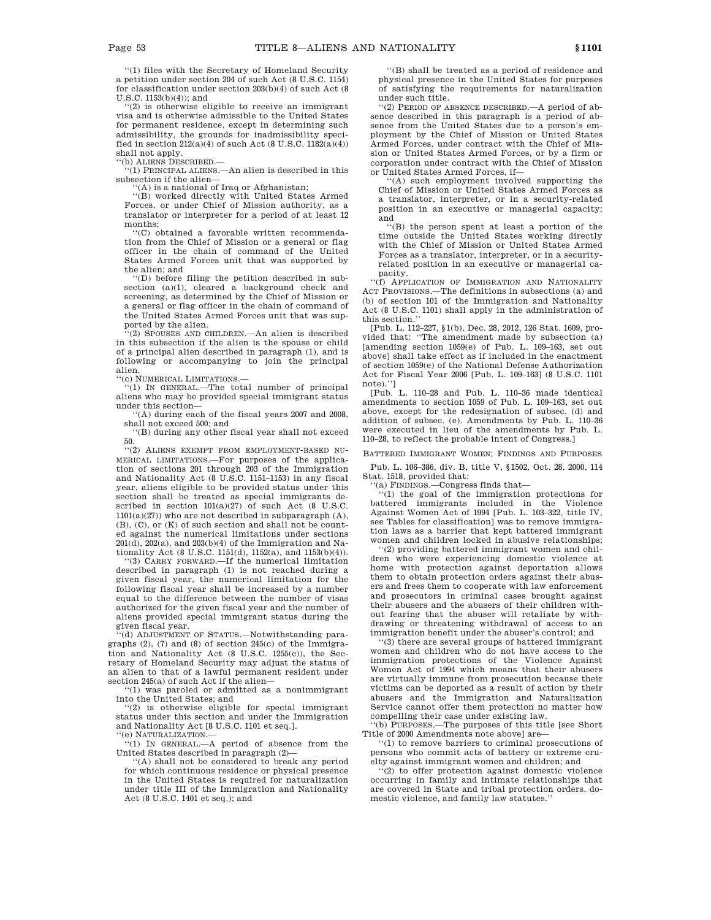''(1) files with the Secretary of Homeland Security a petition under section 204 of such Act (8 U.S.C. 1154) for classification under section 203(b)(4) of such Act (8 U.S.C. 1153(b)(4)); and

''(2) is otherwise eligible to receive an immigrant visa and is otherwise admissible to the United States for permanent residence, except in determining such admissibility, the grounds for inadmissibility specified in section  $212(a)(4)$  of such Act  $(8 \text{ U.S.C. } 1182(a)(4))$ shall not apply.

''(b) ALIENS DESCRIBED.—

''(1) PRINCIPAL ALIENS.—An alien is described in this subsection if the alien—

''(A) is a national of Iraq or Afghanistan;

''(B) worked directly with United States Armed Forces, or under Chief of Mission authority, as a translator or interpreter for a period of at least 12 months;

''(C) obtained a favorable written recommendation from the Chief of Mission or a general or flag officer in the chain of command of the United States Armed Forces unit that was supported by the alien; and

''(D) before filing the petition described in subsection (a)(1), cleared a background check and screening, as determined by the Chief of Mission or a general or flag officer in the chain of command of the United States Armed Forces unit that was supported by the alien.

'(2) SPOUSES AND CHILDREN.—An alien is described in this subsection if the alien is the spouse or child of a principal alien described in paragraph (1), and is following or accompanying to join the principal alien.

''(c) NUMERICAL LIMITATIONS.—

''(1) IN GENERAL.—The total number of principal aliens who may be provided special immigrant status under this section—

''(A) during each of the fiscal years 2007 and 2008, shall not exceed 500; and

''(B) during any other fiscal year shall not exceed 50.

''(2) ALIENS EXEMPT FROM EMPLOYMENT-BASED NU-MERICAL LIMITATIONS.—For purposes of the application of sections 201 through 203 of the Immigration and Nationality Act (8 U.S.C. 1151–1153) in any fiscal year, aliens eligible to be provided status under this section shall be treated as special immigrants described in section  $101(a)(27)$  of such Act (8 U.S.C.  $1101(a)(27)$ ) who are not described in subparagraph  $(A)$ , (B), (C), or (K) of such section and shall not be counted against the numerical limitations under sections  $201(d)$ ,  $202(a)$ , and  $203(b)(4)$  of the Immigration and Nationality Act (8 U.S.C. 1151(d), 1152(a), and 1153(b)(4)).

''(3) CARRY FORWARD.—If the numerical limitation described in paragraph (1) is not reached during a given fiscal year, the numerical limitation for the following fiscal year shall be increased by a number equal to the difference between the number of visas authorized for the given fiscal year and the number of aliens provided special immigrant status during the given fiscal year.

''(d) ADJUSTMENT OF STATUS.—Notwithstanding paragraphs (2), (7) and (8) of section 245(c) of the Immigration and Nationality Act (8 U.S.C. 1255(c)), the Secretary of Homeland Security may adjust the status of an alien to that of a lawful permanent resident under section 245(a) of such Act if the alien—

''(1) was paroled or admitted as a nonimmigrant into the United States; and

''(2) is otherwise eligible for special immigrant status under this section and under the Immigration and Nationality Act [8 U.S.C. 1101 et seq.].

''(e) NATURALIZATION.—

'(1) IN GENERAL.—A period of absence from the United States described in paragraph (2)—

''(A) shall not be considered to break any period for which continuous residence or physical presence in the United States is required for naturalization under title III of the Immigration and Nationality Act (8 U.S.C. 1401 et seq.); and

''(B) shall be treated as a period of residence and physical presence in the United States for purposes of satisfying the requirements for naturalization under such title.

''(2) PERIOD OF ABSENCE DESCRIBED.—A period of absence described in this paragraph is a period of absence from the United States due to a person's employment by the Chief of Mission or United States Armed Forces, under contract with the Chief of Mission or United States Armed Forces, or by a firm or corporation under contract with the Chief of Mission or United States Armed Forces, if—

''(A) such employment involved supporting the Chief of Mission or United States Armed Forces as a translator, interpreter, or in a security-related position in an executive or managerial capacity; and

''(B) the person spent at least a portion of the time outside the United States working directly with the Chief of Mission or United States Armed Forces as a translator, interpreter, or in a securityrelated position in an executive or managerial capacity.

''(f) APPLICATION OF IMMIGRATION AND NATIONALITY ACT PROVISIONS.—The definitions in subsections (a) and (b) of section 101 of the Immigration and Nationality Act (8 U.S.C. 1101) shall apply in the administration of this section.''

[Pub. L. 112–227, §1(b), Dec. 28, 2012, 126 Stat. 1609, provided that: ''The amendment made by subsection (a) [amending section 1059(e) of Pub. L. 109–163, set out above] shall take effect as if included in the enactment of section 1059(e) of the National Defense Authorization Act for Fiscal Year 2006 [Pub. L. 109–163] (8 U.S.C. 1101 note).'']

[Pub. L. 110–28 and Pub. L. 110–36 made identical amendments to section 1059 of Pub. L. 109–163, set out above, except for the redesignation of subsec. (d) and addition of subsec. (e). Amendments by Pub. L. 110–36 were executed in lieu of the amendments by Pub. L. 110–28, to reflect the probable intent of Congress.]

BATTERED IMMIGRANT WOMEN; FINDINGS AND PURPOSES

Pub. L. 106–386, div. B, title V, §1502, Oct. 28, 2000, 114 Stat. 1518, provided that:

 $(a)$  FINDINGS.—Congress finds that—

''(1) the goal of the immigration protections for battered immigrants included in the Violence Against Women Act of 1994 [Pub. L. 103–322, title IV, see Tables for classification] was to remove immigration laws as a barrier that kept battered immigrant women and children locked in abusive relationships;

'(2) providing battered immigrant women and children who were experiencing domestic violence at home with protection against deportation allows them to obtain protection orders against their abusers and frees them to cooperate with law enforcement and prosecutors in criminal cases brought against their abusers and the abusers of their children without fearing that the abuser will retaliate by withdrawing or threatening withdrawal of access to an immigration benefit under the abuser's control; and

''(3) there are several groups of battered immigrant women and children who do not have access to the immigration protections of the Violence Against Women Act of 1994 which means that their abusers are virtually immune from prosecution because their victims can be deported as a result of action by their abusers and the Immigration and Naturalization Service cannot offer them protection no matter how compelling their case under existing law.

''(b) PURPOSES.—The purposes of this title [see Short Title of 2000 Amendments note above] are—

''(1) to remove barriers to criminal prosecutions of persons who commit acts of battery or extreme cruelty against immigrant women and children; and

''(2) to offer protection against domestic violence occurring in family and intimate relationships that are covered in State and tribal protection orders, domestic violence, and family law statutes.''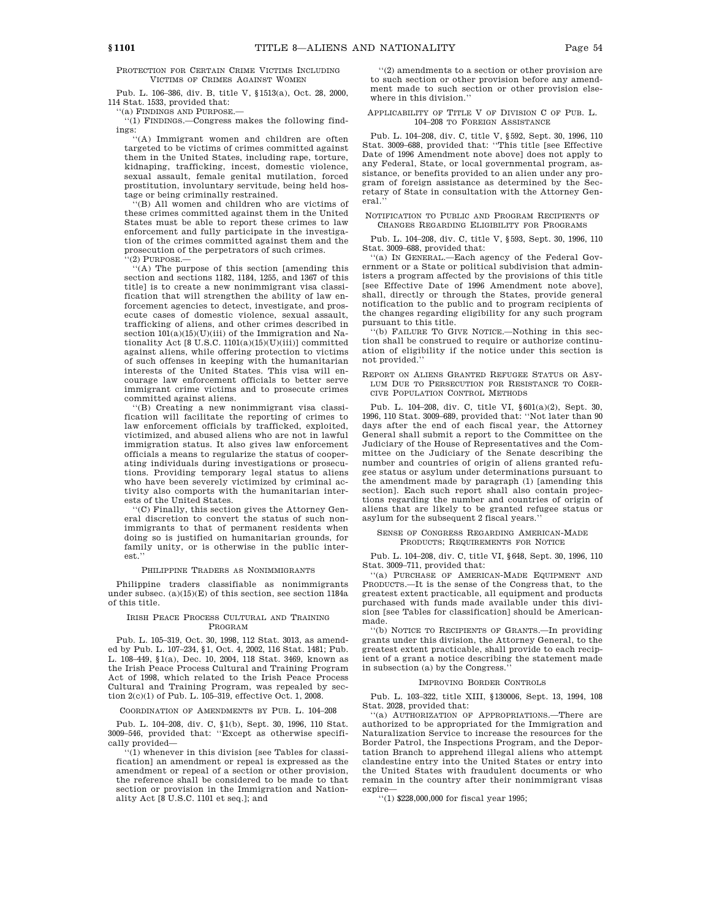PROTECTION FOR CERTAIN CRIME VICTIMS INCLUDING VICTIMS OF CRIMES AGAINST WOMEN

Pub. L. 106–386, div. B, title V, §1513(a), Oct. 28, 2000, 114 Stat. 1533, provided that:

'(a) FINDINGS AND PURPOSE.—

''(1) FINDINGS.—Congress makes the following findings: ''(A) Immigrant women and children are often

targeted to be victims of crimes committed against them in the United States, including rape, torture, kidnaping, trafficking, incest, domestic violence, sexual assault, female genital mutilation, forced prostitution, involuntary servitude, being held hostage or being criminally restrained.

''(B) All women and children who are victims of these crimes committed against them in the United States must be able to report these crimes to law enforcement and fully participate in the investigation of the crimes committed against them and the prosecution of the perpetrators of such crimes.

''(2) PURPOSE.—

''(A) The purpose of this section [amending this section and sections 1182, 1184, 1255, and 1367 of this title] is to create a new nonimmigrant visa classification that will strengthen the ability of law enforcement agencies to detect, investigate, and prosecute cases of domestic violence, sexual assault, trafficking of aliens, and other crimes described in section  $101(a)(15)(U)(iii)$  of the Immigration and Nationality Act [8 U.S.C. 1101(a)(15)(U)(iii)] committed against aliens, while offering protection to victims of such offenses in keeping with the humanitarian interests of the United States. This visa will encourage law enforcement officials to better serve immigrant crime victims and to prosecute crimes committed against aliens.

''(B) Creating a new nonimmigrant visa classification will facilitate the reporting of crimes to law enforcement officials by trafficked, exploited, victimized, and abused aliens who are not in lawful immigration status. It also gives law enforcement officials a means to regularize the status of cooperating individuals during investigations or prosecutions. Providing temporary legal status to aliens who have been severely victimized by criminal activity also comports with the humanitarian interests of the United States.

''(C) Finally, this section gives the Attorney General discretion to convert the status of such nonimmigrants to that of permanent residents when doing so is justified on humanitarian grounds, for family unity, or is otherwise in the public interest.''

### PHILIPPINE TRADERS AS NONIMMIGRANTS

Philippine traders classifiable as nonimmigrants under subsec.  $(a)(15)(E)$  of this section, see section 1184a of this title.

### IRISH PEACE PROCESS CULTURAL AND TRAINING PROGRAM

Pub. L. 105–319, Oct. 30, 1998, 112 Stat. 3013, as amended by Pub. L. 107–234, §1, Oct. 4, 2002, 116 Stat. 1481; Pub. L. 108–449, §1(a), Dec. 10, 2004, 118 Stat. 3469, known as the Irish Peace Process Cultural and Training Program Act of 1998, which related to the Irish Peace Process Cultural and Training Program, was repealed by section 2(c)(1) of Pub. L. 105–319, effective Oct. 1, 2008.

COORDINATION OF AMENDMENTS BY PUB. L. 104–208

Pub. L. 104–208, div. C, §1(b), Sept. 30, 1996, 110 Stat. 3009–546, provided that: ''Except as otherwise specifically provided—

 $\dddot{H}(1)$  whenever in this division [see Tables for classification] an amendment or repeal is expressed as the amendment or repeal of a section or other provision, the reference shall be considered to be made to that section or provision in the Immigration and Nationality Act [8 U.S.C. 1101 et seq.]; and

''(2) amendments to a section or other provision are to such section or other provision before any amendment made to such section or other provision elsewhere in this division.''

### APPLICABILITY OF TITLE V OF DIVISION C OF PUB. L. 104–208 TO FOREIGN ASSISTANCE

Pub. L. 104–208, div. C, title V, §592, Sept. 30, 1996, 110 Stat. 3009–688, provided that: ''This title [see Effective Date of 1996 Amendment note above] does not apply to any Federal, State, or local governmental program, assistance, or benefits provided to an alien under any program of foreign assistance as determined by the Secretary of State in consultation with the Attorney General.''

NOTIFICATION TO PUBLIC AND PROGRAM RECIPIENTS OF CHANGES REGARDING ELIGIBILITY FOR PROGRAMS

Pub. L. 104–208, div. C, title V, §593, Sept. 30, 1996, 110 Stat. 3009–688, provided that:

''(a) IN GENERAL.—Each agency of the Federal Government or a State or political subdivision that administers a program affected by the provisions of this title [see Effective Date of 1996 Amendment note above], shall, directly or through the States, provide general notification to the public and to program recipients of the changes regarding eligibility for any such program pursuant to this title.

''(b) FAILURE TO GIVE NOTICE.—Nothing in this section shall be construed to require or authorize continuation of eligibility if the notice under this section is not provided.

REPORT ON ALIENS GRANTED REFUGEE STATUS OR ASY-LUM DUE TO PERSECUTION FOR RESISTANCE TO COER-CIVE POPULATION CONTROL METHODS

Pub. L. 104–208, div. C, title VI, §601(a)(2), Sept. 30, 1996, 110 Stat. 3009–689, provided that: ''Not later than 90 days after the end of each fiscal year, the Attorney General shall submit a report to the Committee on the Judiciary of the House of Representatives and the Committee on the Judiciary of the Senate describing the number and countries of origin of aliens granted refugee status or asylum under determinations pursuant to the amendment made by paragraph (1) [amending this section]. Each such report shall also contain projections regarding the number and countries of origin of aliens that are likely to be granted refugee status or asylum for the subsequent 2 fiscal years.''

### SENSE OF CONGRESS REGARDING AMERICAN-MADE PRODUCTS; REQUIREMENTS FOR NOTICE

Pub. L. 104–208, div. C, title VI, §648, Sept. 30, 1996, 110 Stat. 3009–711, provided that:

''(a) PURCHASE OF AMERICAN-MADE EQUIPMENT AND PRODUCTS.—It is the sense of the Congress that, to the greatest extent practicable, all equipment and products purchased with funds made available under this division [see Tables for classification] should be Americanmade.

''(b) NOTICE TO RECIPIENTS OF GRANTS.—In providing grants under this division, the Attorney General, to the greatest extent practicable, shall provide to each recipient of a grant a notice describing the statement made in subsection (a) by the Congress.''

### IMPROVING BORDER CONTROLS

Pub. L. 103–322, title XIII, §130006, Sept. 13, 1994, 108 Stat. 2028, provided that:

''(a) AUTHORIZATION OF APPROPRIATIONS.—There are authorized to be appropriated for the Immigration and Naturalization Service to increase the resources for the Border Patrol, the Inspections Program, and the Deportation Branch to apprehend illegal aliens who attempt clandestine entry into the United States or entry into the United States with fraudulent documents or who remain in the country after their nonimmigrant visas expire—

''(1) \$228,000,000 for fiscal year 1995;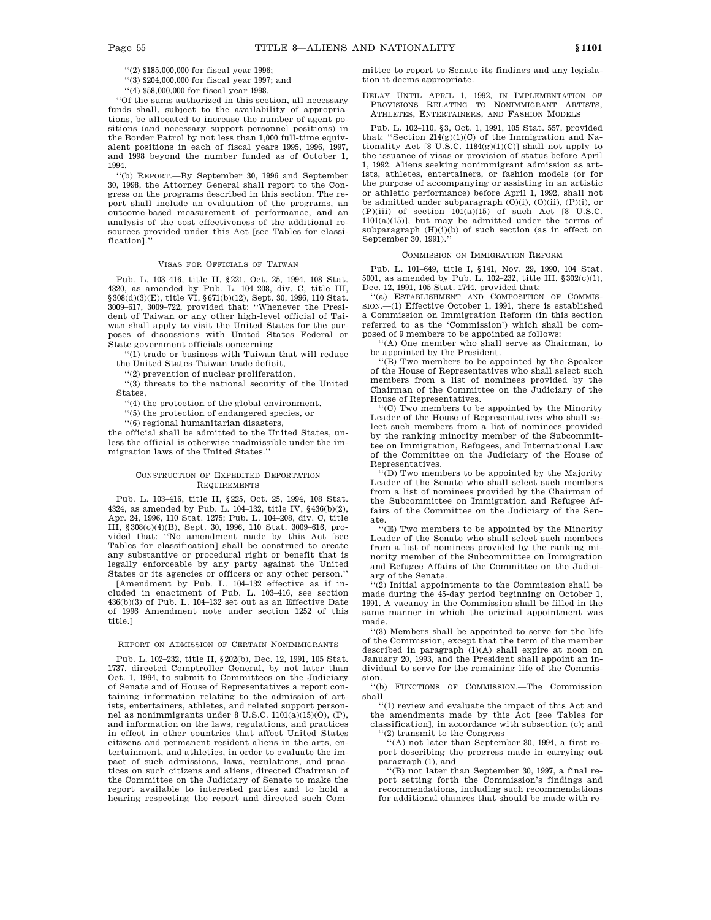''(2) \$185,000,000 for fiscal year 1996;

''(3) \$204,000,000 for fiscal year 1997; and

''(4) \$58,000,000 for fiscal year 1998.

''Of the sums authorized in this section, all necessary funds shall, subject to the availability of appropriations, be allocated to increase the number of agent positions (and necessary support personnel positions) in the Border Patrol by not less than 1,000 full-time equivalent positions in each of fiscal years 1995, 1996, 1997, and 1998 beyond the number funded as of October 1, 1994.

''(b) REPORT.—By September 30, 1996 and September 30, 1998, the Attorney General shall report to the Congress on the programs described in this section. The report shall include an evaluation of the programs, an outcome-based measurement of performance, and an analysis of the cost effectiveness of the additional resources provided under this Act [see Tables for classification].''

### VISAS FOR OFFICIALS OF TAIWAN

Pub. L. 103–416, title II, §221, Oct. 25, 1994, 108 Stat. 4320, as amended by Pub. L. 104–208, div. C, title III, §308(d)(3)(E), title VI, §671(b)(12), Sept. 30, 1996, 110 Stat. 3009–617, 3009–722, provided that: ''Whenever the President of Taiwan or any other high-level official of Taiwan shall apply to visit the United States for the purposes of discussions with United States Federal or State government officials concerning—

''(1) trade or business with Taiwan that will reduce the United States-Taiwan trade deficit,

''(2) prevention of nuclear proliferation,

''(3) threats to the national security of the United States,

''(4) the protection of the global environment,

''(5) the protection of endangered species, or

''(6) regional humanitarian disasters,

the official shall be admitted to the United States, unless the official is otherwise inadmissible under the immigration laws of the United States.''

### CONSTRUCTION OF EXPEDITED DEPORTATION REQUIREMENTS

Pub. L. 103–416, title II, §225, Oct. 25, 1994, 108 Stat. 4324, as amended by Pub. L. 104–132, title IV, §436(b)(2), Apr. 24, 1996, 110 Stat. 1275; Pub. L. 104–208, div. C, title III, §308(c)(4)(B), Sept. 30, 1996, 110 Stat. 3009–616, provided that: ''No amendment made by this Act [see Tables for classification] shall be construed to create any substantive or procedural right or benefit that is legally enforceable by any party against the United States or its agencies or officers or any other person.''

[Amendment by Pub. L. 104–132 effective as if included in enactment of Pub. L. 103–416, see section 436(b)(3) of Pub. L. 104–132 set out as an Effective Date of 1996 Amendment note under section 1252 of this title.]

### REPORT ON ADMISSION OF CERTAIN NONIMMIGRANTS

Pub. L. 102–232, title II, §202(b), Dec. 12, 1991, 105 Stat. 1737, directed Comptroller General, by not later than Oct. 1, 1994, to submit to Committees on the Judiciary of Senate and of House of Representatives a report containing information relating to the admission of artists, entertainers, athletes, and related support personnel as nonimmigrants under 8 U.S.C.  $1101(a)(15)(O)$ , (P), and information on the laws, regulations, and practices in effect in other countries that affect United States citizens and permanent resident aliens in the arts, entertainment, and athletics, in order to evaluate the impact of such admissions, laws, regulations, and practices on such citizens and aliens, directed Chairman of the Committee on the Judiciary of Senate to make the report available to interested parties and to hold a hearing respecting the report and directed such Committee to report to Senate its findings and any legislation it deems appropriate.

DELAY UNTIL APRIL 1, 1992, IN IMPLEMENTATION OF PROVISIONS RELATING TO NONIMMIGRANT ARTISTS, ATHLETES, ENTERTAINERS, AND FASHION MODELS

Pub. L. 102–110, §3, Oct. 1, 1991, 105 Stat. 557, provided that: ''Section 214(g)(1)(C) of the Immigration and Nationality Act [8 U.S.C.  $1184(g)(1)(C)$ ] shall not apply to the issuance of visas or provision of status before April 1, 1992. Aliens seeking nonimmigrant admission as artists, athletes, entertainers, or fashion models (or for the purpose of accompanying or assisting in an artistic or athletic performance) before April 1, 1992, shall not be admitted under subparagraph (O)(i), (O)(ii), (P)(i), or (P)(iii) of section  $101(a)(15)$  of such Act [8 U.S.C.  $1101(a)(15)$ ], but may be admitted under the terms of subparagraph  $(H)(i)(b)$  of such section (as in effect on September 30, 1991).''

### COMMISSION ON IMMIGRATION REFORM

Pub. L. 101–649, title I, §141, Nov. 29, 1990, 104 Stat. 5001, as amended by Pub. L. 102–232, title III, §302(c)(1), Dec. 12, 1991, 105 Stat. 1744, provided that:

''(a) ESTABLISHMENT AND COMPOSITION OF COMMIS-SION.—(1) Effective October 1, 1991, there is established a Commission on Immigration Reform (in this section referred to as the 'Commission') which shall be composed of 9 members to be appointed as follows:

 $(A)$  One member who shall serve as Chairman, to be appointed by the President.

''(B) Two members to be appointed by the Speaker of the House of Representatives who shall select such members from a list of nominees provided by the Chairman of the Committee on the Judiciary of the House of Representatives.

''(C) Two members to be appointed by the Minority Leader of the House of Representatives who shall select such members from a list of nominees provided by the ranking minority member of the Subcommittee on Immigration, Refugees, and International Law of the Committee on the Judiciary of the House of Representatives.

'(D) Two members to be appointed by the Majority Leader of the Senate who shall select such members from a list of nominees provided by the Chairman of the Subcommittee on Immigration and Refugee Affairs of the Committee on the Judiciary of the Senate.

''(E) Two members to be appointed by the Minority Leader of the Senate who shall select such members from a list of nominees provided by the ranking minority member of the Subcommittee on Immigration and Refugee Affairs of the Committee on the Judiciary of the Senate.

''(2) Initial appointments to the Commission shall be made during the 45-day period beginning on October 1, 1991. A vacancy in the Commission shall be filled in the same manner in which the original appointment was made.

''(3) Members shall be appointed to serve for the life of the Commission, except that the term of the member described in paragraph (1)(A) shall expire at noon on January 20, 1993, and the President shall appoint an individual to serve for the remaining life of the Commission.

''(b) FUNCTIONS OF COMMISSION.—The Commission shall—

''(1) review and evaluate the impact of this Act and the amendments made by this Act [see Tables for classification], in accordance with subsection (c); and ''(2) transmit to the Congress—

 $\cdot$ <sup>"</sup>(A) not later than September 30, 1994, a first report describing the progress made in carrying out paragraph (1), and

''(B) not later than September 30, 1997, a final report setting forth the Commission's findings and recommendations, including such recommendations for additional changes that should be made with re-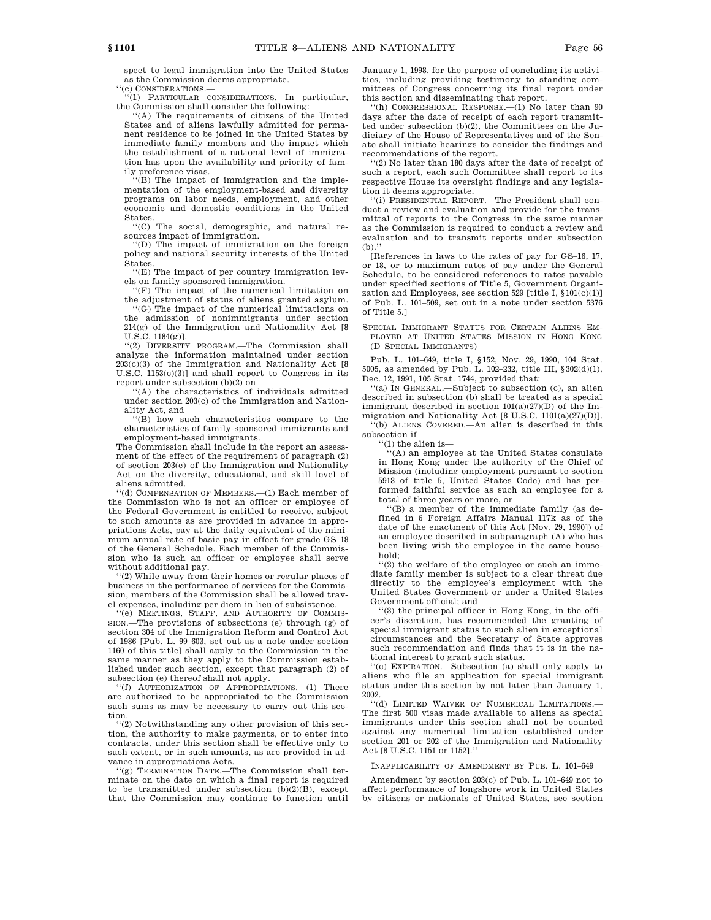spect to legal immigration into the United States as the Commission deems appropriate. ''(c) CONSIDERATIONS.—

''(1) PARTICULAR CONSIDERATIONS.—In particular, the Commission shall consider the following:

''(A) The requirements of citizens of the United States and of aliens lawfully admitted for permanent residence to be joined in the United States by immediate family members and the impact which the establishment of a national level of immigration has upon the availability and priority of family preference visas.

''(B) The impact of immigration and the implementation of the employment-based and diversity programs on labor needs, employment, and other economic and domestic conditions in the United States.

''(C) The social, demographic, and natural resources impact of immigration.

''(D) The impact of immigration on the foreign policy and national security interests of the United States.

''(E) The impact of per country immigration levels on family-sponsored immigration.

''(F) The impact of the numerical limitation on the adjustment of status of aliens granted asylum.

''(G) The impact of the numerical limitations on the admission of nonimmigrants under section 214(g) of the Immigration and Nationality Act [8 U.S.C. 1184(g)].

''(2) DIVERSITY PROGRAM.—The Commission shall analyze the information maintained under section 203(c)(3) of the Immigration and Nationality Act [8 U.S.C. 1153(c)(3)] and shall report to Congress in its report under subsection (b)(2) on—

''(A) the characteristics of individuals admitted under section 203(c) of the Immigration and Nationality Act, and

''(B) how such characteristics compare to the characteristics of family-sponsored immigrants and employment-based immigrants.

The Commission shall include in the report an assessment of the effect of the requirement of paragraph (2) of section 203(c) of the Immigration and Nationality Act on the diversity, educational, and skill level of aliens admitted.

''(d) COMPENSATION OF MEMBERS.—(1) Each member of the Commission who is not an officer or employee of the Federal Government is entitled to receive, subject to such amounts as are provided in advance in appropriations Acts, pay at the daily equivalent of the minimum annual rate of basic pay in effect for grade GS–18 of the General Schedule. Each member of the Commission who is such an officer or employee shall serve without additional pay.

'(2) While away from their homes or regular places of business in the performance of services for the Commission, members of the Commission shall be allowed travel expenses, including per diem in lieu of subsistence.

'(e) MEETINGS, STAFF, AND AUTHORITY OF COMMIS-SION.—The provisions of subsections (e) through (g) of section 304 of the Immigration Reform and Control Act of 1986 [Pub. L. 99–603, set out as a note under section 1160 of this title] shall apply to the Commission in the same manner as they apply to the Commission established under such section, except that paragraph (2) of subsection (e) thereof shall not apply.

''(f) AUTHORIZATION OF APPROPRIATIONS.—(1) There are authorized to be appropriated to the Commission such sums as may be necessary to carry out this section.

''(2) Notwithstanding any other provision of this section, the authority to make payments, or to enter into contracts, under this section shall be effective only to such extent, or in such amounts, as are provided in advance in appropriations Acts.

''(g) TERMINATION DATE.—The Commission shall terminate on the date on which a final report is required to be transmitted under subsection (b)(2)(B), except that the Commission may continue to function until January 1, 1998, for the purpose of concluding its activities, including providing testimony to standing committees of Congress concerning its final report under this section and disseminating that report.

''(h) CONGRESSIONAL RESPONSE.—(1) No later than 90 days after the date of receipt of each report transmitted under subsection (b)(2), the Committees on the Judiciary of the House of Representatives and of the Senate shall initiate hearings to consider the findings and recommendations of the report.

''(2) No later than 180 days after the date of receipt of such a report, each such Committee shall report to its respective House its oversight findings and any legislation it deems appropriate.

''(i) PRESIDENTIAL REPORT.—The President shall conduct a review and evaluation and provide for the transmittal of reports to the Congress in the same manner as the Commission is required to conduct a review and evaluation and to transmit reports under subsection  $(b)$ .

[References in laws to the rates of pay for GS–16, 17, or 18, or to maximum rates of pay under the General Schedule, to be considered references to rates payable under specified sections of Title 5, Government Organization and Employees, see section 529 [title I, §101(c)(1)] of Pub. L. 101–509, set out in a note under section 5376 of Title 5.]

SPECIAL IMMIGRANT STATUS FOR CERTAIN ALIENS EM-PLOYED AT UNITED STATES MISSION IN HONG KONG (D SPECIAL IMMIGRANTS)

Pub. L. 101–649, title I, §152, Nov. 29, 1990, 104 Stat. 5005, as amended by Pub. L. 102–232, title III, §302(d)(1), Dec. 12, 1991, 105 Stat. 1744, provided that:

''(a) IN GENERAL.—Subject to subsection (c), an alien described in subsection (b) shall be treated as a special immigrant described in section 101(a)(27)(D) of the Immigration and Nationality Act [8 U.S.C. 1101(a)(27)(D)]. ''(b) ALIENS COVERED.—An alien is described in this

subsection if— ''(1) the alien is—

''(A) an employee at the United States consulate in Hong Kong under the authority of the Chief of Mission (including employment pursuant to section 5913 of title 5, United States Code) and has performed faithful service as such an employee for a total of three years or more, or

''(B) a member of the immediate family (as defined in 6 Foreign Affairs Manual 117k as of the date of the enactment of this Act [Nov. 29, 1990]) of an employee described in subparagraph (A) who has been living with the employee in the same household;

 $(2)$  the welfare of the employee or such an immediate family member is subject to a clear threat due directly to the employee's employment with the United States Government or under a United States Government official; and

''(3) the principal officer in Hong Kong, in the officer's discretion, has recommended the granting of special immigrant status to such alien in exceptional circumstances and the Secretary of State approves such recommendation and finds that it is in the national interest to grant such status.

''(c) EXPIRATION.—Subsection (a) shall only apply to aliens who file an application for special immigrant status under this section by not later than January 1, 2002.

''(d) LIMITED WAIVER OF NUMERICAL LIMITATIONS.— The first 500 visas made available to aliens as special immigrants under this section shall not be counted against any numerical limitation established under section 201 or 202 of the Immigration and Nationality Act [8 U.S.C. 1151 or 1152].''

### NAPPLICABILITY OF AMENDMENT BY PUB. L. 101-649

Amendment by section 203(c) of Pub. L. 101–649 not to affect performance of longshore work in United States by citizens or nationals of United States, see section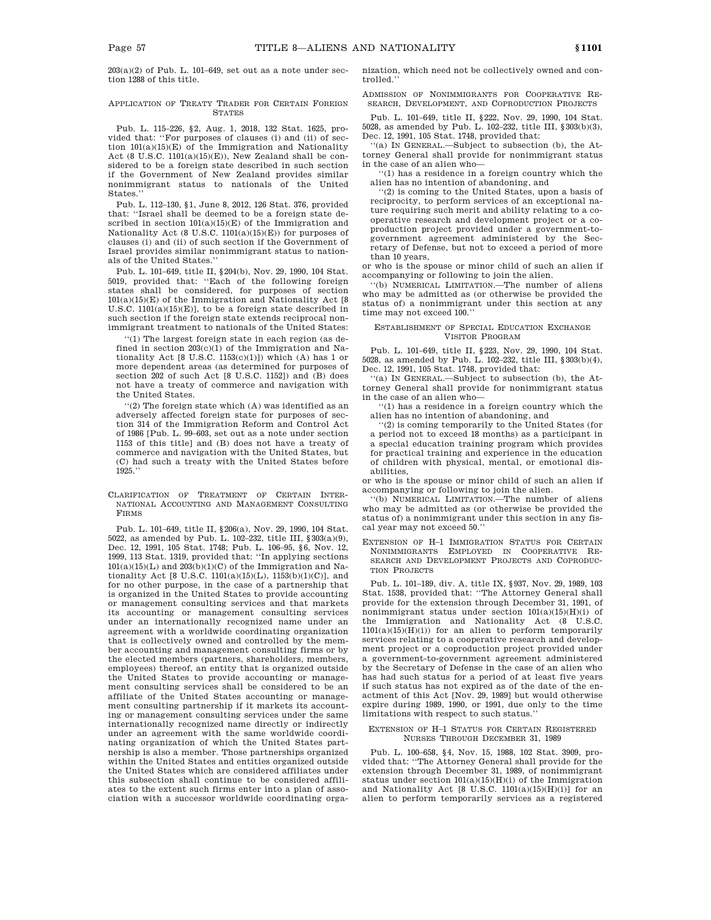203(a)(2) of Pub. L. 101–649, set out as a note under section 1288 of this title.

#### APPLICATION OF TREATY TRADER FOR CERTAIN FOREIGN **STATES**

Pub. L. 115–226, §2, Aug. 1, 2018, 132 Stat. 1625, provided that: ''For purposes of clauses (i) and (ii) of section 101(a)(15)(E) of the Immigration and Nationality Act (8 U.S.C.  $1101(a)(15)(E)$ ), New Zealand shall be considered to be a foreign state described in such section if the Government of New Zealand provides similar nonimmigrant status to nationals of the United States.''

Pub. L. 112–130, §1, June 8, 2012, 126 Stat. 376, provided that: ''Israel shall be deemed to be a foreign state described in section 101(a)(15)(E) of the Immigration and Nationality Act (8 U.S.C.  $1101(a)(15)(E)$ ) for purposes of clauses (i) and (ii) of such section if the Government of Israel provides similar nonimmigrant status to nationals of the United States.''

Pub. L. 101–649, title II, §204(b), Nov. 29, 1990, 104 Stat. 5019, provided that: ''Each of the following foreign states shall be considered, for purposes of section  $101(a)(15)(E)$  of the Immigration and Nationality Act [8] U.S.C.  $1101(a)(15)(E)$ ], to be a foreign state described in such section if the foreign state extends reciprocal nonimmigrant treatment to nationals of the United States:

''(1) The largest foreign state in each region (as defined in section 203(c)(1) of the Immigration and Nationality Act [8 U.S.C. 1153 $(c)(1)$ ]) which  $(A)$  has 1 or more dependent areas (as determined for purposes of section 202 of such Act [8 U.S.C. 1152]) and (B) does not have a treaty of commerce and navigation with the United States.

''(2) The foreign state which (A) was identified as an adversely affected foreign state for purposes of section 314 of the Immigration Reform and Control Act of 1986 [Pub. L. 99–603, set out as a note under section 1153 of this title] and (B) does not have a treaty of commerce and navigation with the United States, but (C) had such a treaty with the United States before 1925.''

### CLARIFICATION OF TREATMENT OF CERTAIN INTER-NATIONAL ACCOUNTING AND MANAGEMENT CONSULTING FIRMS

Pub. L. 101–649, title II, §206(a), Nov. 29, 1990, 104 Stat. 5022, as amended by Pub. L. 102–232, title III, §303(a)(9), Dec. 12, 1991, 105 Stat. 1748; Pub. L. 106–95, §6, Nov. 12, 1999, 113 Stat. 1319, provided that: ''In applying sections  $101(a)(15)(L)$  and  $203(b)(1)(C)$  of the Immigration and Nationality Act [8 U.S.C. 1101(a)(15)(L), 1153(b)(1)(C)], and for no other purpose, in the case of a partnership that is organized in the United States to provide accounting or management consulting services and that markets its accounting or management consulting services under an internationally recognized name under an agreement with a worldwide coordinating organization that is collectively owned and controlled by the member accounting and management consulting firms or by the elected members (partners, shareholders, members, employees) thereof, an entity that is organized outside the United States to provide accounting or management consulting services shall be considered to be an affiliate of the United States accounting or management consulting partnership if it markets its accounting or management consulting services under the same internationally recognized name directly or indirectly under an agreement with the same worldwide coordinating organization of which the United States partnership is also a member. Those partnerships organized within the United States and entities organized outside the United States which are considered affiliates under this subsection shall continue to be considered affiliates to the extent such firms enter into a plan of association with a successor worldwide coordinating organization, which need not be collectively owned and controlled.''

ADMISSION OF NONIMMIGRANTS FOR COOPERATIVE RE-SEARCH, DEVELOPMENT, AND COPRODUCTION PROJECTS

Pub. L. 101–649, title II, §222, Nov. 29, 1990, 104 Stat. 5028, as amended by Pub. L. 102–232, title III, §303(b)(3), Dec. 12, 1991, 105 Stat. 1748, provided that:

''(a) IN GENERAL.—Subject to subsection (b), the Attorney General shall provide for nonimmigrant status in the case of an alien who—

''(1) has a residence in a foreign country which the alien has no intention of abandoning, and

''(2) is coming to the United States, upon a basis of reciprocity, to perform services of an exceptional nature requiring such merit and ability relating to a cooperative research and development project or a coproduction project provided under a government-togovernment agreement administered by the Secretary of Defense, but not to exceed a period of more than 10 years,

or who is the spouse or minor child of such an alien if accompanying or following to join the alien.

''(b) NUMERICAL LIMITATION.—The number of aliens who may be admitted as (or otherwise be provided the status of) a nonimmigrant under this section at any time may not exceed 100.''

### ESTABLISHMENT OF SPECIAL EDUCATION EXCHANGE VISITOR PROGRAM

Pub. L. 101–649, title II, §223, Nov. 29, 1990, 104 Stat. 5028, as amended by Pub. L. 102–232, title III, §303(b)(4), Dec. 12, 1991, 105 Stat. 1748, provided that:

''(a) IN GENERAL.—Subject to subsection (b), the Attorney General shall provide for nonimmigrant status in the case of an alien who—

''(1) has a residence in a foreign country which the alien has no intention of abandoning, and

''(2) is coming temporarily to the United States (for a period not to exceed 18 months) as a participant in a special education training program which provides for practical training and experience in the education of children with physical, mental, or emotional disabilities,

or who is the spouse or minor child of such an alien if accompanying or following to join the alien.

''(b) NUMERICAL LIMITATION.—The number of aliens who may be admitted as (or otherwise be provided the status of) a nonimmigrant under this section in any fiscal year may not exceed 50.''

EXTENSION OF H–1 IMMIGRATION STATUS FOR CERTAIN NONIMMIGRANTS EMPLOYED IN COOPERATIVE RE-SEARCH AND DEVELOPMENT PROJECTS AND COPRODUC-TION PROJECTS

Pub. L. 101–189, div. A, title IX, §937, Nov. 29, 1989, 103 Stat. 1538, provided that: ''The Attorney General shall provide for the extension through December 31, 1991, of nonimmigrant status under section 101(a)(15)(H)(i) of the Immigration and Nationality Act (8 U.S.C.  $1101(a)(15)(H)(i)$  for an alien to perform temporarily services relating to a cooperative research and development project or a coproduction project provided under a government-to-government agreement administered by the Secretary of Defense in the case of an alien who has had such status for a period of at least five years if such status has not expired as of the date of the enactment of this Act [Nov. 29, 1989] but would otherwise expire during 1989, 1990, or 1991, due only to the time limitations with respect to such status.''

### EXTENSION OF H–1 STATUS FOR CERTAIN REGISTERED NURSES THROUGH DECEMBER 31, 1989

Pub. L. 100–658, §4, Nov. 15, 1988, 102 Stat. 3909, provided that: ''The Attorney General shall provide for the extension through December 31, 1989, of nonimmigrant status under section  $101(a)(15)(H)(i)$  of the Immigration and Nationality Act [8 U.S.C. 1101(a)(15)(H)(i)] for an alien to perform temporarily services as a registered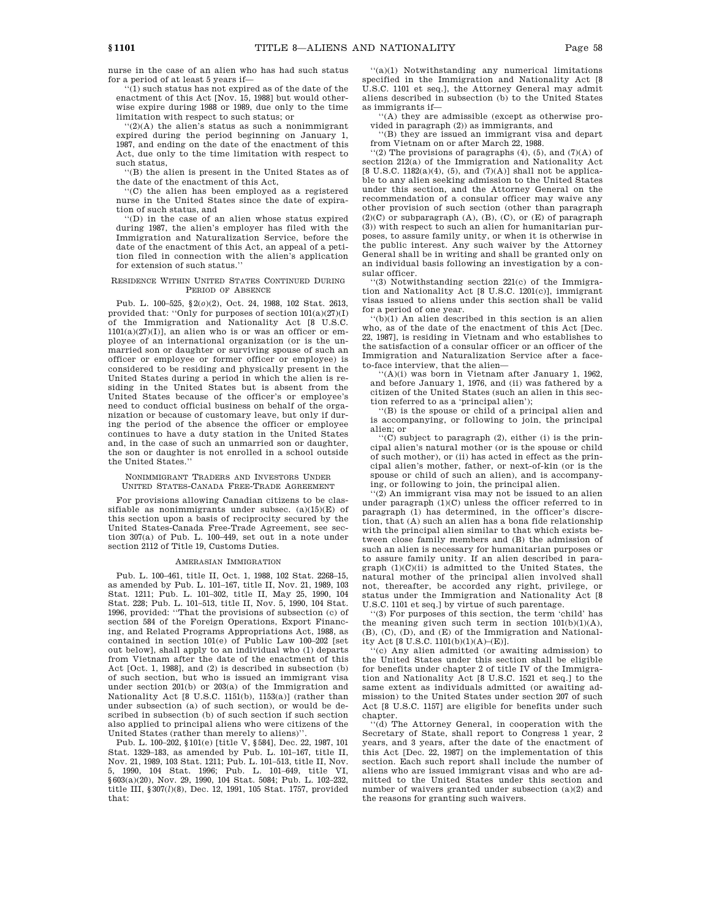''(1) such status has not expired as of the date of the enactment of this Act [Nov. 15, 1988] but would otherwise expire during 1988 or 1989, due only to the time limitation with respect to such status; or

 $((2)(A)$  the alien's status as such a nonimmigrant expired during the period beginning on January 1, 1987, and ending on the date of the enactment of this Act, due only to the time limitation with respect to such status,

''(B) the alien is present in the United States as of the date of the enactment of this Act,

''(C) the alien has been employed as a registered nurse in the United States since the date of expiration of such status, and

''(D) in the case of an alien whose status expired during 1987, the alien's employer has filed with the Immigration and Naturalization Service, before the date of the enactment of this Act, an appeal of a petition filed in connection with the alien's application for extension of such status.''

### RESIDENCE WITHIN UNITED STATES CONTINUED DURING PERIOD OF ABSENCE

Pub. L. 100–525, §2(*o*)(2), Oct. 24, 1988, 102 Stat. 2613, provided that: ''Only for purposes of section 101(a)(27)(I) of the Immigration and Nationality Act [8 U.S.C.  $1101(a)(27)(I)$ ], an alien who is or was an officer or employee of an international organization (or is the unmarried son or daughter or surviving spouse of such an officer or employee or former officer or employee) is considered to be residing and physically present in the United States during a period in which the alien is residing in the United States but is absent from the United States because of the officer's or employee's need to conduct official business on behalf of the organization or because of customary leave, but only if during the period of the absence the officer or employee continues to have a duty station in the United States and, in the case of such an unmarried son or daughter, the son or daughter is not enrolled in a school outside the United States.''

#### NONIMMIGRANT TRADERS AND INVESTORS UNDER UNITED STATES-CANADA FREE-TRADE AGREEMENT

For provisions allowing Canadian citizens to be classifiable as nonimmigrants under subsec.  $(a)(15)(E)$  of this section upon a basis of reciprocity secured by the United States-Canada Free-Trade Agreement, see section 307(a) of Pub. L. 100–449, set out in a note under section 2112 of Title 19, Customs Duties.

### AMERASIAN IMMIGRATION

Pub. L. 100–461, title II, Oct. 1, 1988, 102 Stat. 2268–15, as amended by Pub. L. 101–167, title II, Nov. 21, 1989, 103 Stat. 1211; Pub. L. 101–302, title II, May 25, 1990, 104 Stat. 228; Pub. L. 101–513, title II, Nov. 5, 1990, 104 Stat. 1996, provided: ''That the provisions of subsection (c) of section 584 of the Foreign Operations, Export Financing, and Related Programs Appropriations Act, 1988, as contained in section 101(e) of Public Law 100–202 [set out below], shall apply to an individual who (1) departs from Vietnam after the date of the enactment of this Act [Oct. 1, 1988], and (2) is described in subsection (b) of such section, but who is issued an immigrant visa under section 201(b) or 203(a) of the Immigration and Nationality Act [8 U.S.C. 1151(b), 1153(a)] (rather than under subsection (a) of such section), or would be described in subsection (b) of such section if such section also applied to principal aliens who were citizens of the United States (rather than merely to aliens)''.

Pub. L. 100–202, §101(e) [title V, §584], Dec. 22, 1987, 101 Stat. 1329–183, as amended by Pub. L. 101–167, title II, Nov. 21, 1989, 103 Stat. 1211; Pub. L. 101–513, title II, Nov. 5, 1990, 104 Stat. 1996; Pub. L. 101–649, title VI, §603(a)(20), Nov. 29, 1990, 104 Stat. 5084; Pub. L. 102–232, title III, §307(*l*)(8), Dec. 12, 1991, 105 Stat. 1757, provided that:

''(a)(1) Notwithstanding any numerical limitations specified in the Immigration and Nationality Act [8 U.S.C. 1101 et seq.], the Attorney General may admit aliens described in subsection (b) to the United States as immigrants if—

'(A) they are admissible (except as otherwise provided in paragraph (2)) as immigrants, and

''(B) they are issued an immigrant visa and depart from Vietnam on or after March 22, 1988.

"(2) The provisions of paragraphs  $(4)$ ,  $(5)$ , and  $(7)(A)$  of section 212(a) of the Immigration and Nationality Act  $[8 \text{ U.S.C. } 1182(a)(4), (5), \text{ and } (7)(A)]$  shall not be applicable to any alien seeking admission to the United States under this section, and the Attorney General on the recommendation of a consular officer may waive any other provision of such section (other than paragraph  $(2)(C)$  or subparagraph  $(A)$ ,  $(B)$ ,  $(C)$ , or  $(E)$  of paragraph (3)) with respect to such an alien for humanitarian purposes, to assure family unity, or when it is otherwise in the public interest. Any such waiver by the Attorney General shall be in writing and shall be granted only on an individual basis following an investigation by a consular officer.

''(3) Notwithstanding section 221(c) of the Immigration and Nationality Act [8 U.S.C. 1201(c)], immigrant visas issued to aliens under this section shall be valid for a period of one year.

 $'(b)(1)$  An alien described in this section is an alien who, as of the date of the enactment of this Act [Dec. 22, 1987], is residing in Vietnam and who establishes to the satisfaction of a consular officer or an officer of the Immigration and Naturalization Service after a faceto-face interview, that the alien—

''(A)(i) was born in Vietnam after January 1, 1962, and before January 1, 1976, and (ii) was fathered by a citizen of the United States (such an alien in this section referred to as a 'principal alien');

'(B) is the spouse or child of a principal alien and is accompanying, or following to join, the principal alien; or

''(C) subject to paragraph (2), either (i) is the principal alien's natural mother (or is the spouse or child of such mother), or (ii) has acted in effect as the principal alien's mother, father, or next-of-kin (or is the spouse or child of such an alien), and is accompanying, or following to join, the principal alien.

''(2) An immigrant visa may not be issued to an alien under paragraph (1)(C) unless the officer referred to in paragraph (1) has determined, in the officer's discretion, that (A) such an alien has a bona fide relationship with the principal alien similar to that which exists between close family members and (B) the admission of such an alien is necessary for humanitarian purposes or to assure family unity. If an alien described in para $graph (1)(C)(ii)$  is admitted to the United States, the natural mother of the principal alien involved shall not, thereafter, be accorded any right, privilege, or status under the Immigration and Nationality Act [8 U.S.C. 1101 et seq.] by virtue of such parentage.

'(3) For purposes of this section, the term 'child' has the meaning given such term in section  $101(b)(1)(A)$ , (B), (C), (D), and (E) of the Immigration and Nationality Act [8 U.S.C. 1101(b)(1)(A)–(E)].

''(c) Any alien admitted (or awaiting admission) to the United States under this section shall be eligible for benefits under chapter 2 of title IV of the Immigration and Nationality Act [8 U.S.C. 1521 et seq.] to the same extent as individuals admitted (or awaiting admission) to the United States under section 207 of such Act [8 U.S.C. 1157] are eligible for benefits under such chapter.

''(d) The Attorney General, in cooperation with the Secretary of State, shall report to Congress 1 year, 2 years, and 3 years, after the date of the enactment of this Act [Dec. 22, 1987] on the implementation of this section. Each such report shall include the number of aliens who are issued immigrant visas and who are admitted to the United States under this section and number of waivers granted under subsection (a)(2) and the reasons for granting such waivers.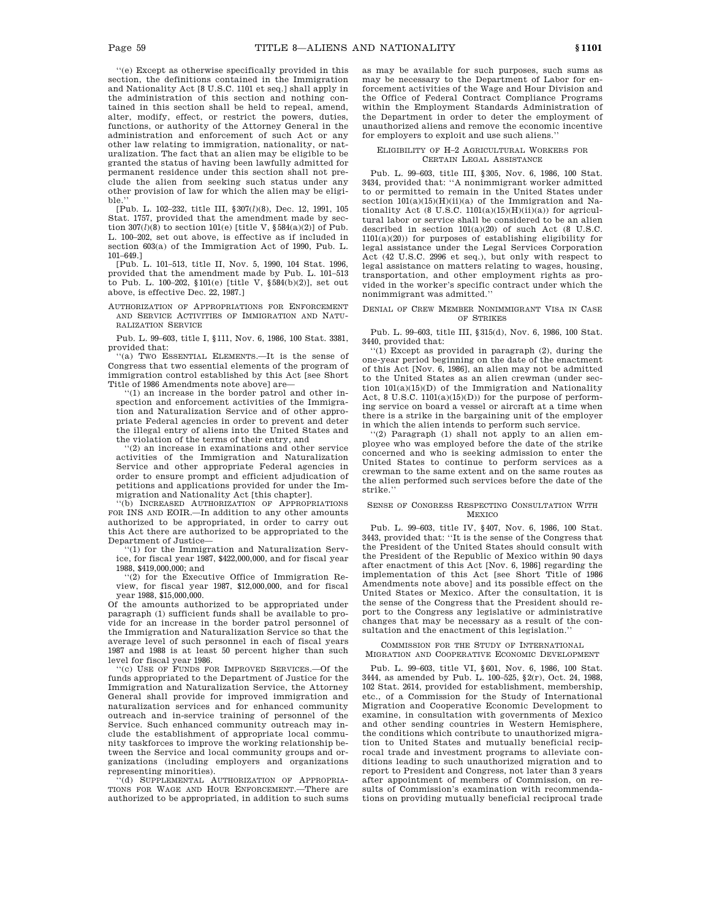''(e) Except as otherwise specifically provided in this section, the definitions contained in the Immigration and Nationality Act [8 U.S.C. 1101 et seq.] shall apply in the administration of this section and nothing contained in this section shall be held to repeal, amend, alter, modify, effect, or restrict the powers, duties, functions, or authority of the Attorney General in the administration and enforcement of such Act or any other law relating to immigration, nationality, or naturalization. The fact that an alien may be eligible to be granted the status of having been lawfully admitted for permanent residence under this section shall not preclude the alien from seeking such status under any other provision of law for which the alien may be eligible.''

[Pub. L. 102–232, title III, §307(*l*)(8), Dec. 12, 1991, 105 Stat. 1757, provided that the amendment made by section 307( $l$ )(8) to section 101(e) [title V, §584(a)(2)] of Pub. L. 100–202, set out above, is effective as if included in section 603(a) of the Immigration Act of 1990, Pub. L. 101–649.]

[Pub. L. 101–513, title II, Nov. 5, 1990, 104 Stat. 1996, provided that the amendment made by Pub. L. 101–513 to Pub. L. 100–202, §101(e) [title V, §584(b)(2)], set out above, is effective Dec. 22, 1987.]

AUTHORIZATION OF APPROPRIATIONS FOR ENFORCEMENT AND SERVICE ACTIVITIES OF IMMIGRATION AND NATU-RALIZATION SERVICE

Pub. L. 99–603, title I, §111, Nov. 6, 1986, 100 Stat. 3381, provided that:

'(a) TWO ESSENTIAL ELEMENTS.—It is the sense of Congress that two essential elements of the program of immigration control established by this Act [see Short Title of 1986 Amendments note above] are—

''(1) an increase in the border patrol and other inspection and enforcement activities of the Immigration and Naturalization Service and of other appropriate Federal agencies in order to prevent and deter the illegal entry of aliens into the United States and the violation of the terms of their entry, and

'(2) an increase in examinations and other service activities of the Immigration and Naturalization Service and other appropriate Federal agencies in order to ensure prompt and efficient adjudication of petitions and applications provided for under the Immigration and Nationality Act [this chapter].

''(b) INCREASED AUTHORIZATION OF APPROPRIATIONS FOR INS AND EOIR.—In addition to any other amounts authorized to be appropriated, in order to carry out this Act there are authorized to be appropriated to the Department of Justice—

''(1) for the Immigration and Naturalization Service, for fiscal year 1987, \$422,000,000, and for fiscal year 1988, \$419,000,000; and

''(2) for the Executive Office of Immigration Review, for fiscal year 1987, \$12,000,000, and for fiscal year 1988, \$15,000,000.

Of the amounts authorized to be appropriated under paragraph (1) sufficient funds shall be available to provide for an increase in the border patrol personnel of the Immigration and Naturalization Service so that the average level of such personnel in each of fiscal years 1987 and 1988 is at least 50 percent higher than such level for fiscal year 1986.

'(c) USE OF FUNDS FOR IMPROVED SERVICES.-- Of the funds appropriated to the Department of Justice for the Immigration and Naturalization Service, the Attorney General shall provide for improved immigration and naturalization services and for enhanced community outreach and in-service training of personnel of the Service. Such enhanced community outreach may include the establishment of appropriate local community taskforces to improve the working relationship between the Service and local community groups and organizations (including employers and organizations representing minorities).

''(d) SUPPLEMENTAL AUTHORIZATION OF APPROPRIA-TIONS FOR WAGE AND HOUR ENFORCEMENT.—There are authorized to be appropriated, in addition to such sums as may be available for such purposes, such sums as may be necessary to the Department of Labor for enforcement activities of the Wage and Hour Division and the Office of Federal Contract Compliance Programs within the Employment Standards Administration of the Department in order to deter the employment of unauthorized aliens and remove the economic incentive for employers to exploit and use such aliens.''

### ELIGIBILITY OF H–2 AGRICULTURAL WORKERS FOR CERTAIN LEGAL ASSISTANCE

Pub. L. 99–603, title III, §305, Nov. 6, 1986, 100 Stat. 3434, provided that: ''A nonimmigrant worker admitted to or permitted to remain in the United States under section  $101(a)(15)(H)(ii)(a)$  of the Immigration and Nationality Act (8 U.S.C.  $1101(a)(15)(H)(ii)(a)$ ) for agricultural labor or service shall be considered to be an alien described in section 101(a)(20) of such Act (8 U.S.C. 1101(a)(20)) for purposes of establishing eligibility for legal assistance under the Legal Services Corporation Act (42 U.S.C. 2996 et seq.), but only with respect to legal assistance on matters relating to wages, housing, transportation, and other employment rights as provided in the worker's specific contract under which the nonimmigrant was admitted.''

### DENIAL OF CREW MEMBER NONIMMIGRANT VISA IN CASE OF STRIKES

Pub. L. 99–603, title III, §315(d), Nov. 6, 1986, 100 Stat. 3440, provided that:

''(1) Except as provided in paragraph (2), during the one-year period beginning on the date of the enactment of this Act [Nov. 6, 1986], an alien may not be admitted to the United States as an alien crewman (under section 101(a)(15)(D) of the Immigration and Nationality Act, 8 U.S.C. 1101(a)(15)(D)) for the purpose of performing service on board a vessel or aircraft at a time when there is a strike in the bargaining unit of the employer in which the alien intends to perform such service.

''(2) Paragraph (1) shall not apply to an alien employee who was employed before the date of the strike concerned and who is seeking admission to enter the United States to continue to perform services as a crewman to the same extent and on the same routes as the alien performed such services before the date of the strike.''

#### SENSE OF CONGRESS RESPECTING CONSULTATION WITH MEXICO

Pub. L. 99–603, title IV, §407, Nov. 6, 1986, 100 Stat. 3443, provided that: ''It is the sense of the Congress that the President of the United States should consult with the President of the Republic of Mexico within 90 days after enactment of this Act [Nov. 6, 1986] regarding the implementation of this Act [see Short Title of 1986 Amendments note above] and its possible effect on the United States or Mexico. After the consultation, it is the sense of the Congress that the President should report to the Congress any legislative or administrative changes that may be necessary as a result of the consultation and the enactment of this legislation.''

COMMISSION FOR THE STUDY OF INTERNATIONAL MIGRATION AND COOPERATIVE ECONOMIC DEVELOPMENT

Pub. L. 99–603, title VI, §601, Nov. 6, 1986, 100 Stat. 3444, as amended by Pub. L. 100–525, §2(r), Oct. 24, 1988, 102 Stat. 2614, provided for establishment, membership, etc., of a Commission for the Study of International Migration and Cooperative Economic Development to examine, in consultation with governments of Mexico and other sending countries in Western Hemisphere, the conditions which contribute to unauthorized migration to United States and mutually beneficial reciprocal trade and investment programs to alleviate conditions leading to such unauthorized migration and to report to President and Congress, not later than 3 years after appointment of members of Commission, on results of Commission's examination with recommendations on providing mutually beneficial reciprocal trade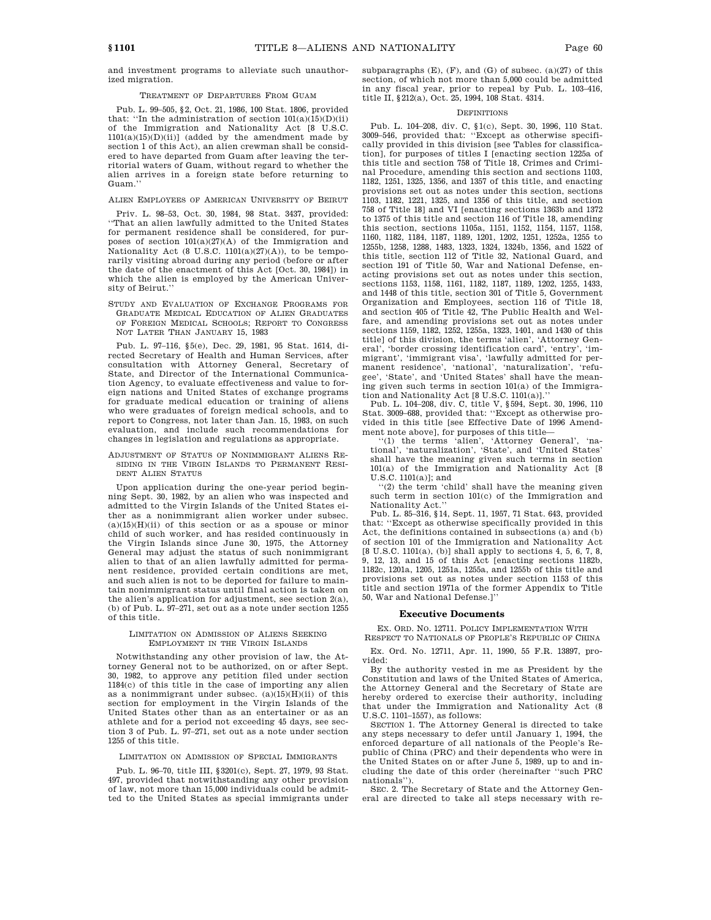and investment programs to alleviate such unauthorized migration.

### TREATMENT OF DEPARTURES FROM GUAM

Pub. L. 99–505, §2, Oct. 21, 1986, 100 Stat. 1806, provided that: "In the administration of section  $101(a)(15)(D)(ii)$ of the Immigration and Nationality Act [8 U.S.C.  $1101(a)(15)(D)(ii)$ ] (added by the amendment made by section 1 of this Act), an alien crewman shall be considered to have departed from Guam after leaving the territorial waters of Guam, without regard to whether the alien arrives in a foreign state before returning to Guam.

ALIEN EMPLOYEES OF AMERICAN UNIVERSITY OF BEIRUT

Priv. L. 98–53, Oct. 30, 1984, 98 Stat. 3437, provided: ''That an alien lawfully admitted to the United States for permanent residence shall be considered, for purposes of section 101(a)(27)(A) of the Immigration and Nationality Act (8 U.S.C.  $1101(a)(27)(A)$ ), to be temporarily visiting abroad during any period (before or after the date of the enactment of this Act [Oct. 30, 1984]) in which the alien is employed by the American University of Beirut.''

STUDY AND EVALUATION OF EXCHANGE PROGRAMS FOR GRADUATE MEDICAL EDUCATION OF ALIEN GRADUATES OF FOREIGN MEDICAL SCHOOLS; REPORT TO CONGRESS NOT LATER THAN JANUARY 15, 1983

Pub. L. 97–116, §5(e), Dec. 29, 1981, 95 Stat. 1614, directed Secretary of Health and Human Services, after consultation with Attorney General, Secretary of State, and Director of the International Communication Agency, to evaluate effectiveness and value to foreign nations and United States of exchange programs for graduate medical education or training of aliens who were graduates of foreign medical schools, and to report to Congress, not later than Jan. 15, 1983, on such evaluation, and include such recommendations for changes in legislation and regulations as appropriate.

ADJUSTMENT OF STATUS OF NONIMMIGRANT ALIENS RE-SIDING IN THE VIRGIN ISLANDS TO PERMANENT RESI-DENT ALIEN STATUS

Upon application during the one-year period beginning Sept. 30, 1982, by an alien who was inspected and admitted to the Virgin Islands of the United States either as a nonimmigrant alien worker under subsec.  $(a)(15)(H)(ii)$  of this section or as a spouse or minor child of such worker, and has resided continuously in the Virgin Islands since June 30, 1975, the Attorney General may adjust the status of such nonimmigrant alien to that of an alien lawfully admitted for permanent residence, provided certain conditions are met, and such alien is not to be deported for failure to maintain nonimmigrant status until final action is taken on the alien's application for adjustment, see section 2(a), (b) of Pub. L. 97–271, set out as a note under section 1255 of this title.

### LIMITATION ON ADMISSION OF ALIENS SEEKING EMPLOYMENT IN THE VIRGIN ISLANDS

Notwithstanding any other provision of law, the Attorney General not to be authorized, on or after Sept. 30, 1982, to approve any petition filed under section 1184(c) of this title in the case of importing any alien as a nonimmigrant under subsec.  $(a)(15)(H)(ii)$  of this section for employment in the Virgin Islands of the United States other than as an entertainer or as an athlete and for a period not exceeding 45 days, see section 3 of Pub. L. 97–271, set out as a note under section 1255 of this title.

LIMITATION ON ADMISSION OF SPECIAL IMMIGRANTS

Pub. L. 96–70, title III, §3201(c), Sept. 27, 1979, 93 Stat. 497, provided that notwithstanding any other provision of law, not more than 15,000 individuals could be admitted to the United States as special immigrants under subparagraphs  $(E)$ ,  $(F)$ , and  $(G)$  of subsec.  $(a)(27)$  of this section, of which not more than 5,000 could be admitted in any fiscal year, prior to repeal by Pub. L. 103–416, title II, §212(a), Oct. 25, 1994, 108 Stat. 4314.

### **DEFINITIONS**

Pub. L. 104–208, div. C, §1(c), Sept. 30, 1996, 110 Stat. 3009–546, provided that: ''Except as otherwise specifically provided in this division [see Tables for classification], for purposes of titles I [enacting section 1225a of this title and section 758 of Title 18, Crimes and Criminal Procedure, amending this section and sections 1103, 1182, 1251, 1325, 1356, and 1357 of this title, and enacting provisions set out as notes under this section, sections 1103, 1182, 1221, 1325, and 1356 of this title, and section 758 of Title 18] and VI [enacting sections 1363b and 1372 to 1375 of this title and section 116 of Title 18, amending this section, sections 1105a, 1151, 1152, 1154, 1157, 1158, 1160, 1182, 1184, 1187, 1189, 1201, 1202, 1251, 1252a, 1255 to 1255b, 1258, 1288, 1483, 1323, 1324, 1324b, 1356, and 1522 of this title, section 112 of Title 32, National Guard, and section 191 of Title 50, War and National Defense, enacting provisions set out as notes under this section, sections 1153, 1158, 1161, 1182, 1187, 1189, 1202, 1255, 1433, and 1448 of this title, section 301 of Title 5, Government Organization and Employees, section 116 of Title 18, and section 405 of Title 42, The Public Health and Welfare, and amending provisions set out as notes under sections 1159, 1182, 1252, 1255a, 1323, 1401, and 1430 of this title] of this division, the terms 'alien', 'Attorney General', 'border crossing identification card', 'entry', 'immigrant', 'immigrant visa', 'lawfully admitted for permanent residence', 'national', 'naturalization', 'refugee', 'State', and 'United States' shall have the meaning given such terms in section 101(a) of the Immigration and Nationality Act [8 U.S.C. 1101(a)].''

Pub. L. 104–208, div. C, title V, §594, Sept. 30, 1996, 110 Stat. 3009–688, provided that: ''Except as otherwise provided in this title [see Effective Date of 1996 Amendment note above], for purposes of this title—

''(1) the terms 'alien', 'Attorney General', 'national', 'naturalization', 'State', and 'United States' shall have the meaning given such terms in section 101(a) of the Immigration and Nationality Act [8 U.S.C. 1101(a)]; and

''(2) the term 'child' shall have the meaning given such term in section 101(c) of the Immigration and Nationality Act.''

Pub. L. 85–316, §14, Sept. 11, 1957, 71 Stat. 643, provided that: ''Except as otherwise specifically provided in this Act, the definitions contained in subsections (a) and (b) of section 101 of the Immigration and Nationality Act [8 U.S.C. 1101(a), (b)] shall apply to sections 4, 5, 6, 7, 8, 9, 12, 13, and 15 of this Act [enacting sections 1182b, 1182c, 1201a, 1205, 1251a, 1255a, and 1255b of this title and provisions set out as notes under section 1153 of this title and section 1971a of the former Appendix to Title 50, War and National Defense.]''

### **Executive Documents**

EX. ORD. NO. 12711. POLICY IMPLEMENTATION WITH RESPECT TO NATIONALS OF PEOPLE'S REPUBLIC OF CHINA

Ex. Ord. No. 12711, Apr. 11, 1990, 55 F.R. 13897, provided:

By the authority vested in me as President by the Constitution and laws of the United States of America, the Attorney General and the Secretary of State are hereby ordered to exercise their authority, including that under the Immigration and Nationality Act (8 U.S.C. 1101–1557), as follows:

SECTION 1. The Attorney General is directed to take any steps necessary to defer until January 1, 1994, the enforced departure of all nationals of the People's Republic of China (PRC) and their dependents who were in the United States on or after June 5, 1989, up to and including the date of this order (hereinafter ''such PRC nationals'').

SEC. 2. The Secretary of State and the Attorney General are directed to take all steps necessary with re-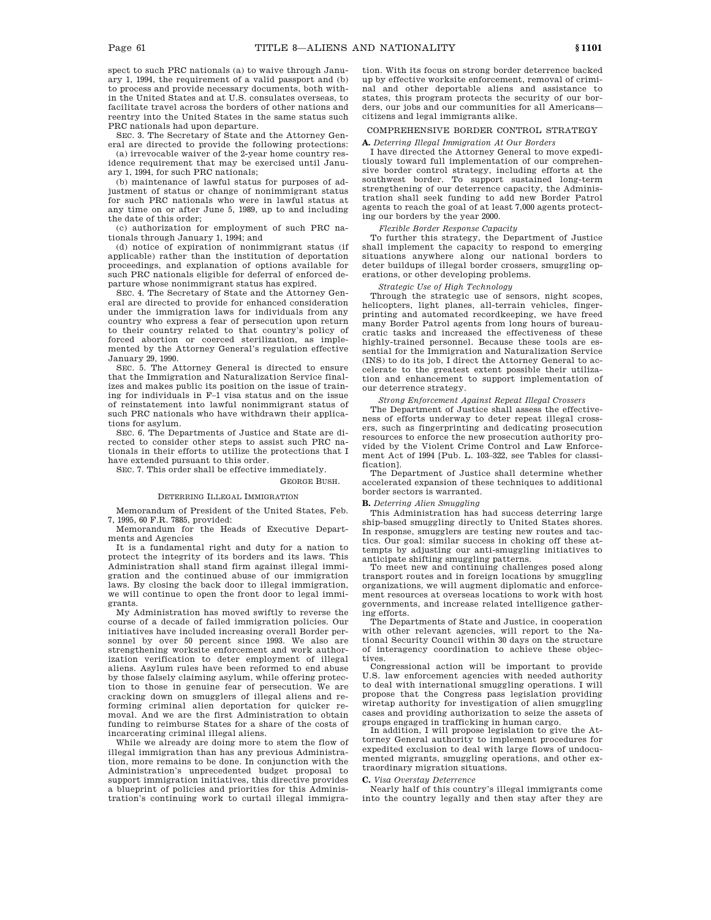spect to such PRC nationals (a) to waive through January 1, 1994, the requirement of a valid passport and (b) to process and provide necessary documents, both within the United States and at U.S. consulates overseas, to facilitate travel across the borders of other nations and reentry into the United States in the same status such PRC nationals had upon departure.

SEC. 3. The Secretary of State and the Attorney General are directed to provide the following protections:

(a) irrevocable waiver of the 2-year home country residence requirement that may be exercised until January 1, 1994, for such PRC nationals;

(b) maintenance of lawful status for purposes of adjustment of status or change of nonimmigrant status for such PRC nationals who were in lawful status at any time on or after June 5, 1989, up to and including the date of this order;

(c) authorization for employment of such PRC nationals through January 1, 1994; and

(d) notice of expiration of nonimmigrant status (if applicable) rather than the institution of deportation proceedings, and explanation of options available for such PRC nationals eligible for deferral of enforced departure whose nonimmigrant status has expired.

SEC. 4. The Secretary of State and the Attorney General are directed to provide for enhanced consideration under the immigration laws for individuals from any country who express a fear of persecution upon return to their country related to that country's policy of forced abortion or coerced sterilization, as implemented by the Attorney General's regulation effective January 29, 1990.

SEC. 5. The Attorney General is directed to ensure that the Immigration and Naturalization Service finalizes and makes public its position on the issue of training for individuals in F–1 visa status and on the issue of reinstatement into lawful nonimmigrant status of such PRC nationals who have withdrawn their applications for asylum.

SEC. 6. The Departments of Justice and State are directed to consider other steps to assist such PRC nationals in their efforts to utilize the protections that I have extended pursuant to this order.

SEC. 7. This order shall be effective immediately.

#### GEORGE BUSH.

### DETERRING ILLEGAL IMMIGRATION

Memorandum of President of the United States, Feb. 7, 1995, 60 F.R. 7885, provided:

Memorandum for the Heads of Executive Departments and Agencies

It is a fundamental right and duty for a nation to protect the integrity of its borders and its laws. This Administration shall stand firm against illegal immigration and the continued abuse of our immigration laws. By closing the back door to illegal immigration, we will continue to open the front door to legal immigrants.

My Administration has moved swiftly to reverse the course of a decade of failed immigration policies. Our initiatives have included increasing overall Border personnel by over 50 percent since 1993. We also are strengthening worksite enforcement and work authorization verification to deter employment of illegal aliens. Asylum rules have been reformed to end abuse by those falsely claiming asylum, while offering protection to those in genuine fear of persecution. We are cracking down on smugglers of illegal aliens and reforming criminal alien deportation for quicker removal. And we are the first Administration to obtain funding to reimburse States for a share of the costs of incarcerating criminal illegal aliens.

While we already are doing more to stem the flow of illegal immigration than has any previous Administration, more remains to be done. In conjunction with the Administration's unprecedented budget proposal to support immigration initiatives, this directive provides a blueprint of policies and priorities for this Administration's continuing work to curtail illegal immigration. With its focus on strong border deterrence backed up by effective worksite enforcement, removal of criminal and other deportable aliens and assistance to states, this program protects the security of our borders, our jobs and our communities for all Americans citizens and legal immigrants alike.

## COMPREHENSIVE BORDER CONTROL STRATEGY

### **A.** *Deterring Illegal Immigration At Our Borders*

I have directed the Attorney General to move expeditiously toward full implementation of our comprehensive border control strategy, including efforts at the southwest border. To support sustained long-term strengthening of our deterrence capacity, the Administration shall seek funding to add new Border Patrol agents to reach the goal of at least 7,000 agents protecting our borders by the year 2000.

### *Flexible Border Response Capacity*

To further this strategy, the Department of Justice shall implement the capacity to respond to emerging situations anywhere along our national borders to deter buildups of illegal border crossers, smuggling operations, or other developing problems.

### *Strategic Use of High Technology*

Through the strategic use of sensors, night scopes, helicopters, light planes, all-terrain vehicles, fingerprinting and automated recordkeeping, we have freed many Border Patrol agents from long hours of bureaucratic tasks and increased the effectiveness of these highly-trained personnel. Because these tools are essential for the Immigration and Naturalization Service (INS) to do its job, I direct the Attorney General to accelerate to the greatest extent possible their utilization and enhancement to support implementation of our deterrence strategy.

*Strong Enforcement Against Repeat Illegal Crossers*

The Department of Justice shall assess the effectiveness of efforts underway to deter repeat illegal crossers, such as fingerprinting and dedicating prosecution resources to enforce the new prosecution authority provided by the Violent Crime Control and Law Enforcement Act of 1994 [Pub. L. 103–322, see Tables for classification].

The Department of Justice shall determine whether accelerated expansion of these techniques to additional border sectors is warranted.

### **B.** *Deterring Alien Smuggling*

This Administration has had success deterring large ship-based smuggling directly to United States shores. In response, smugglers are testing new routes and tactics. Our goal: similar success in choking off these attempts by adjusting our anti-smuggling initiatives to anticipate shifting smuggling patterns.

To meet new and continuing challenges posed along transport routes and in foreign locations by smuggling organizations, we will augment diplomatic and enforcement resources at overseas locations to work with host governments, and increase related intelligence gathering efforts.

The Departments of State and Justice, in cooperation with other relevant agencies, will report to the National Security Council within 30 days on the structure of interagency coordination to achieve these objectives.

Congressional action will be important to provide U.S. law enforcement agencies with needed authority to deal with international smuggling operations. I will propose that the Congress pass legislation providing wiretap authority for investigation of alien smuggling cases and providing authorization to seize the assets of groups engaged in trafficking in human cargo.

In addition, I will propose legislation to give the Attorney General authority to implement procedures for expedited exclusion to deal with large flows of undocumented migrants, smuggling operations, and other extraordinary migration situations.

## **C.** *Visa Overstay Deterrence*

Nearly half of this country's illegal immigrants come into the country legally and then stay after they are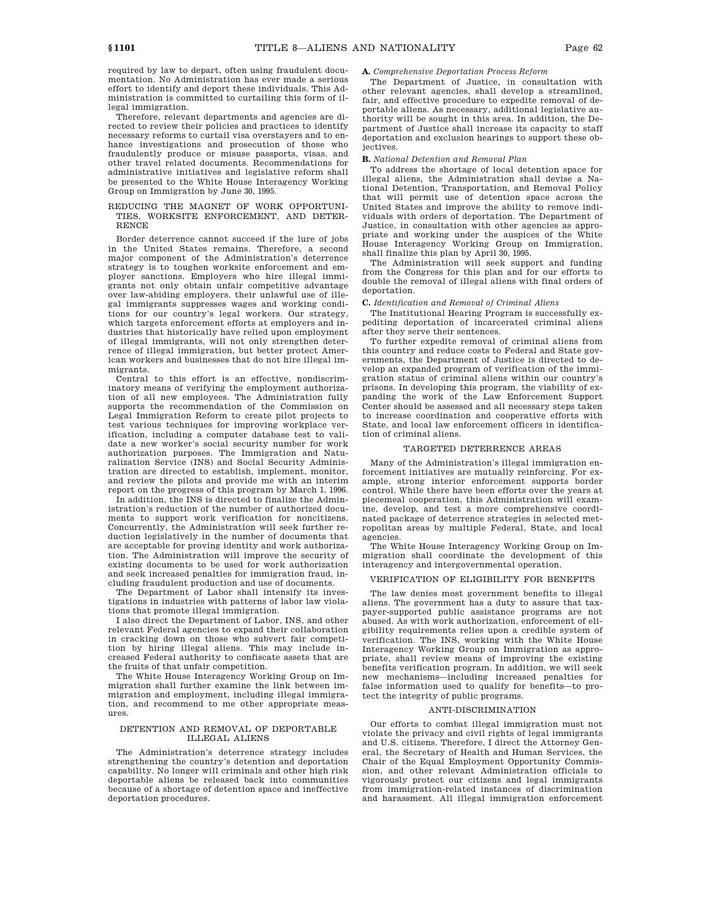required by law to depart, often using fraudulent documentation. No Administration has ever made a serious effort to identify and deport these individuals. This Administration is committed to curtailing this form of illegal immigration.

Therefore, relevant departments and agencies are directed to review their policies and practices to identify necessary reforms to curtail visa overstayers and to enhance investigations and prosecution of those who fraudulently produce or misuse passports, visas, and other travel related documents. Recommendations for administrative initiatives and legislative reform shall be presented to the White House Interagency Working Group on Immigration by June 30, 1995.

# REDUCING THE MAGNET OF WORK OPPORTUNI-TIES, WORKSITE ENFORCEMENT, AND DETER-RENCE

Border deterrence cannot succeed if the lure of jobs in the United States remains. Therefore, a second major component of the Administration's deterrence strategy is to toughen worksite enforcement and employer sanctions. Employers who hire illegal immigrants not only obtain unfair competitive advantage over law-abiding employers, their unlawful use of illegal immigrants suppresses wages and working conditions for our country's legal workers. Our strategy, which targets enforcement efforts at employers and industries that historically have relied upon employment of illegal immigrants, will not only strengthen deterrence of illegal immigration, but better protect American workers and businesses that do not hire illegal immigrants.

Central to this effort is an effective, nondiscriminatory means of verifying the employment authorization of all new employees. The Administration fully supports the recommendation of the Commission on Legal Immigration Reform to create pilot projects to test various techniques for improving workplace verification, including a computer database test to validate a new worker's social security number for work authorization purposes. The Immigration and Naturalization Service (INS) and Social Security Administration are directed to establish, implement, monitor, and review the pilots and provide me with an interim report on the progress of this program by March 1, 1996.

In addition, the INS is directed to finalize the Administration's reduction of the number of authorized documents to support work verification for noncitizens. Concurrently, the Administration will seek further reduction legislatively in the number of documents that are acceptable for proving identity and work authorization. The Administration will improve the security of existing documents to be used for work authorization and seek increased penalties for immigration fraud, including fraudulent production and use of documents.

The Department of Labor shall intensify its investigations in industries with patterns of labor law violations that promote illegal immigration.

I also direct the Department of Labor, INS, and other relevant Federal agencies to expand their collaboration in cracking down on those who subvert fair competi-tion by hiring illegal aliens. This may include increased Federal authority to confiscate assets that are the fruits of that unfair competition.

The White House Interagency Working Group on Immigration shall further examine the link between immigration and employment, including illegal immigration, and recommend to me other appropriate measures.

### DETENTION AND REMOVAL OF DEPORTABLE ILLEGAL ALIENS

The Administration's deterrence strategy includes strengthening the country's detention and deportation capability. No longer will criminals and other high risk deportable aliens be released back into communities because of a shortage of detention space and ineffective deportation procedures.

### **A.** *Comprehensive Deportation Process Reform*

The Department of Justice, in consultation with other relevant agencies, shall develop a streamlined, fair, and effective procedure to expedite removal of deportable aliens. As necessary, additional legislative authority will be sought in this area. In addition, the Department of Justice shall increase its capacity to staff deportation and exclusion hearings to support these objectives.

### **B.** *National Detention and Removal Plan*

To address the shortage of local detention space for illegal aliens, the Administration shall devise a National Detention, Transportation, and Removal Policy that will permit use of detention space across the United States and improve the ability to remove individuals with orders of deportation. The Department of Justice, in consultation with other agencies as appropriate and working under the auspices of the White House Interagency Working Group on Immigration, shall finalize this plan by April 30, 1995.

The Administration will seek support and funding from the Congress for this plan and for our efforts to double the removal of illegal aliens with final orders of deportation.

#### **C.** *Identification and Removal of Criminal Aliens*

The Institutional Hearing Program is successfully expediting deportation of incarcerated criminal aliens after they serve their sentences.

To further expedite removal of criminal aliens from this country and reduce costs to Federal and State governments, the Department of Justice is directed to develop an expanded program of verification of the immigration status of criminal aliens within our country's prisons. In developing this program, the viability of expanding the work of the Law Enforcement Support Center should be assessed and all necessary steps taken to increase coordination and cooperative efforts with State, and local law enforcement officers in identification of criminal aliens.

### TARGETED DETERRENCE AREAS

Many of the Administration's illegal immigration enforcement initiatives are mutually reinforcing. For example, strong interior enforcement supports border control. While there have been efforts over the years at piecemeal cooperation, this Administration will examine, develop, and test a more comprehensive coordinated package of deterrence strategies in selected metropolitan areas by multiple Federal, State, and local agencies.

The White House Interagency Working Group on Immigration shall coordinate the development of this interagency and intergovernmental operation.

### VERIFICATION OF ELIGIBILITY FOR BENEFITS

The law denies most government benefits to illegal aliens. The government has a duty to assure that taxpayer-supported public assistance programs are not abused. As with work authorization, enforcement of eligibility requirements relies upon a credible system of verification. The INS, working with the White House Interagency Working Group on Immigration as appropriate, shall review means of improving the existing benefits verification program. In addition, we will seek new mechanisms—including increased penalties for false information used to qualify for benefits—to protect the integrity of public programs.

### ANTI-DISCRIMINATION

Our efforts to combat illegal immigration must not violate the privacy and civil rights of legal immigrants and U.S. citizens. Therefore, I direct the Attorney General, the Secretary of Health and Human Services, the Chair of the Equal Employment Opportunity Commission, and other relevant Administration officials to vigorously protect our citizens and legal immigrants from immigration-related instances of discrimination and harassment. All illegal immigration enforcement